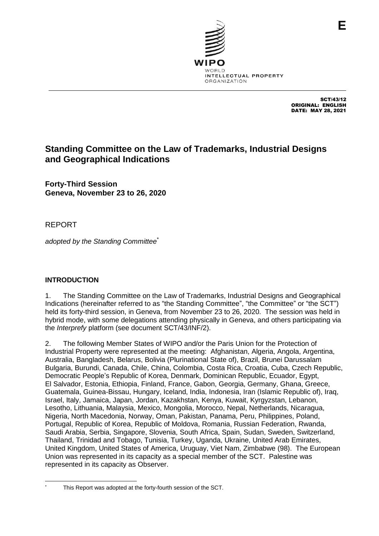

SCT/43/12 ORIGINAL: ENGLISH DATE: MAY 28, 2021

# **Standing Committee on the Law of Trademarks, Industrial Designs and Geographical Indications**

**Forty-Third Session Geneva, November 23 to 26, 2020**

REPORT

*adopted by the Standing Committee*\*

## **INTRODUCTION**

1. The Standing Committee on the Law of Trademarks, Industrial Designs and Geographical Indications (hereinafter referred to as "the Standing Committee", "the Committee" or "the SCT") held its forty-third session, in Geneva, from November 23 to 26, 2020. The session was held in hybrid mode, with some delegations attending physically in Geneva, and others participating via the *Interprefy* platform (see document SCT/43/INF/2).

2. The following Member States of WIPO and/or the Paris Union for the Protection of Industrial Property were represented at the meeting: Afghanistan, Algeria, Angola, Argentina, Australia, Bangladesh, Belarus, Bolivia (Plurinational State of), Brazil, Brunei Darussalam Bulgaria, Burundi, Canada, Chile, China, Colombia, Costa Rica, Croatia, Cuba, Czech Republic, Democratic People's Republic of Korea, Denmark, Dominican Republic, Ecuador, Egypt, El Salvador, Estonia, Ethiopia, Finland, France, Gabon, Georgia, Germany, Ghana, Greece, Guatemala, Guinea-Bissau, Hungary, Iceland, India, Indonesia, Iran (Islamic Republic of), Iraq, Israel, Italy, Jamaica, Japan, Jordan, Kazakhstan, Kenya, Kuwait, Kyrgyzstan, Lebanon, Lesotho, Lithuania, Malaysia, Mexico, Mongolia, Morocco, Nepal, Netherlands, Nicaragua, Nigeria, North Macedonia, Norway, Oman, Pakistan, Panama, Peru, Philippines, Poland, Portugal, Republic of Korea, Republic of Moldova, Romania, Russian Federation, Rwanda, Saudi Arabia, Serbia, Singapore, Slovenia, South Africa, Spain, Sudan, Sweden, Switzerland, Thailand, Trinidad and Tobago, Tunisia, Turkey, Uganda, Ukraine, United Arab Emirates, United Kingdom, United States of America, Uruguay, Viet Nam, Zimbabwe (98). The European Union was represented in its capacity as a special member of the SCT. Palestine was represented in its capacity as Observer.

This Report was adopted at the forty-fourth session of the SCT.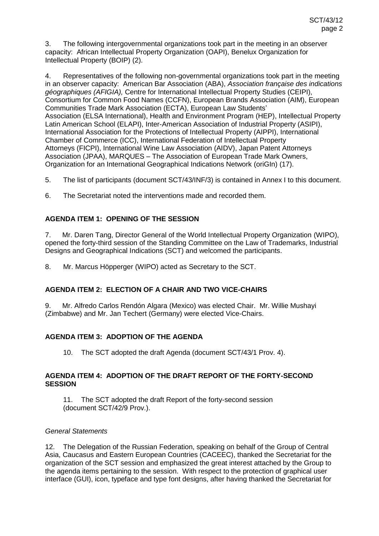3. The following intergovernmental organizations took part in the meeting in an observer capacity: African Intellectual Property Organization (OAPI), Benelux Organization for Intellectual Property (BOIP) (2).

4. Representatives of the following non-governmental organizations took part in the meeting in an observer capacity: American Bar Association (ABA), *Association française des indications géographiques (AFIGIA),* Centre for International Intellectual Property Studies (CEIPI), Consortium for Common Food Names (CCFN), European Brands Association (AIM), European Communities Trade Mark Association (ECTA), European Law Students' Association (ELSA International), Health and Environment Program (HEP), Intellectual Property Latin American School (ELAPI), Inter-American Association of Industrial Property (ASIPI), International Association for the Protections of Intellectual Property (AIPPI), International Chamber of Commerce (ICC), International Federation of Intellectual Property Attorneys (FICPI), International Wine Law Association (AIDV), Japan Patent Attorneys Association (JPAA), MARQUES – The Association of European Trade Mark Owners, Organization for an International Geographical Indications Network (oriGIn) (17).

5. The list of participants (document SCT/43/INF/3) is contained in Annex I to this document.

6. The Secretariat noted the interventions made and recorded them.

## **AGENDA ITEM 1: OPENING OF THE SESSION**

7. Mr. Daren Tang, Director General of the World Intellectual Property Organization (WIPO), opened the forty-third session of the Standing Committee on the Law of Trademarks, Industrial Designs and Geographical Indications (SCT) and welcomed the participants.

8. Mr. Marcus Höpperger (WIPO) acted as Secretary to the SCT.

## **AGENDA ITEM 2: ELECTION OF A CHAIR AND TWO VICE-CHAIRS**

9. Mr. Alfredo Carlos Rendón Algara (Mexico) was elected Chair. Mr. Willie Mushayi (Zimbabwe) and Mr. Jan Techert (Germany) were elected Vice-Chairs.

## **AGENDA ITEM 3: ADOPTION OF THE AGENDA**

10. The SCT adopted the draft Agenda (document SCT/43/1 Prov. 4).

## **AGENDA ITEM 4: ADOPTION OF THE DRAFT REPORT OF THE FORTY-SECOND SESSION**

11. The SCT adopted the draft Report of the forty-second session (document SCT/42/9 Prov.).

## *General Statements*

12. The Delegation of the Russian Federation, speaking on behalf of the Group of Central Asia, Caucasus and Eastern European Countries (CACEEC), thanked the Secretariat for the organization of the SCT session and emphasized the great interest attached by the Group to the agenda items pertaining to the session. With respect to the protection of graphical user interface (GUI), icon, typeface and type font designs, after having thanked the Secretariat for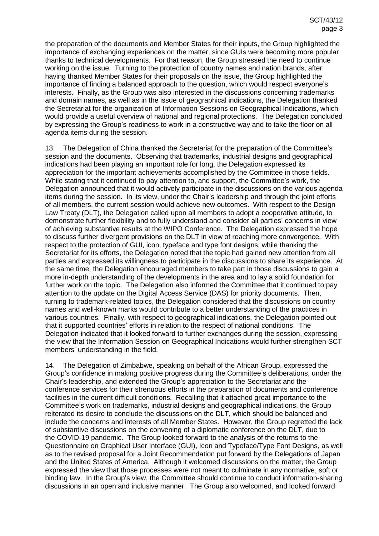the preparation of the documents and Member States for their inputs, the Group highlighted the importance of exchanging experiences on the matter, since GUIs were becoming more popular thanks to technical developments. For that reason, the Group stressed the need to continue working on the issue. Turning to the protection of country names and nation brands, after having thanked Member States for their proposals on the issue, the Group highlighted the importance of finding a balanced approach to the question, which would respect everyone's interests. Finally, as the Group was also interested in the discussions concerning trademarks and domain names, as well as in the issue of geographical indications, the Delegation thanked the Secretariat for the organization of Information Sessions on Geographical Indications, which would provide a useful overview of national and regional protections. The Delegation concluded by expressing the Group's readiness to work in a constructive way and to take the floor on all agenda items during the session.

13. The Delegation of China thanked the Secretariat for the preparation of the Committee's session and the documents. Observing that trademarks, industrial designs and geographical indications had been playing an important role for long, the Delegation expressed its appreciation for the important achievements accomplished by the Committee in those fields. While stating that it continued to pay attention to, and support, the Committee's work, the Delegation announced that it would actively participate in the discussions on the various agenda items during the session. In its view, under the Chair's leadership and through the joint efforts of all members, the current session would achieve new outcomes. With respect to the Design Law Treaty (DLT), the Delegation called upon all members to adopt a cooperative attitude, to demonstrate further flexibility and to fully understand and consider all parties' concerns in view of achieving substantive results at the WIPO Conference. The Delegation expressed the hope to discuss further divergent provisions on the DLT in view of reaching more convergence. With respect to the protection of GUI, icon, typeface and type font designs, while thanking the Secretariat for its efforts, the Delegation noted that the topic had gained new attention from all parties and expressed its willingness to participate in the discussions to share its experience. At the same time, the Delegation encouraged members to take part in those discussions to gain a more in-depth understanding of the developments in the area and to lay a solid foundation for further work on the topic. The Delegation also informed the Committee that it continued to pay attention to the update on the Digital Access Service (DAS) for priority documents. Then, turning to trademark-related topics, the Delegation considered that the discussions on country names and well-known marks would contribute to a better understanding of the practices in various countries. Finally, with respect to geographical indications, the Delegation pointed out that it supported countries' efforts in relation to the respect of national conditions. The Delegation indicated that it looked forward to further exchanges during the session, expressing the view that the Information Session on Geographical Indications would further strengthen SCT members' understanding in the field.

14. The Delegation of Zimbabwe, speaking on behalf of the African Group, expressed the Group's confidence in making positive progress during the Committee's deliberations, under the Chair's leadership, and extended the Group's appreciation to the Secretariat and the conference services for their strenuous efforts in the preparation of documents and conference facilities in the current difficult conditions. Recalling that it attached great importance to the Committee's work on trademarks, industrial designs and geographical indications, the Group reiterated its desire to conclude the discussions on the DLT, which should be balanced and include the concerns and interests of all Member States. However, the Group regretted the lack of substantive discussions on the convening of a diplomatic conference on the DLT, due to the COVID-19 pandemic. The Group looked forward to the analysis of the returns to the Questionnaire on Graphical User Interface (GUI), Icon and Typeface/Type Font Designs, as well as to the revised proposal for a Joint Recommendation put forward by the Delegations of Japan and the United States of America. Although it welcomed discussions on the matter, the Group expressed the view that those processes were not meant to culminate in any normative, soft or binding law. In the Group's view, the Committee should continue to conduct information-sharing discussions in an open and inclusive manner. The Group also welcomed, and looked forward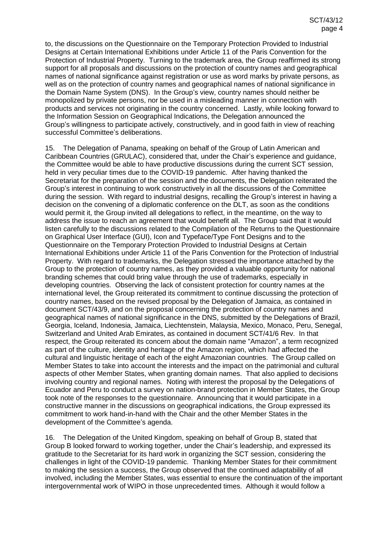to, the discussions on the Questionnaire on the Temporary Protection Provided to Industrial Designs at Certain International Exhibitions under Article 11 of the Paris Convention for the Protection of Industrial Property. Turning to the trademark area, the Group reaffirmed its strong support for all proposals and discussions on the protection of country names and geographical names of national significance against registration or use as word marks by private persons, as well as on the protection of country names and geographical names of national significance in the Domain Name System (DNS). In the Group's view, country names should neither be monopolized by private persons, nor be used in a misleading manner in connection with products and services not originating in the country concerned. Lastly, while looking forward to the Information Session on Geographical Indications, the Delegation announced the Group's willingness to participate actively, constructively, and in good faith in view of reaching successful Committee's deliberations.

15. The Delegation of Panama, speaking on behalf of the Group of Latin American and Caribbean Countries (GRULAC), considered that, under the Chair's experience and guidance, the Committee would be able to have productive discussions during the current SCT session, held in very peculiar times due to the COVID-19 pandemic. After having thanked the Secretariat for the preparation of the session and the documents, the Delegation reiterated the Group's interest in continuing to work constructively in all the discussions of the Committee during the session. With regard to industrial designs, recalling the Group's interest in having a decision on the convening of a diplomatic conference on the DLT, as soon as the conditions would permit it, the Group invited all delegations to reflect, in the meantime, on the way to address the issue to reach an agreement that would benefit all. The Group said that it would listen carefully to the discussions related to the Compilation of the Returns to the Questionnaire on Graphical User Interface (GUI), Icon and Typeface/Type Font Designs and to the Questionnaire on the Temporary Protection Provided to Industrial Designs at Certain International Exhibitions under Article 11 of the Paris Convention for the Protection of Industrial Property. With regard to trademarks, the Delegation stressed the importance attached by the Group to the protection of country names, as they provided a valuable opportunity for national branding schemes that could bring value through the use of trademarks, especially in developing countries. Observing the lack of consistent protection for country names at the international level, the Group reiterated its commitment to continue discussing the protection of country names, based on the revised proposal by the Delegation of Jamaica, as contained in document SCT/43/9, and on the proposal concerning the protection of country names and geographical names of national significance in the DNS, submitted by the Delegations of Brazil, Georgia, Iceland, Indonesia, Jamaica, Liechtenstein, Malaysia, Mexico, Monaco, Peru, Senegal, Switzerland and United Arab Emirates, as contained in document SCT/41/6 Rev. In that respect, the Group reiterated its concern about the domain name "Amazon", a term recognized as part of the culture, identity and heritage of the Amazon region, which had affected the cultural and linguistic heritage of each of the eight Amazonian countries. The Group called on Member States to take into account the interests and the impact on the patrimonial and cultural aspects of other Member States, when granting domain names. That also applied to decisions involving country and regional names. Noting with interest the proposal by the Delegations of Ecuador and Peru to conduct a survey on nation-brand protection in Member States, the Group took note of the responses to the questionnaire. Announcing that it would participate in a constructive manner in the discussions on geographical indications, the Group expressed its commitment to work hand-in-hand with the Chair and the other Member States in the development of the Committee's agenda.

16. The Delegation of the United Kingdom, speaking on behalf of Group B, stated that Group B looked forward to working together, under the Chair's leadership, and expressed its gratitude to the Secretariat for its hard work in organizing the SCT session, considering the challenges in light of the COVID-19 pandemic. Thanking Member States for their commitment to making the session a success, the Group observed that the continued adaptability of all involved, including the Member States, was essential to ensure the continuation of the important intergovernmental work of WIPO in those unprecedented times. Although it would follow a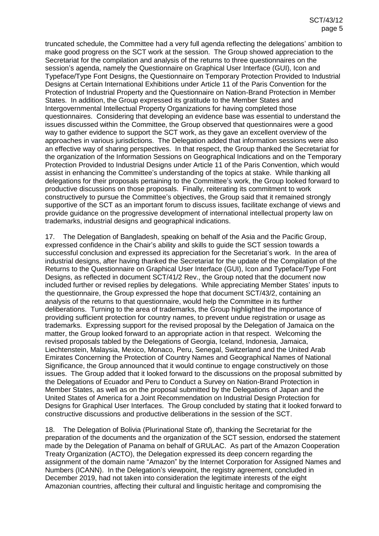truncated schedule, the Committee had a very full agenda reflecting the delegations' ambition to make good progress on the SCT work at the session. The Group showed appreciation to the Secretariat for the compilation and analysis of the returns to three questionnaires on the session's agenda, namely the Questionnaire on Graphical User Interface (GUI), Icon and Typeface/Type Font Designs, the Questionnaire on Temporary Protection Provided to Industrial Designs at Certain International Exhibitions under Article 11 of the Paris Convention for the Protection of Industrial Property and the Questionnaire on Nation-Brand Protection in Member States. In addition, the Group expressed its gratitude to the Member States and Intergovernmental Intellectual Property Organizations for having completed those questionnaires. Considering that developing an evidence base was essential to understand the issues discussed within the Committee, the Group observed that questionnaires were a good way to gather evidence to support the SCT work, as they gave an excellent overview of the approaches in various jurisdictions. The Delegation added that information sessions were also an effective way of sharing perspectives. In that respect, the Group thanked the Secretariat for the organization of the Information Sessions on Geographical Indications and on the Temporary Protection Provided to Industrial Designs under Article 11 of the Paris Convention, which would assist in enhancing the Committee's understanding of the topics at stake. While thanking all delegations for their proposals pertaining to the Committee's work, the Group looked forward to productive discussions on those proposals. Finally, reiterating its commitment to work constructively to pursue the Committee's objectives, the Group said that it remained strongly supportive of the SCT as an important forum to discuss issues, facilitate exchange of views and provide guidance on the progressive development of international intellectual property law on trademarks, industrial designs and geographical indications.

17. The Delegation of Bangladesh, speaking on behalf of the Asia and the Pacific Group, expressed confidence in the Chair's ability and skills to guide the SCT session towards a successful conclusion and expressed its appreciation for the Secretariat's work. In the area of industrial designs, after having thanked the Secretariat for the update of the Compilation of the Returns to the Questionnaire on Graphical User Interface (GUI), Icon and Typeface/Type Font Designs, as reflected in document SCT/41/2 Rev., the Group noted that the document now included further or revised replies by delegations. While appreciating Member States' inputs to the questionnaire, the Group expressed the hope that document SCT/43/2, containing an analysis of the returns to that questionnaire, would help the Committee in its further deliberations. Turning to the area of trademarks, the Group highlighted the importance of providing sufficient protection for country names, to prevent undue registration or usage as trademarks. Expressing support for the revised proposal by the Delegation of Jamaica on the matter, the Group looked forward to an appropriate action in that respect. Welcoming the revised proposals tabled by the Delegations of Georgia, Iceland, Indonesia, Jamaica, Liechtenstein, Malaysia, Mexico, Monaco, Peru, Senegal, Switzerland and the United Arab Emirates Concerning the Protection of Country Names and Geographical Names of National Significance, the Group announced that it would continue to engage constructively on those issues. The Group added that it looked forward to the discussions on the proposal submitted by the Delegations of Ecuador and Peru to Conduct a Survey on Nation-Brand Protection in Member States, as well as on the proposal submitted by the Delegations of Japan and the United States of America for a Joint Recommendation on Industrial Design Protection for Designs for Graphical User Interfaces. The Group concluded by stating that it looked forward to constructive discussions and productive deliberations in the session of the SCT.

18. The Delegation of Bolivia (Plurinational State of), thanking the Secretariat for the preparation of the documents and the organization of the SCT session, endorsed the statement made by the Delegation of Panama on behalf of GRULAC. As part of the Amazon Cooperation Treaty Organization (ACTO), the Delegation expressed its deep concern regarding the assignment of the domain name "Amazon" by the Internet Corporation for Assigned Names and Numbers (ICANN). In the Delegation's viewpoint, the registry agreement, concluded in December 2019, had not taken into consideration the legitimate interests of the eight Amazonian countries, affecting their cultural and linguistic heritage and compromising the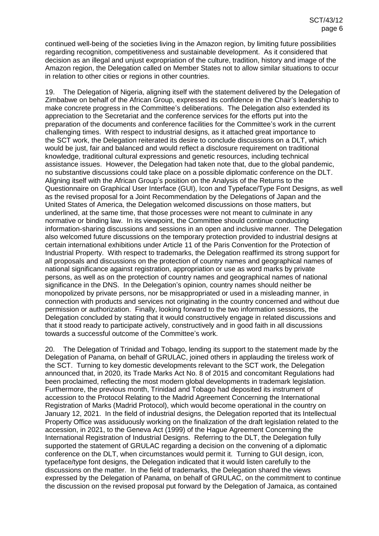continued well-being of the societies living in the Amazon region, by limiting future possibilities regarding recognition, competitiveness and sustainable development. As it considered that decision as an illegal and unjust expropriation of the culture, tradition, history and image of the Amazon region, the Delegation called on Member States not to allow similar situations to occur in relation to other cities or regions in other countries.

19. The Delegation of Nigeria, aligning itself with the statement delivered by the Delegation of Zimbabwe on behalf of the African Group, expressed its confidence in the Chair's leadership to make concrete progress in the Committee's deliberations. The Delegation also extended its appreciation to the Secretariat and the conference services for the efforts put into the preparation of the documents and conference facilities for the Committee's work in the current challenging times. With respect to industrial designs, as it attached great importance to the SCT work, the Delegation reiterated its desire to conclude discussions on a DLT, which would be just, fair and balanced and would reflect a disclosure requirement on traditional knowledge, traditional cultural expressions and genetic resources, including technical assistance issues. However, the Delegation had taken note that, due to the global pandemic, no substantive discussions could take place on a possible diplomatic conference on the DLT. Aligning itself with the African Group's position on the Analysis of the Returns to the Questionnaire on Graphical User Interface (GUI), Icon and Typeface/Type Font Designs, as well as the revised proposal for a Joint Recommendation by the Delegations of Japan and the United States of America, the Delegation welcomed discussions on those matters, but underlined, at the same time, that those processes were not meant to culminate in any normative or binding law. In its viewpoint, the Committee should continue conducting information-sharing discussions and sessions in an open and inclusive manner. The Delegation also welcomed future discussions on the temporary protection provided to industrial designs at certain international exhibitions under Article 11 of the Paris Convention for the Protection of Industrial Property. With respect to trademarks, the Delegation reaffirmed its strong support for all proposals and discussions on the protection of country names and geographical names of national significance against registration, appropriation or use as word marks by private persons, as well as on the protection of country names and geographical names of national significance in the DNS. In the Delegation's opinion, country names should neither be monopolized by private persons, nor be misappropriated or used in a misleading manner, in connection with products and services not originating in the country concerned and without due permission or authorization. Finally, looking forward to the two information sessions, the Delegation concluded by stating that it would constructively engage in related discussions and that it stood ready to participate actively, constructively and in good faith in all discussions towards a successful outcome of the Committee's work.

20. The Delegation of Trinidad and Tobago, lending its support to the statement made by the Delegation of Panama, on behalf of GRULAC, joined others in applauding the tireless work of the SCT. Turning to key domestic developments relevant to the SCT work, the Delegation announced that, in 2020, its Trade Marks Act No. 8 of 2015 and concomitant Regulations had been proclaimed, reflecting the most modern global developments in trademark legislation. Furthermore, the previous month, Trinidad and Tobago had deposited its instrument of accession to the Protocol Relating to the Madrid Agreement Concerning the International Registration of Marks (Madrid Protocol), which would become operational in the country on January 12, 2021. In the field of industrial designs, the Delegation reported that its Intellectual Property Office was assiduously working on the finalization of the draft legislation related to the accession, in 2021, to the Geneva Act (1999) of the Hague Agreement Concerning the International Registration of Industrial Designs. Referring to the DLT, the Delegation fully supported the statement of GRULAC regarding a decision on the convening of a diplomatic conference on the DLT, when circumstances would permit it. Turning to GUI design, icon, typeface/type font designs, the Delegation indicated that it would listen carefully to the discussions on the matter. In the field of trademarks, the Delegation shared the views expressed by the Delegation of Panama, on behalf of GRULAC, on the commitment to continue the discussion on the revised proposal put forward by the Delegation of Jamaica, as contained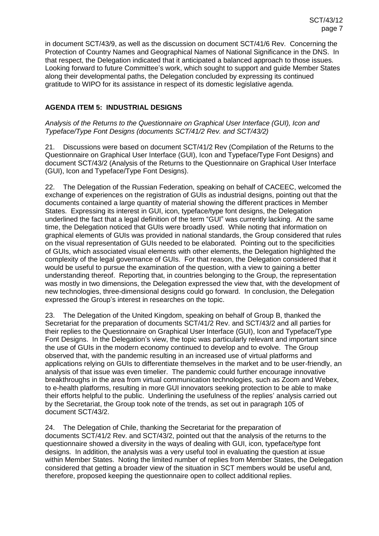in document SCT/43/9, as well as the discussion on document SCT/41/6 Rev. Concerning the Protection of Country Names and Geographical Names of National Significance in the DNS. In that respect, the Delegation indicated that it anticipated a balanced approach to those issues. Looking forward to future Committee's work, which sought to support and guide Member States along their developmental paths, the Delegation concluded by expressing its continued gratitude to WIPO for its assistance in respect of its domestic legislative agenda.

## **AGENDA ITEM 5: INDUSTRIAL DESIGNS**

*Analysis of the Returns to the Questionnaire on Graphical User Interface (GUI), Icon and Typeface/Type Font Designs (documents SCT/41/2 Rev. and SCT/43/2)*

21. Discussions were based on document SCT/41/2 Rev (Compilation of the Returns to the Questionnaire on Graphical User Interface (GUI), Icon and Typeface/Type Font Designs) and document SCT/43/2 (Analysis of the Returns to the Questionnaire on Graphical User Interface (GUI), Icon and Typeface/Type Font Designs).

22. The Delegation of the Russian Federation, speaking on behalf of CACEEC, welcomed the exchange of experiences on the registration of GUIs as industrial designs, pointing out that the documents contained a large quantity of material showing the different practices in Member States. Expressing its interest in GUI, icon, typeface/type font designs, the Delegation underlined the fact that a legal definition of the term "GUI" was currently lacking. At the same time, the Delegation noticed that GUIs were broadly used. While noting that information on graphical elements of GUIs was provided in national standards, the Group considered that rules on the visual representation of GUIs needed to be elaborated. Pointing out to the specificities of GUIs, which associated visual elements with other elements, the Delegation highlighted the complexity of the legal governance of GUIs. For that reason, the Delegation considered that it would be useful to pursue the examination of the question, with a view to gaining a better understanding thereof. Reporting that, in countries belonging to the Group, the representation was mostly in two dimensions, the Delegation expressed the view that, with the development of new technologies, three-dimensional designs could go forward. In conclusion, the Delegation expressed the Group's interest in researches on the topic.

23. The Delegation of the United Kingdom, speaking on behalf of Group B, thanked the Secretariat for the preparation of documents SCT/41/2 Rev. and SCT/43/2 and all parties for their replies to the Questionnaire on Graphical User Interface (GUI), Icon and Typeface/Type Font Designs. In the Delegation's view, the topic was particularly relevant and important since the use of GUIs in the modern economy continued to develop and to evolve. The Group observed that, with the pandemic resulting in an increased use of virtual platforms and applications relying on GUIs to differentiate themselves in the market and to be user-friendly, an analysis of that issue was even timelier. The pandemic could further encourage innovative breakthroughs in the area from virtual communication technologies, such as Zoom and Webex, to e-health platforms, resulting in more GUI innovators seeking protection to be able to make their efforts helpful to the public. Underlining the usefulness of the replies' analysis carried out by the Secretariat, the Group took note of the trends, as set out in paragraph 105 of document SCT/43/2.

24. The Delegation of Chile, thanking the Secretariat for the preparation of documents SCT/41/2 Rev. and SCT/43/2, pointed out that the analysis of the returns to the questionnaire showed a diversity in the ways of dealing with GUI, icon, typeface/type font designs. In addition, the analysis was a very useful tool in evaluating the question at issue within Member States. Noting the limited number of replies from Member States, the Delegation considered that getting a broader view of the situation in SCT members would be useful and, therefore, proposed keeping the questionnaire open to collect additional replies.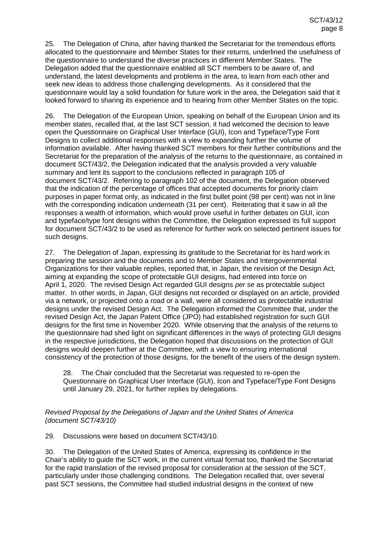25. The Delegation of China, after having thanked the Secretariat for the tremendous efforts allocated to the questionnaire and Member States for their returns, underlined the usefulness of the questionnaire to understand the diverse practices in different Member States. The Delegation added that the questionnaire enabled all SCT members to be aware of, and understand, the latest developments and problems in the area, to learn from each other and seek new ideas to address those challenging developments. As it considered that the questionnaire would lay a solid foundation for future work in the area, the Delegation said that it looked forward to sharing its experience and to hearing from other Member States on the topic.

26. The Delegation of the European Union, speaking on behalf of the European Union and its member states, recalled that, at the last SCT session, it had welcomed the decision to leave open the Questionnaire on Graphical User Interface (GUI), Icon and Typeface/Type Font Designs to collect additional responses with a view to expanding further the volume of information available. After having thanked SCT members for their further contributions and the Secretariat for the preparation of the analysis of the returns to the questionnaire, as contained in document SCT/43/2, the Delegation indicated that the analysis provided a very valuable summary and lent its support to the conclusions reflected in paragraph 105 of document SCT/43/2. Referring to paragraph 102 of the document, the Delegation observed that the indication of the percentage of offices that accepted documents for priority claim purposes in paper format only, as indicated in the first bullet point (98 per cent) was not in line with the corresponding indication underneath (31 per cent). Reiterating that it saw in all the responses a wealth of information, which would prove useful in further debates on GUI, icon and typeface/type font designs within the Committee, the Delegation expressed its full support for document SCT/43/2 to be used as reference for further work on selected pertinent issues for such designs.

27. The Delegation of Japan, expressing its gratitude to the Secretariat for its hard work in preparing the session and the documents and to Member States and Intergovernmental Organizations for their valuable replies, reported that, in Japan, the revision of the Design Act, aiming at expanding the scope of protectable GUI designs, had entered into force on April 1, 2020. The revised Design Act regarded GUI designs *per se* as protectable subject matter. In other words, in Japan, GUI designs not recorded or displayed on an article, provided via a network, or projected onto a road or a wall, were all considered as protectable industrial designs under the revised Design Act. The Delegation informed the Committee that, under the revised Design Act, the Japan Patent Office (JPO) had established registration for such GUI designs for the first time in November 2020. While observing that the analysis of the returns to the questionnaire had shed light on significant differences in the ways of protecting GUI designs in the respective jurisdictions, the Delegation hoped that discussions on the protection of GUI designs would deepen further at the Committee, with a view to ensuring international consistency of the protection of those designs, for the benefit of the users of the design system.

28. The Chair concluded that the Secretariat was requested to re-open the Questionnaire on Graphical User Interface (GUI), Icon and Typeface/Type Font Designs until January 29, 2021, for further replies by delegations.

## *Revised Proposal by the Delegations of Japan and the United States of America (document SCT/43/10)*

29. Discussions were based on document SCT/43/10.

30. The Delegation of the United States of America, expressing its confidence in the Chair's ability to guide the SCT work, in the current virtual format too, thanked the Secretariat for the rapid translation of the revised proposal for consideration at the session of the SCT, particularly under those challenging conditions. The Delegation recalled that, over several past SCT sessions, the Committee had studied industrial designs in the context of new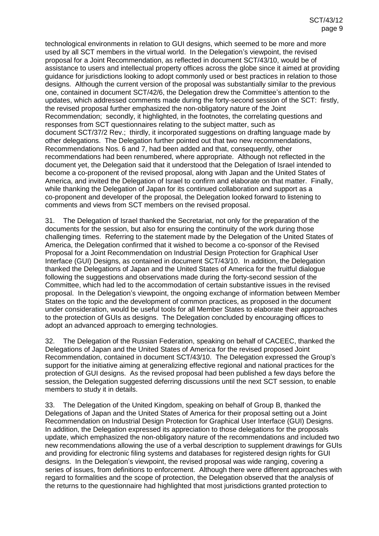technological environments in relation to GUI designs, which seemed to be more and more used by all SCT members in the virtual world. In the Delegation's viewpoint, the revised proposal for a Joint Recommendation, as reflected in document SCT/43/10, would be of assistance to users and intellectual property offices across the globe since it aimed at providing guidance for jurisdictions looking to adopt commonly used or best practices in relation to those designs. Although the current version of the proposal was substantially similar to the previous one, contained in document SCT/42/6, the Delegation drew the Committee's attention to the updates, which addressed comments made during the forty-second session of the SCT: firstly, the revised proposal further emphasized the non-obligatory nature of the Joint Recommendation; secondly, it highlighted, in the footnotes, the correlating questions and responses from SCT questionnaires relating to the subject matter, such as document SCT/37/2 Rev.; thirdly, it incorporated suggestions on drafting language made by other delegations. The Delegation further pointed out that two new recommendations, Recommendations Nos. 6 and 7, had been added and that, consequently, other recommendations had been renumbered, where appropriate. Although not reflected in the document yet, the Delegation said that it understood that the Delegation of Israel intended to become a co-proponent of the revised proposal, along with Japan and the United States of America, and invited the Delegation of Israel to confirm and elaborate on that matter. Finally, while thanking the Delegation of Japan for its continued collaboration and support as a co-proponent and developer of the proposal, the Delegation looked forward to listening to comments and views from SCT members on the revised proposal.

31. The Delegation of Israel thanked the Secretariat, not only for the preparation of the documents for the session, but also for ensuring the continuity of the work during those challenging times. Referring to the statement made by the Delegation of the United States of America, the Delegation confirmed that it wished to become a co-sponsor of the Revised Proposal for a Joint Recommendation on Industrial Design Protection for Graphical User Interface (GUI) Designs, as contained in document SCT/43/10. In addition, the Delegation thanked the Delegations of Japan and the United States of America for the fruitful dialogue following the suggestions and observations made during the forty-second session of the Committee, which had led to the accommodation of certain substantive issues in the revised proposal. In the Delegation's viewpoint, the ongoing exchange of information between Member States on the topic and the development of common practices, as proposed in the document under consideration, would be useful tools for all Member States to elaborate their approaches to the protection of GUIs as designs. The Delegation concluded by encouraging offices to adopt an advanced approach to emerging technologies.

32. The Delegation of the Russian Federation, speaking on behalf of CACEEC, thanked the Delegations of Japan and the United States of America for the revised proposed Joint Recommendation, contained in document SCT/43/10. The Delegation expressed the Group's support for the initiative aiming at generalizing effective regional and national practices for the protection of GUI designs. As the revised proposal had been published a few days before the session, the Delegation suggested deferring discussions until the next SCT session, to enable members to study it in details.

33. The Delegation of the United Kingdom, speaking on behalf of Group B, thanked the Delegations of Japan and the United States of America for their proposal setting out a Joint Recommendation on Industrial Design Protection for Graphical User Interface (GUI) Designs. In addition, the Delegation expressed its appreciation to those delegations for the proposals update, which emphasized the non-obligatory nature of the recommendations and included two new recommendations allowing the use of a verbal description to supplement drawings for GUIs and providing for electronic filing systems and databases for registered design rights for GUI designs. In the Delegation's viewpoint, the revised proposal was wide ranging, covering a series of issues, from definitions to enforcement. Although there were different approaches with regard to formalities and the scope of protection, the Delegation observed that the analysis of the returns to the questionnaire had highlighted that most jurisdictions granted protection to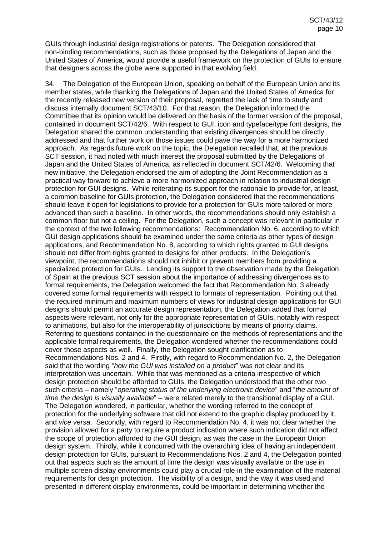GUIs through industrial design registrations or patents. The Delegation considered that non-binding recommendations, such as those proposed by the Delegations of Japan and the United States of America, would provide a useful framework on the protection of GUIs to ensure that designers across the globe were supported in that evolving field.

34. The Delegation of the European Union, speaking on behalf of the European Union and its member states, while thanking the Delegations of Japan and the United States of America for the recently released new version of their proposal, regretted the lack of time to study and discuss internally document SCT/43/10. For that reason, the Delegation informed the Committee that its opinion would be delivered on the basis of the former version of the proposal, contained in document SCT/42/6. With respect to GUI, icon and typeface/type font designs, the Delegation shared the common understanding that existing divergences should be directly addressed and that further work on those issues could pave the way for a more harmonized approach. As regards future work on the topic, the Delegation recalled that, at the previous SCT session, it had noted with much interest the proposal submitted by the Delegations of Japan and the United States of America, as reflected in document SCT/42/6. Welcoming that new initiative, the Delegation endorsed the aim of adopting the Joint Recommendation as a practical way forward to achieve a more harmonized approach in relation to industrial design protection for GUI designs. While reiterating its support for the rationale to provide for, at least, a common baseline for GUIs protection, the Delegation considered that the recommendations should leave it open for legislations to provide for a protection for GUIs more tailored or more advanced than such a baseline. In other words, the recommendations should only establish a common floor but not a ceiling. For the Delegation, such a concept was relevant in particular in the context of the two following recommendations: Recommendation No. 6, according to which GUI design applications should be examined under the same criteria as other types of design applications, and Recommendation No. 8, according to which rights granted to GUI designs should not differ from rights granted to designs for other products. In the Delegation's viewpoint, the recommendations should not inhibit or prevent members from providing a specialized protection for GUIs. Lending its support to the observation made by the Delegation of Spain at the previous SCT session about the importance of addressing divergences as to formal requirements, the Delegation welcomed the fact that Recommendation No. 3 already covered some formal requirements with respect to formats of representation. Pointing out that the required minimum and maximum numbers of views for industrial design applications for GUI designs should permit an accurate design representation, the Delegation added that formal aspects were relevant, not only for the appropriate representation of GUIs, notably with respect to animations, but also for the interoperability of jurisdictions by means of priority claims. Referring to questions contained in the questionnaire on the methods of representations and the applicable formal requirements, the Delegation wondered whether the recommendations could cover those aspects as well. Finally, the Delegation sought clarification as to Recommendations Nos. 2 and 4. Firstly, with regard to Recommendation No. 2, the Delegation said that the wording "*how the GUI was installed on a product*" was not clear and its interpretation was uncertain. While that was mentioned as a criteria irrespective of which design protection should be afforded to GUIs, the Delegation understood that the other two such criteria – namely "*operating status of the underlying electronic device*" and "*the amount of time the design is visually available*" – were related merely to the transitional display of a GUI. The Delegation wondered, in particular, whether the wording referred to the concept of protection for the underlying software that did not extend to the graphic display produced by it, and *vice versa*. Secondly, with regard to Recommendation No. 4, it was not clear whether the provision allowed for a party to require a product indication where such indication did not affect the scope of protection afforded to the GUI design, as was the case in the European Union design system. Thirdly, while it concurred with the overarching idea of having an independent design protection for GUIs, pursuant to Recommendations Nos. 2 and 4, the Delegation pointed out that aspects such as the amount of time the design was visually available or the use in multiple screen display environments could play a crucial role in the examination of the material requirements for design protection. The visibility of a design, and the way it was used and presented in different display environments, could be important in determining whether the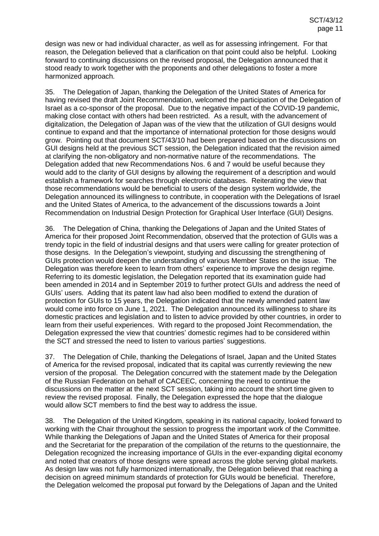design was new or had individual character, as well as for assessing infringement. For that reason, the Delegation believed that a clarification on that point could also be helpful. Looking forward to continuing discussions on the revised proposal, the Delegation announced that it stood ready to work together with the proponents and other delegations to foster a more harmonized approach.

35. The Delegation of Japan, thanking the Delegation of the United States of America for having revised the draft Joint Recommendation, welcomed the participation of the Delegation of Israel as a co-sponsor of the proposal. Due to the negative impact of the COVID-19 pandemic, making close contact with others had been restricted. As a result, with the advancement of digitalization, the Delegation of Japan was of the view that the utilization of GUI designs would continue to expand and that the importance of international protection for those designs would grow. Pointing out that document SCT/43/10 had been prepared based on the discussions on GUI designs held at the previous SCT session, the Delegation indicated that the revision aimed at clarifying the non-obligatory and non-normative nature of the recommendations. The Delegation added that new Recommendations Nos. 6 and 7 would be useful because they would add to the clarity of GUI designs by allowing the requirement of a description and would establish a framework for searches through electronic databases. Reiterating the view that those recommendations would be beneficial to users of the design system worldwide, the Delegation announced its willingness to contribute, in cooperation with the Delegations of Israel and the United States of America, to the advancement of the discussions towards a Joint Recommendation on Industrial Design Protection for Graphical User Interface (GUI) Designs.

36. The Delegation of China, thanking the Delegations of Japan and the United States of America for their proposed Joint Recommendation, observed that the protection of GUIs was a trendy topic in the field of industrial designs and that users were calling for greater protection of those designs. In the Delegation's viewpoint, studying and discussing the strengthening of GUIs protection would deepen the understanding of various Member States on the issue. The Delegation was therefore keen to learn from others' experience to improve the design regime. Referring to its domestic legislation, the Delegation reported that its examination guide had been amended in 2014 and in September 2019 to further protect GUIs and address the need of GUIs' users. Adding that its patent law had also been modified to extend the duration of protection for GUIs to 15 years, the Delegation indicated that the newly amended patent law would come into force on June 1, 2021. The Delegation announced its willingness to share its domestic practices and legislation and to listen to advice provided by other countries, in order to learn from their useful experiences. With regard to the proposed Joint Recommendation, the Delegation expressed the view that countries' domestic regimes had to be considered within the SCT and stressed the need to listen to various parties' suggestions.

37. The Delegation of Chile, thanking the Delegations of Israel, Japan and the United States of America for the revised proposal, indicated that its capital was currently reviewing the new version of the proposal. The Delegation concurred with the statement made by the Delegation of the Russian Federation on behalf of CACEEC, concerning the need to continue the discussions on the matter at the next SCT session, taking into account the short time given to review the revised proposal. Finally, the Delegation expressed the hope that the dialogue would allow SCT members to find the best way to address the issue.

38. The Delegation of the United Kingdom, speaking in its national capacity, looked forward to working with the Chair throughout the session to progress the important work of the Committee. While thanking the Delegations of Japan and the United States of America for their proposal and the Secretariat for the preparation of the compilation of the returns to the questionnaire, the Delegation recognized the increasing importance of GUIs in the ever-expanding digital economy and noted that creators of those designs were spread across the globe serving global markets. As design law was not fully harmonized internationally, the Delegation believed that reaching a decision on agreed minimum standards of protection for GUIs would be beneficial. Therefore, the Delegation welcomed the proposal put forward by the Delegations of Japan and the United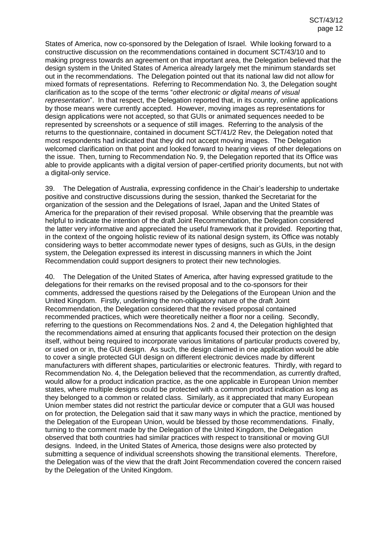States of America, now co-sponsored by the Delegation of Israel. While looking forward to a constructive discussion on the recommendations contained in document SCT/43/10 and to making progress towards an agreement on that important area, the Delegation believed that the design system in the United States of America already largely met the minimum standards set out in the recommendations. The Delegation pointed out that its national law did not allow for mixed formats of representations. Referring to Recommendation No. 3, the Delegation sought clarification as to the scope of the terms "*other electronic or digital means of visual representation*". In that respect, the Delegation reported that, in its country, online applications by those means were currently accepted. However, moving images as representations for design applications were not accepted, so that GUIs or animated sequences needed to be represented by screenshots or a sequence of still images. Referring to the analysis of the returns to the questionnaire, contained in document SCT/41/2 Rev, the Delegation noted that most respondents had indicated that they did not accept moving images. The Delegation welcomed clarification on that point and looked forward to hearing views of other delegations on the issue. Then, turning to Recommendation No. 9, the Delegation reported that its Office was able to provide applicants with a digital version of paper-certified priority documents, but not with a digital-only service.

39. The Delegation of Australia, expressing confidence in the Chair's leadership to undertake positive and constructive discussions during the session, thanked the Secretariat for the organization of the session and the Delegations of Israel, Japan and the United States of America for the preparation of their revised proposal. While observing that the preamble was helpful to indicate the intention of the draft Joint Recommendation, the Delegation considered the latter very informative and appreciated the useful framework that it provided. Reporting that, in the context of the ongoing holistic review of its national design system, its Office was notably considering ways to better accommodate newer types of designs, such as GUIs, in the design system, the Delegation expressed its interest in discussing manners in which the Joint Recommendation could support designers to protect their new technologies.

40. The Delegation of the United States of America, after having expressed gratitude to the delegations for their remarks on the revised proposal and to the co-sponsors for their comments, addressed the questions raised by the Delegations of the European Union and the United Kingdom. Firstly, underlining the non-obligatory nature of the draft Joint Recommendation, the Delegation considered that the revised proposal contained recommended practices, which were theoretically neither a floor nor a ceiling. Secondly, referring to the questions on Recommendations Nos. 2 and 4, the Delegation highlighted that the recommendations aimed at ensuring that applicants focused their protection on the design itself, without being required to incorporate various limitations of particular products covered by, or used on or in, the GUI design. As such, the design claimed in one application would be able to cover a single protected GUI design on different electronic devices made by different manufacturers with different shapes, particularities or electronic features. Thirdly, with regard to Recommendation No. 4, the Delegation believed that the recommendation, as currently drafted, would allow for a product indication practice, as the one applicable in European Union member states, where multiple designs could be protected with a common product indication as long as they belonged to a common or related class. Similarly, as it appreciated that many European Union member states did not restrict the particular device or computer that a GUI was housed on for protection, the Delegation said that it saw many ways in which the practice, mentioned by the Delegation of the European Union, would be blessed by those recommendations. Finally, turning to the comment made by the Delegation of the United Kingdom, the Delegation observed that both countries had similar practices with respect to transitional or moving GUI designs. Indeed, in the United States of America, those designs were also protected by submitting a sequence of individual screenshots showing the transitional elements. Therefore, the Delegation was of the view that the draft Joint Recommendation covered the concern raised by the Delegation of the United Kingdom.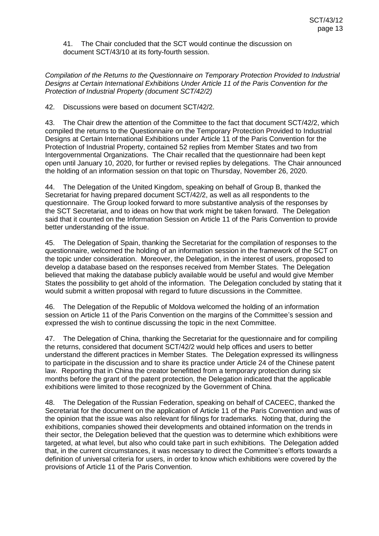41. The Chair concluded that the SCT would continue the discussion on document SCT/43/10 at its forty-fourth session.

*Compilation of the Returns to the Questionnaire on Temporary Protection Provided to Industrial Designs at Certain International Exhibitions Under Article 11 of the Paris Convention for the Protection of Industrial Property (document SCT/42/2)*

42. Discussions were based on document SCT/42/2.

43. The Chair drew the attention of the Committee to the fact that document SCT/42/2, which compiled the returns to the Questionnaire on the Temporary Protection Provided to Industrial Designs at Certain International Exhibitions under Article 11 of the Paris Convention for the Protection of Industrial Property, contained 52 replies from Member States and two from Intergovernmental Organizations. The Chair recalled that the questionnaire had been kept open until January 10, 2020, for further or revised replies by delegations. The Chair announced the holding of an information session on that topic on Thursday, November 26, 2020.

44. The Delegation of the United Kingdom, speaking on behalf of Group B, thanked the Secretariat for having prepared document SCT/42/2, as well as all respondents to the questionnaire. The Group looked forward to more substantive analysis of the responses by the SCT Secretariat, and to ideas on how that work might be taken forward. The Delegation said that it counted on the Information Session on Article 11 of the Paris Convention to provide better understanding of the issue.

45. The Delegation of Spain, thanking the Secretariat for the compilation of responses to the questionnaire, welcomed the holding of an information session in the framework of the SCT on the topic under consideration. Moreover, the Delegation, in the interest of users, proposed to develop a database based on the responses received from Member States. The Delegation believed that making the database publicly available would be useful and would give Member States the possibility to get ahold of the information. The Delegation concluded by stating that it would submit a written proposal with regard to future discussions in the Committee.

46. The Delegation of the Republic of Moldova welcomed the holding of an information session on Article 11 of the Paris Convention on the margins of the Committee's session and expressed the wish to continue discussing the topic in the next Committee.

47. The Delegation of China, thanking the Secretariat for the questionnaire and for compiling the returns, considered that document SCT/42/2 would help offices and users to better understand the different practices in Member States. The Delegation expressed its willingness to participate in the discussion and to share its practice under Article 24 of the Chinese patent law. Reporting that in China the creator benefitted from a temporary protection during six months before the grant of the patent protection, the Delegation indicated that the applicable exhibitions were limited to those recognized by the Government of China.

48. The Delegation of the Russian Federation, speaking on behalf of CACEEC, thanked the Secretariat for the document on the application of Article 11 of the Paris Convention and was of the opinion that the issue was also relevant for filings for trademarks. Noting that, during the exhibitions, companies showed their developments and obtained information on the trends in their sector, the Delegation believed that the question was to determine which exhibitions were targeted, at what level, but also who could take part in such exhibitions. The Delegation added that, in the current circumstances, it was necessary to direct the Committee's efforts towards a definition of universal criteria for users, in order to know which exhibitions were covered by the provisions of Article 11 of the Paris Convention.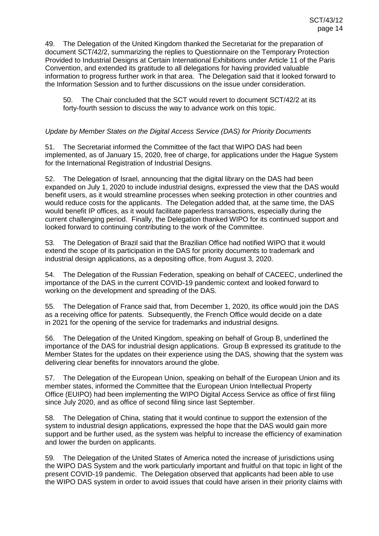49. The Delegation of the United Kingdom thanked the Secretariat for the preparation of document SCT/42/2, summarizing the replies to Questionnaire on the Temporary Protection Provided to Industrial Designs at Certain International Exhibitions under Article 11 of the Paris Convention, and extended its gratitude to all delegations for having provided valuable information to progress further work in that area. The Delegation said that it looked forward to the Information Session and to further discussions on the issue under consideration.

50. The Chair concluded that the SCT would revert to document SCT/42/2 at its forty-fourth session to discuss the way to advance work on this topic.

### *Update by Member States on the Digital Access Service (DAS) for Priority Documents*

51. The Secretariat informed the Committee of the fact that WIPO DAS had been implemented, as of January 15, 2020, free of charge, for applications under the Hague System for the International Registration of Industrial Designs.

52. The Delegation of Israel, announcing that the digital library on the DAS had been expanded on July 1, 2020 to include industrial designs, expressed the view that the DAS would benefit users, as it would streamline processes when seeking protection in other countries and would reduce costs for the applicants. The Delegation added that, at the same time, the DAS would benefit IP offices, as it would facilitate paperless transactions, especially during the current challenging period. Finally, the Delegation thanked WIPO for its continued support and looked forward to continuing contributing to the work of the Committee.

53. The Delegation of Brazil said that the Brazilian Office had notified WIPO that it would extend the scope of its participation in the DAS for priority documents to trademark and industrial design applications, as a depositing office, from August 3, 2020.

54. The Delegation of the Russian Federation, speaking on behalf of CACEEC, underlined the importance of the DAS in the current COVID-19 pandemic context and looked forward to working on the development and spreading of the DAS.

55. The Delegation of France said that, from December 1, 2020, its office would join the DAS as a receiving office for patents. Subsequently, the French Office would decide on a date in 2021 for the opening of the service for trademarks and industrial designs.

56. The Delegation of the United Kingdom, speaking on behalf of Group B, underlined the importance of the DAS for industrial design applications. Group B expressed its gratitude to the Member States for the updates on their experience using the DAS, showing that the system was delivering clear benefits for innovators around the globe.

57. The Delegation of the European Union, speaking on behalf of the European Union and its member states, informed the Committee that the European Union Intellectual Property Office (EUIPO) had been implementing the WIPO Digital Access Service as office of first filing since July 2020, and as office of second filing since last September.

58. The Delegation of China, stating that it would continue to support the extension of the system to industrial design applications, expressed the hope that the DAS would gain more support and be further used, as the system was helpful to increase the efficiency of examination and lower the burden on applicants.

59. The Delegation of the United States of America noted the increase of jurisdictions using the WIPO DAS System and the work particularly important and fruitful on that topic in light of the present COVID-19 pandemic. The Delegation observed that applicants had been able to use the WIPO DAS system in order to avoid issues that could have arisen in their priority claims with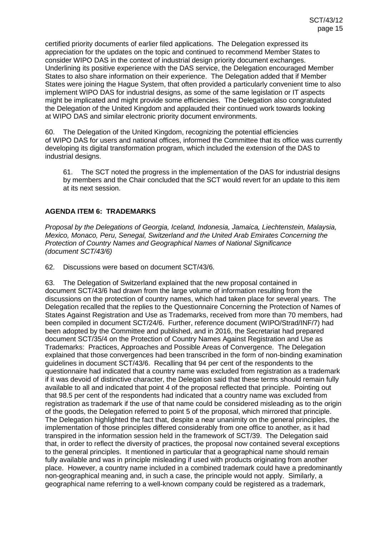certified priority documents of earlier filed applications. The Delegation expressed its appreciation for the updates on the topic and continued to recommend Member States to consider WIPO DAS in the context of industrial design priority document exchanges. Underlining its positive experience with the DAS service, the Delegation encouraged Member States to also share information on their experience. The Delegation added that if Member States were joining the Hague System, that often provided a particularly convenient time to also implement WIPO DAS for industrial designs, as some of the same legislation or IT aspects might be implicated and might provide some efficiencies. The Delegation also congratulated the Delegation of the United Kingdom and applauded their continued work towards looking at WIPO DAS and similar electronic priority document environments.

60. The Delegation of the United Kingdom, recognizing the potential efficiencies of WIPO DAS for users and national offices, informed the Committee that its office was currently developing its digital transformation program, which included the extension of the DAS to industrial designs.

61. The SCT noted the progress in the implementation of the DAS for industrial designs by members and the Chair concluded that the SCT would revert for an update to this item at its next session.

## **AGENDA ITEM 6: TRADEMARKS**

*Proposal by the Delegations of Georgia, Iceland, Indonesia, Jamaica, Liechtenstein, Malaysia, Mexico, Monaco, Peru, Senegal, Switzerland and the United Arab Emirates Concerning the Protection of Country Names and Geographical Names of National Significance (document SCT/43/6)*

62. Discussions were based on document SCT/43/6.

63. The Delegation of Switzerland explained that the new proposal contained in document SCT/43/6 had drawn from the large volume of information resulting from the discussions on the protection of country names, which had taken place for several years. The Delegation recalled that the replies to the Questionnaire Concerning the Protection of Names of States Against Registration and Use as Trademarks, received from more than 70 members, had been compiled in document SCT/24/6. Further, reference document (WIPO/Strad/INF/7) had been adopted by the Committee and published, and in 2016, the Secretariat had prepared document SCT/35/4 on the Protection of Country Names Against Registration and Use as Trademarks: Practices, Approaches and Possible Areas of Convergence. The Delegation explained that those convergences had been transcribed in the form of non-binding examination guidelines in document SCT/43/6. Recalling that 94 per cent of the respondents to the questionnaire had indicated that a country name was excluded from registration as a trademark if it was devoid of distinctive character, the Delegation said that these terms should remain fully available to all and indicated that point 4 of the proposal reflected that principle. Pointing out that 98.5 per cent of the respondents had indicated that a country name was excluded from registration as trademark if the use of that name could be considered misleading as to the origin of the goods, the Delegation referred to point 5 of the proposal, which mirrored that principle. The Delegation highlighted the fact that, despite a near unanimity on the general principles, the implementation of those principles differed considerably from one office to another, as it had transpired in the information session held in the framework of SCT/39. The Delegation said that, in order to reflect the diversity of practices, the proposal now contained several exceptions to the general principles. It mentioned in particular that a geographical name should remain fully available and was in principle misleading if used with products originating from another place. However, a country name included in a combined trademark could have a predominantly non-geographical meaning and, in such a case, the principle would not apply. Similarly, a geographical name referring to a well-known company could be registered as a trademark,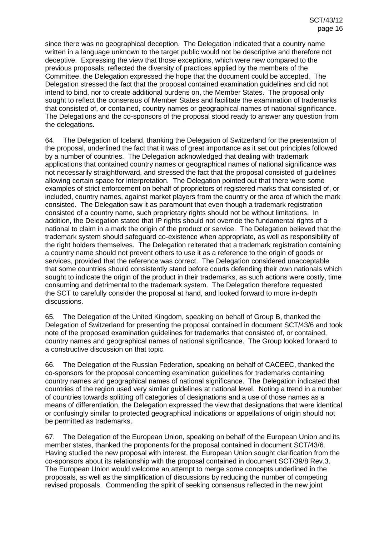since there was no geographical deception. The Delegation indicated that a country name written in a language unknown to the target public would not be descriptive and therefore not deceptive. Expressing the view that those exceptions, which were new compared to the previous proposals, reflected the diversity of practices applied by the members of the Committee, the Delegation expressed the hope that the document could be accepted. The Delegation stressed the fact that the proposal contained examination guidelines and did not intend to bind, nor to create additional burdens on, the Member States. The proposal only sought to reflect the consensus of Member States and facilitate the examination of trademarks that consisted of, or contained, country names or geographical names of national significance. The Delegations and the co-sponsors of the proposal stood ready to answer any question from the delegations.

64. The Delegation of Iceland, thanking the Delegation of Switzerland for the presentation of the proposal, underlined the fact that it was of great importance as it set out principles followed by a number of countries. The Delegation acknowledged that dealing with trademark applications that contained country names or geographical names of national significance was not necessarily straightforward, and stressed the fact that the proposal consisted of guidelines allowing certain space for interpretation. The Delegation pointed out that there were some examples of strict enforcement on behalf of proprietors of registered marks that consisted of, or included, country names, against market players from the country or the area of which the mark consisted. The Delegation saw it as paramount that even though a trademark registration consisted of a country name, such proprietary rights should not be without limitations. In addition, the Delegation stated that IP rights should not override the fundamental rights of a national to claim in a mark the origin of the product or service. The Delegation believed that the trademark system should safeguard co-existence when appropriate, as well as responsibility of the right holders themselves. The Delegation reiterated that a trademark registration containing a country name should not prevent others to use it as a reference to the origin of goods or services, provided that the reference was correct. The Delegation considered unacceptable that some countries should consistently stand before courts defending their own nationals which sought to indicate the origin of the product in their trademarks, as such actions were costly, time consuming and detrimental to the trademark system. The Delegation therefore requested the SCT to carefully consider the proposal at hand, and looked forward to more in-depth discussions.

65. The Delegation of the United Kingdom, speaking on behalf of Group B, thanked the Delegation of Switzerland for presenting the proposal contained in document SCT/43/6 and took note of the proposed examination guidelines for trademarks that consisted of, or contained, country names and geographical names of national significance. The Group looked forward to a constructive discussion on that topic.

66. The Delegation of the Russian Federation, speaking on behalf of CACEEC, thanked the co-sponsors for the proposal concerning examination guidelines for trademarks containing country names and geographical names of national significance. The Delegation indicated that countries of the region used very similar guidelines at national level. Noting a trend in a number of countries towards splitting off categories of designations and a use of those names as a means of differentiation, the Delegation expressed the view that designations that were identical or confusingly similar to protected geographical indications or appellations of origin should not be permitted as trademarks.

67. The Delegation of the European Union, speaking on behalf of the European Union and its member states, thanked the proponents for the proposal contained in document SCT/43/6. Having studied the new proposal with interest, the European Union sought clarification from the co-sponsors about its relationship with the proposal contained in document SCT/39/8 Rev.3. The European Union would welcome an attempt to merge some concepts underlined in the proposals, as well as the simplification of discussions by reducing the number of competing revised proposals. Commending the spirit of seeking consensus reflected in the new joint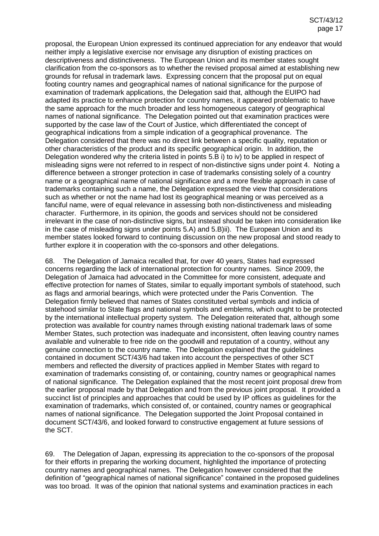proposal, the European Union expressed its continued appreciation for any endeavor that would neither imply a legislative exercise nor envisage any disruption of existing practices on descriptiveness and distinctiveness. The European Union and its member states sought clarification from the co-sponsors as to whether the revised proposal aimed at establishing new grounds for refusal in trademark laws. Expressing concern that the proposal put on equal footing country names and geographical names of national significance for the purpose of examination of trademark applications, the Delegation said that, although the EUIPO had adapted its practice to enhance protection for country names, it appeared problematic to have the same approach for the much broader and less homogeneous category of geographical names of national significance. The Delegation pointed out that examination practices were supported by the case law of the Court of Justice, which differentiated the concept of geographical indications from a simple indication of a geographical provenance. The Delegation considered that there was no direct link between a specific quality, reputation or other characteristics of the product and its specific geographical origin. In addition, the Delegation wondered why the criteria listed in points 5.B i) to iv) to be applied in respect of misleading signs were not referred to in respect of non-distinctive signs under point 4. Noting a difference between a stronger protection in case of trademarks consisting solely of a country name or a geographical name of national significance and a more flexible approach in case of trademarks containing such a name, the Delegation expressed the view that considerations such as whether or not the name had lost its geographical meaning or was perceived as a fanciful name, were of equal relevance in assessing both non-distinctiveness and misleading character. Furthermore, in its opinion, the goods and services should not be considered irrelevant in the case of non-distinctive signs, but instead should be taken into consideration like in the case of misleading signs under points 5.A) and 5.B)ii). The European Union and its member states looked forward to continuing discussion on the new proposal and stood ready to further explore it in cooperation with the co-sponsors and other delegations.

68. The Delegation of Jamaica recalled that, for over 40 years, States had expressed concerns regarding the lack of international protection for country names. Since 2009, the Delegation of Jamaica had advocated in the Committee for more consistent, adequate and effective protection for names of States, similar to equally important symbols of statehood, such as flags and armorial bearings, which were protected under the Paris Convention. The Delegation firmly believed that names of States constituted verbal symbols and indicia of statehood similar to State flags and national symbols and emblems, which ought to be protected by the international intellectual property system. The Delegation reiterated that, although some protection was available for country names through existing national trademark laws of some Member States, such protection was inadequate and inconsistent, often leaving country names available and vulnerable to free ride on the goodwill and reputation of a country, without any genuine connection to the country name. The Delegation explained that the guidelines contained in document SCT/43/6 had taken into account the perspectives of other SCT members and reflected the diversity of practices applied in Member States with regard to examination of trademarks consisting of, or containing, country names or geographical names of national significance. The Delegation explained that the most recent joint proposal drew from the earlier proposal made by that Delegation and from the previous joint proposal. It provided a succinct list of principles and approaches that could be used by IP offices as guidelines for the examination of trademarks, which consisted of, or contained, country names or geographical names of national significance. The Delegation supported the Joint Proposal contained in document SCT/43/6, and looked forward to constructive engagement at future sessions of the SCT.

69. The Delegation of Japan, expressing its appreciation to the co-sponsors of the proposal for their efforts in preparing the working document, highlighted the importance of protecting country names and geographical names. The Delegation however considered that the definition of "geographical names of national significance" contained in the proposed guidelines was too broad. It was of the opinion that national systems and examination practices in each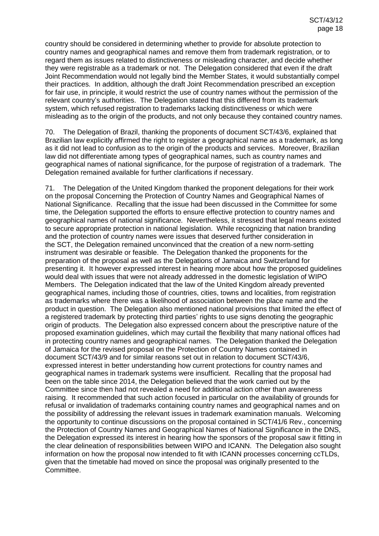country should be considered in determining whether to provide for absolute protection to country names and geographical names and remove them from trademark registration, or to regard them as issues related to distinctiveness or misleading character, and decide whether they were registrable as a trademark or not. The Delegation considered that even if the draft Joint Recommendation would not legally bind the Member States, it would substantially compel their practices. In addition, although the draft Joint Recommendation prescribed an exception for fair use, in principle, it would restrict the use of country names without the permission of the relevant country's authorities. The Delegation stated that this differed from its trademark system, which refused registration to trademarks lacking distinctiveness or which were misleading as to the origin of the products, and not only because they contained country names.

70. The Delegation of Brazil, thanking the proponents of document SCT/43/6, explained that Brazilian law explicitly affirmed the right to register a geographical name as a trademark, as long as it did not lead to confusion as to the origin of the products and services. Moreover, Brazilian law did not differentiate among types of geographical names, such as country names and geographical names of national significance, for the purpose of registration of a trademark. The Delegation remained available for further clarifications if necessary.

71. The Delegation of the United Kingdom thanked the proponent delegations for their work on the proposal Concerning the Protection of Country Names and Geographical Names of National Significance. Recalling that the issue had been discussed in the Committee for some time, the Delegation supported the efforts to ensure effective protection to country names and geographical names of national significance. Nevertheless, it stressed that legal means existed to secure appropriate protection in national legislation. While recognizing that nation branding and the protection of country names were issues that deserved further consideration in the SCT, the Delegation remained unconvinced that the creation of a new norm-setting instrument was desirable or feasible. The Delegation thanked the proponents for the preparation of the proposal as well as the Delegations of Jamaica and Switzerland for presenting it. It however expressed interest in hearing more about how the proposed guidelines would deal with issues that were not already addressed in the domestic legislation of WIPO Members. The Delegation indicated that the law of the United Kingdom already prevented geographical names, including those of countries, cities, towns and localities, from registration as trademarks where there was a likelihood of association between the place name and the product in question. The Delegation also mentioned national provisions that limited the effect of a registered trademark by protecting third parties' rights to use signs denoting the geographic origin of products. The Delegation also expressed concern about the prescriptive nature of the proposed examination guidelines, which may curtail the flexibility that many national offices had in protecting country names and geographical names. The Delegation thanked the Delegation of Jamaica for the revised proposal on the Protection of Country Names contained in document SCT/43/9 and for similar reasons set out in relation to document SCT/43/6, expressed interest in better understanding how current protections for country names and geographical names in trademark systems were insufficient. Recalling that the proposal had been on the table since 2014, the Delegation believed that the work carried out by the Committee since then had not revealed a need for additional action other than awareness raising. It recommended that such action focused in particular on the availability of grounds for refusal or invalidation of trademarks containing country names and geographical names and on the possibility of addressing the relevant issues in trademark examination manuals. Welcoming the opportunity to continue discussions on the proposal contained in SCT/41/6 Rev., concerning the Protection of Country Names and Geographical Names of National Significance in the DNS, the Delegation expressed its interest in hearing how the sponsors of the proposal saw it fitting in the clear delineation of responsibilities between WIPO and ICANN. The Delegation also sought information on how the proposal now intended to fit with ICANN processes concerning ccTLDs, given that the timetable had moved on since the proposal was originally presented to the Committee.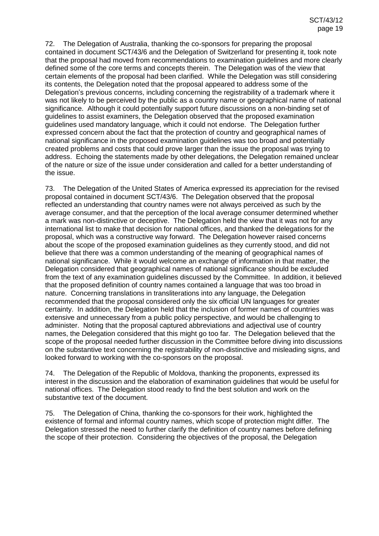72. The Delegation of Australia, thanking the co-sponsors for preparing the proposal contained in document SCT/43/6 and the Delegation of Switzerland for presenting it, took note that the proposal had moved from recommendations to examination guidelines and more clearly defined some of the core terms and concepts therein. The Delegation was of the view that certain elements of the proposal had been clarified. While the Delegation was still considering its contents, the Delegation noted that the proposal appeared to address some of the Delegation's previous concerns, including concerning the registrability of a trademark where it was not likely to be perceived by the public as a country name or geographical name of national significance. Although it could potentially support future discussions on a non-binding set of guidelines to assist examiners, the Delegation observed that the proposed examination guidelines used mandatory language, which it could not endorse. The Delegation further expressed concern about the fact that the protection of country and geographical names of national significance in the proposed examination guidelines was too broad and potentially created problems and costs that could prove larger than the issue the proposal was trying to address. Echoing the statements made by other delegations, the Delegation remained unclear of the nature or size of the issue under consideration and called for a better understanding of the issue.

73. The Delegation of the United States of America expressed its appreciation for the revised proposal contained in document SCT/43/6. The Delegation observed that the proposal reflected an understanding that country names were not always perceived as such by the average consumer, and that the perception of the local average consumer determined whether a mark was non-distinctive or deceptive. The Delegation held the view that it was not for any international list to make that decision for national offices, and thanked the delegations for the proposal, which was a constructive way forward. The Delegation however raised concerns about the scope of the proposed examination guidelines as they currently stood, and did not believe that there was a common understanding of the meaning of geographical names of national significance. While it would welcome an exchange of information in that matter, the Delegation considered that geographical names of national significance should be excluded from the text of any examination guidelines discussed by the Committee. In addition, it believed that the proposed definition of country names contained a language that was too broad in nature. Concerning translations in transliterations into any language, the Delegation recommended that the proposal considered only the six official UN languages for greater certainty. In addition, the Delegation held that the inclusion of former names of countries was extensive and unnecessary from a public policy perspective, and would be challenging to administer. Noting that the proposal captured abbreviations and adjectival use of country names, the Delegation considered that this might go too far. The Delegation believed that the scope of the proposal needed further discussion in the Committee before diving into discussions on the substantive text concerning the registrability of non-distinctive and misleading signs, and looked forward to working with the co-sponsors on the proposal.

74. The Delegation of the Republic of Moldova, thanking the proponents, expressed its interest in the discussion and the elaboration of examination guidelines that would be useful for national offices. The Delegation stood ready to find the best solution and work on the substantive text of the document.

75. The Delegation of China, thanking the co-sponsors for their work, highlighted the existence of formal and informal country names, which scope of protection might differ. The Delegation stressed the need to further clarify the definition of country names before defining the scope of their protection. Considering the objectives of the proposal, the Delegation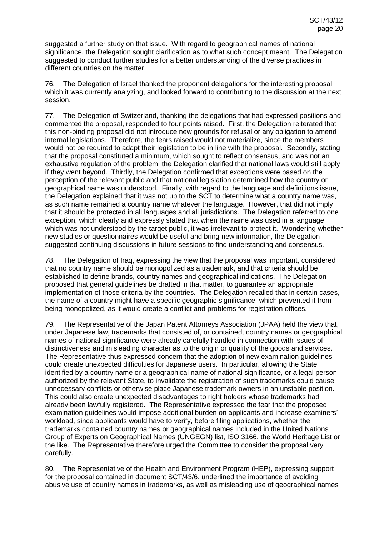suggested a further study on that issue. With regard to geographical names of national significance, the Delegation sought clarification as to what such concept meant. The Delegation suggested to conduct further studies for a better understanding of the diverse practices in different countries on the matter.

76. The Delegation of Israel thanked the proponent delegations for the interesting proposal, which it was currently analyzing, and looked forward to contributing to the discussion at the next session.

77. The Delegation of Switzerland, thanking the delegations that had expressed positions and commented the proposal, responded to four points raised. First, the Delegation reiterated that this non-binding proposal did not introduce new grounds for refusal or any obligation to amend internal legislations. Therefore, the fears raised would not materialize, since the members would not be required to adapt their legislation to be in line with the proposal. Secondly, stating that the proposal constituted a minimum, which sought to reflect consensus, and was not an exhaustive regulation of the problem, the Delegation clarified that national laws would still apply if they went beyond. Thirdly, the Delegation confirmed that exceptions were based on the perception of the relevant public and that national legislation determined how the country or geographical name was understood. Finally, with regard to the language and definitions issue, the Delegation explained that it was not up to the SCT to determine what a country name was, as such name remained a country name whatever the language. However, that did not imply that it should be protected in all languages and all jurisdictions. The Delegation referred to one exception, which clearly and expressly stated that when the name was used in a language which was not understood by the target public, it was irrelevant to protect it. Wondering whether new studies or questionnaires would be useful and bring new information, the Delegation suggested continuing discussions in future sessions to find understanding and consensus.

78. The Delegation of Iraq, expressing the view that the proposal was important, considered that no country name should be monopolized as a trademark, and that criteria should be established to define brands, country names and geographical indications. The Delegation proposed that general guidelines be drafted in that matter, to guarantee an appropriate implementation of those criteria by the countries. The Delegation recalled that in certain cases, the name of a country might have a specific geographic significance, which prevented it from being monopolized, as it would create a conflict and problems for registration offices.

79. The Representative of the Japan Patent Attorneys Association (JPAA) held the view that, under Japanese law, trademarks that consisted of, or contained, country names or geographical names of national significance were already carefully handled in connection with issues of distinctiveness and misleading character as to the origin or quality of the goods and services. The Representative thus expressed concern that the adoption of new examination guidelines could create unexpected difficulties for Japanese users. In particular, allowing the State identified by a country name or a geographical name of national significance, or a legal person authorized by the relevant State, to invalidate the registration of such trademarks could cause unnecessary conflicts or otherwise place Japanese trademark owners in an unstable position. This could also create unexpected disadvantages to right holders whose trademarks had already been lawfully registered. The Representative expressed the fear that the proposed examination guidelines would impose additional burden on applicants and increase examiners' workload, since applicants would have to verify, before filing applications, whether the trademarks contained country names or geographical names included in the United Nations Group of Experts on Geographical Names (UNGEGN) list, ISO 3166, the World Heritage List or the like. The Representative therefore urged the Committee to consider the proposal very carefully.

80. The Representative of the Health and Environment Program (HEP), expressing support for the proposal contained in document SCT/43/6, underlined the importance of avoiding abusive use of country names in trademarks, as well as misleading use of geographical names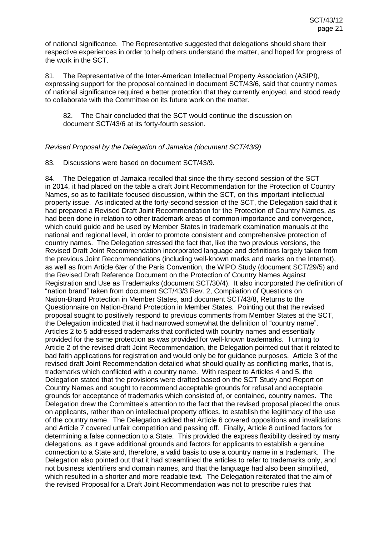of national significance. The Representative suggested that delegations should share their respective experiences in order to help others understand the matter, and hoped for progress of the work in the SCT.

81. The Representative of the Inter-American Intellectual Property Association (ASIPI), expressing support for the proposal contained in document SCT/43/6, said that country names of national significance required a better protection that they currently enjoyed, and stood ready to collaborate with the Committee on its future work on the matter.

82. The Chair concluded that the SCT would continue the discussion on document SCT/43/6 at its forty-fourth session.

## *Revised Proposal by the Delegation of Jamaica (document SCT/43/9)*

83. Discussions were based on document SCT/43/9.

84. The Delegation of Jamaica recalled that since the thirty-second session of the SCT in 2014, it had placed on the table a draft Joint Recommendation for the Protection of Country Names, so as to facilitate focused discussion, within the SCT, on this important intellectual property issue. As indicated at the forty-second session of the SCT, the Delegation said that it had prepared a Revised Draft Joint Recommendation for the Protection of Country Names, as had been done in relation to other trademark areas of common importance and convergence, which could guide and be used by Member States in trademark examination manuals at the national and regional level, in order to promote consistent and comprehensive protection of country names. The Delegation stressed the fact that, like the two previous versions, the Revised Draft Joint Recommendation incorporated language and definitions largely taken from the previous Joint Recommendations (including well-known marks and marks on the Internet), as well as from Article 6*ter* of the Paris Convention, the WIPO Study (document SCT/29/5) and the Revised Draft Reference Document on the Protection of Country Names Against Registration and Use as Trademarks (document SCT/30/4). It also incorporated the definition of "nation brand" taken from document SCT/43/3 Rev. 2, Compilation of Questions on Nation-Brand Protection in Member States, and document SCT/43/8, Returns to the Questionnaire on Nation-Brand Protection in Member States. Pointing out that the revised proposal sought to positively respond to previous comments from Member States at the SCT, the Delegation indicated that it had narrowed somewhat the definition of "country name". Articles 2 to 5 addressed trademarks that conflicted with country names and essentially provided for the same protection as was provided for well-known trademarks. Turning to Article 2 of the revised draft Joint Recommendation, the Delegation pointed out that it related to bad faith applications for registration and would only be for guidance purposes. Article 3 of the revised draft Joint Recommendation detailed what should qualify as conflicting marks, that is, trademarks which conflicted with a country name. With respect to Articles 4 and 5, the Delegation stated that the provisions were drafted based on the SCT Study and Report on Country Names and sought to recommend acceptable grounds for refusal and acceptable grounds for acceptance of trademarks which consisted of, or contained, country names. The Delegation drew the Committee's attention to the fact that the revised proposal placed the onus on applicants, rather than on intellectual property offices, to establish the legitimacy of the use of the country name. The Delegation added that Article 6 covered oppositions and invalidations and Article 7 covered unfair competition and passing off. Finally, Article 8 outlined factors for determining a false connection to a State. This provided the express flexibility desired by many delegations, as it gave additional grounds and factors for applicants to establish a genuine connection to a State and, therefore, a valid basis to use a country name in a trademark. The Delegation also pointed out that it had streamlined the articles to refer to trademarks only, and not business identifiers and domain names, and that the language had also been simplified, which resulted in a shorter and more readable text. The Delegation reiterated that the aim of the revised Proposal for a Draft Joint Recommendation was not to prescribe rules that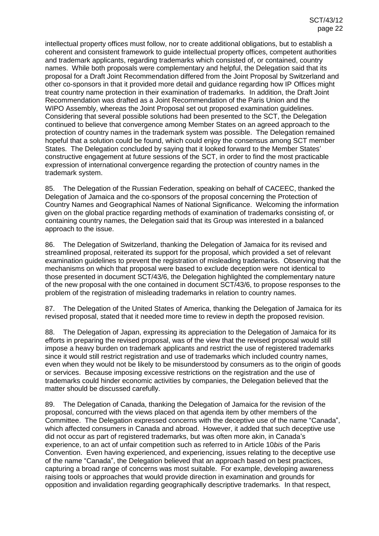intellectual property offices must follow, nor to create additional obligations, but to establish a coherent and consistent framework to guide intellectual property offices, competent authorities and trademark applicants, regarding trademarks which consisted of, or contained, country names. While both proposals were complementary and helpful, the Delegation said that its proposal for a Draft Joint Recommendation differed from the Joint Proposal by Switzerland and other co-sponsors in that it provided more detail and guidance regarding how IP Offices might treat country name protection in their examination of trademarks. In addition, the Draft Joint Recommendation was drafted as a Joint Recommendation of the Paris Union and the WIPO Assembly, whereas the Joint Proposal set out proposed examination guidelines. Considering that several possible solutions had been presented to the SCT, the Delegation continued to believe that convergence among Member States on an agreed approach to the protection of country names in the trademark system was possible. The Delegation remained hopeful that a solution could be found, which could enjoy the consensus among SCT member States. The Delegation concluded by saying that it looked forward to the Member States' constructive engagement at future sessions of the SCT, in order to find the most practicable expression of international convergence regarding the protection of country names in the trademark system.

85. The Delegation of the Russian Federation, speaking on behalf of CACEEC, thanked the Delegation of Jamaica and the co-sponsors of the proposal concerning the Protection of Country Names and Geographical Names of National Significance. Welcoming the information given on the global practice regarding methods of examination of trademarks consisting of, or containing country names, the Delegation said that its Group was interested in a balanced approach to the issue.

86. The Delegation of Switzerland, thanking the Delegation of Jamaica for its revised and streamlined proposal, reiterated its support for the proposal, which provided a set of relevant examination guidelines to prevent the registration of misleading trademarks. Observing that the mechanisms on which that proposal were based to exclude deception were not identical to those presented in document SCT/43/6, the Delegation highlighted the complementary nature of the new proposal with the one contained in document SCT/43/6, to propose responses to the problem of the registration of misleading trademarks in relation to country names.

87. The Delegation of the United States of America, thanking the Delegation of Jamaica for its revised proposal, stated that it needed more time to review in depth the proposed revision.

88. The Delegation of Japan, expressing its appreciation to the Delegation of Jamaica for its efforts in preparing the revised proposal, was of the view that the revised proposal would still impose a heavy burden on trademark applicants and restrict the use of registered trademarks since it would still restrict registration and use of trademarks which included country names, even when they would not be likely to be misunderstood by consumers as to the origin of goods or services. Because imposing excessive restrictions on the registration and the use of trademarks could hinder economic activities by companies, the Delegation believed that the matter should be discussed carefully.

89. The Delegation of Canada, thanking the Delegation of Jamaica for the revision of the proposal, concurred with the views placed on that agenda item by other members of the Committee. The Delegation expressed concerns with the deceptive use of the name "Canada", which affected consumers in Canada and abroad. However, it added that such deceptive use did not occur as part of registered trademarks, but was often more akin, in Canada's experience, to an act of unfair competition such as referred to in Article 10*bis* of the Paris Convention. Even having experienced, and experiencing, issues relating to the deceptive use of the name "Canada", the Delegation believed that an approach based on best practices, capturing a broad range of concerns was most suitable. For example, developing awareness raising tools or approaches that would provide direction in examination and grounds for opposition and invalidation regarding geographically descriptive trademarks. In that respect,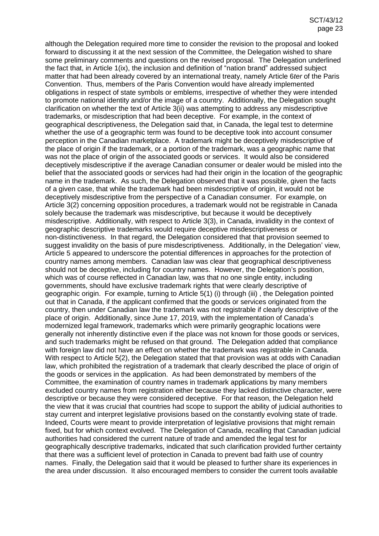although the Delegation required more time to consider the revision to the proposal and looked forward to discussing it at the next session of the Committee, the Delegation wished to share some preliminary comments and questions on the revised proposal. The Delegation underlined the fact that, in Article 1(ix), the inclusion and definition of "nation brand" addressed subject matter that had been already covered by an international treaty, namely Article 6*ter* of the Paris Convention. Thus, members of the Paris Convention would have already implemented obligations in respect of state symbols or emblems, irrespective of whether they were intended to promote national identity and/or the image of a country. Additionally, the Delegation sought clarification on whether the text of Article 3(ii) was attempting to address any misdescriptive trademarks, or misdescription that had been deceptive. For example, in the context of geographical descriptiveness, the Delegation said that, in Canada, the legal test to determine whether the use of a geographic term was found to be deceptive took into account consumer perception in the Canadian marketplace. A trademark might be deceptively misdescriptive of the place of origin if the trademark, or a portion of the trademark, was a geographic name that was not the place of origin of the associated goods or services. It would also be considered deceptively misdescriptive if the average Canadian consumer or dealer would be misled into the belief that the associated goods or services had had their origin in the location of the geographic name in the trademark. As such, the Delegation observed that it was possible, given the facts of a given case, that while the trademark had been misdescriptive of origin, it would not be deceptively misdescriptive from the perspective of a Canadian consumer. For example, on Article 3(2) concerning opposition procedures, a trademark would not be registrable in Canada solely because the trademark was misdescriptive, but because it would be deceptively misdescriptive. Additionally, with respect to Article 3(3), in Canada, invalidity in the context of geographic descriptive trademarks would require deceptive misdescriptiveness or non-distinctiveness. In that regard, the Delegation considered that that provision seemed to suggest invalidity on the basis of pure misdescriptiveness. Additionally, in the Delegation' view, Article 5 appeared to underscore the potential differences in approaches for the protection of country names among members. Canadian law was clear that geographical descriptiveness should not be deceptive, including for country names. However, the Delegation's position, which was of course reflected in Canadian law, was that no one single entity, including governments, should have exclusive trademark rights that were clearly descriptive of geographic origin. For example, turning to Article 5(1) (i) through (iii) , the Delegation pointed out that in Canada, if the applicant confirmed that the goods or services originated from the country, then under Canadian law the trademark was not registrable if clearly descriptive of the place of origin. Additionally, since June 17, 2019, with the implementation of Canada's modernized legal framework, trademarks which were primarily geographic locations were generally not inherently distinctive even if the place was not known for those goods or services, and such trademarks might be refused on that ground. The Delegation added that compliance with foreign law did not have an effect on whether the trademark was registrable in Canada. With respect to Article 5(2), the Delegation stated that that provision was at odds with Canadian law, which prohibited the registration of a trademark that clearly described the place of origin of the goods or services in the application. As had been demonstrated by members of the Committee, the examination of country names in trademark applications by many members excluded country names from registration either because they lacked distinctive character, were descriptive or because they were considered deceptive. For that reason, the Delegation held the view that it was crucial that countries had scope to support the ability of judicial authorities to stay current and interpret legislative provisions based on the constantly evolving state of trade. Indeed, Courts were meant to provide interpretation of legislative provisions that might remain fixed, but for which context evolved. The Delegation of Canada, recalling that Canadian judicial authorities had considered the current nature of trade and amended the legal test for geographically descriptive trademarks, indicated that such clarification provided further certainty that there was a sufficient level of protection in Canada to prevent bad faith use of country names. Finally, the Delegation said that it would be pleased to further share its experiences in the area under discussion. It also encouraged members to consider the current tools available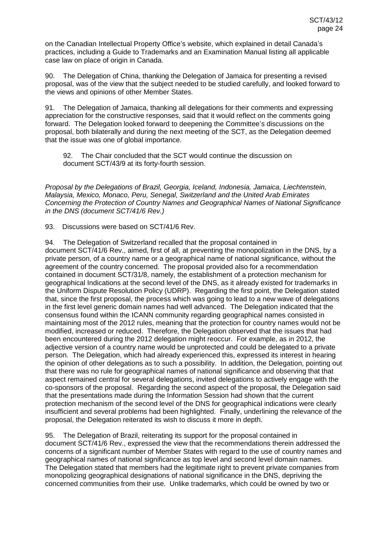on the Canadian Intellectual Property Office's website, which explained in detail Canada's practices, including a Guide to Trademarks and an Examination Manual listing all applicable case law on place of origin in Canada.

90. The Delegation of China, thanking the Delegation of Jamaica for presenting a revised proposal, was of the view that the subject needed to be studied carefully, and looked forward to the views and opinions of other Member States.

91. The Delegation of Jamaica, thanking all delegations for their comments and expressing appreciation for the constructive responses, said that it would reflect on the comments going forward. The Delegation looked forward to deepening the Committee's discussions on the proposal, both bilaterally and during the next meeting of the SCT, as the Delegation deemed that the issue was one of global importance.

92. The Chair concluded that the SCT would continue the discussion on document SCT/43/9 at its forty-fourth session.

*Proposal by the Delegations of Brazil, Georgia, Iceland, Indonesia, Jamaica, Liechtenstein, Malaysia, Mexico, Monaco, Peru, Senegal, Switzerland and the United Arab Emirates Concerning the Protection of Country Names and Geographical Names of National Significance in the DNS (document SCT/41/6 Rev.)*

93. Discussions were based on SCT/41/6 Rev.

94. The Delegation of Switzerland recalled that the proposal contained in document SCT/41/6 Rev., aimed, first of all, at preventing the monopolization in the DNS, by a private person, of a country name or a geographical name of national significance, without the agreement of the country concerned. The proposal provided also for a recommendation contained in document SCT/31/8, namely, the establishment of a protection mechanism for geographical Indications at the second level of the DNS, as it already existed for trademarks in the Uniform Dispute Resolution Policy (UDRP). Regarding the first point, the Delegation stated that, since the first proposal, the process which was going to lead to a new wave of delegations in the first level generic domain names had well advanced. The Delegation indicated that the consensus found within the ICANN community regarding geographical names consisted in maintaining most of the 2012 rules, meaning that the protection for country names would not be modified, increased or reduced. Therefore, the Delegation observed that the issues that had been encountered during the 2012 delegation might reoccur. For example, as in 2012, the adjective version of a country name would be unprotected and could be delegated to a private person. The Delegation, which had already experienced this, expressed its interest in hearing the opinion of other delegations as to such a possibility. In addition, the Delegation, pointing out that there was no rule for geographical names of national significance and observing that that aspect remained central for several delegations, invited delegations to actively engage with the co-sponsors of the proposal. Regarding the second aspect of the proposal, the Delegation said that the presentations made during the Information Session had shown that the current protection mechanism of the second level of the DNS for geographical indications were clearly insufficient and several problems had been highlighted. Finally, underlining the relevance of the proposal, the Delegation reiterated its wish to discuss it more in depth.

95. The Delegation of Brazil, reiterating its support for the proposal contained in document SCT/41/6 Rev., expressed the view that the recommendations therein addressed the concerns of a significant number of Member States with regard to the use of country names and geographical names of national significance as top level and second level domain names. The Delegation stated that members had the legitimate right to prevent private companies from monopolizing geographical designations of national significance in the DNS, depriving the concerned communities from their use. Unlike trademarks, which could be owned by two or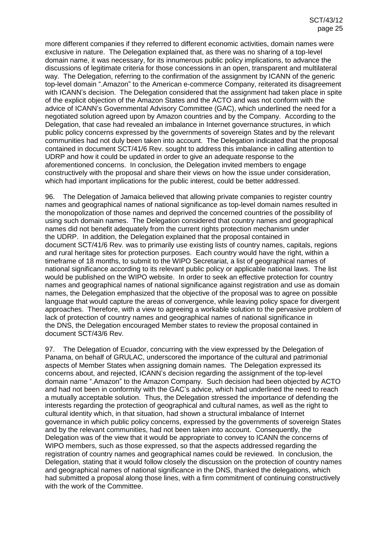more different companies if they referred to different economic activities, domain names were exclusive in nature. The Delegation explained that, as there was no sharing of a top-level domain name, it was necessary, for its innumerous public policy implications, to advance the discussions of legitimate criteria for those concessions in an open, transparent and multilateral way. The Delegation, referring to the confirmation of the assignment by ICANN of the generic top-level domain ".Amazon" to the American e-commerce Company, reiterated its disagreement with ICANN's decision. The Delegation considered that the assignment had taken place in spite of the explicit objection of the Amazon States and the ACTO and was not conform with the advice of ICANN's Governmental Advisory Committee (GAC), which underlined the need for a negotiated solution agreed upon by Amazon countries and by the Company. According to the Delegation, that case had revealed an imbalance in Internet governance structures, in which public policy concerns expressed by the governments of sovereign States and by the relevant communities had not duly been taken into account. The Delegation indicated that the proposal contained in document SCT/41/6 Rev. sought to address this imbalance in calling attention to UDRP and how it could be updated in order to give an adequate response to the aforementioned concerns. In conclusion, the Delegation invited members to engage constructively with the proposal and share their views on how the issue under consideration, which had important implications for the public interest, could be better addressed.

96. The Delegation of Jamaica believed that allowing private companies to register country names and geographical names of national significance as top-level domain names resulted in the monopolization of those names and deprived the concerned countries of the possibility of using such domain names. The Delegation considered that country names and geographical names did not benefit adequately from the current rights protection mechanism under the UDRP. In addition, the Delegation explained that the proposal contained in document SCT/41/6 Rev. was to primarily use existing lists of country names, capitals, regions and rural heritage sites for protection purposes. Each country would have the right, within a timeframe of 18 months, to submit to the WIPO Secretariat, a list of geographical names of national significance according to its relevant public policy or applicable national laws. The list would be published on the WIPO website. In order to seek an effective protection for country names and geographical names of national significance against registration and use as domain names, the Delegation emphasized that the objective of the proposal was to agree on possible language that would capture the areas of convergence, while leaving policy space for divergent approaches. Therefore, with a view to agreeing a workable solution to the pervasive problem of lack of protection of country names and geographical names of national significance in the DNS, the Delegation encouraged Member states to review the proposal contained in document SCT/43/6 Rev.

97. The Delegation of Ecuador, concurring with the view expressed by the Delegation of Panama, on behalf of GRULAC, underscored the importance of the cultural and patrimonial aspects of Member States when assigning domain names. The Delegation expressed its concerns about, and rejected, ICANN's decision regarding the assignment of the top-level domain name ".Amazon" to the Amazon Company. Such decision had been objected by ACTO and had not been in conformity with the GAC's advice, which had underlined the need to reach a mutually acceptable solution. Thus, the Delegation stressed the importance of defending the interests regarding the protection of geographical and cultural names, as well as the right to cultural identity which, in that situation, had shown a structural imbalance of Internet governance in which public policy concerns, expressed by the governments of sovereign States and by the relevant communities, had not been taken into account. Consequently, the Delegation was of the view that it would be appropriate to convey to ICANN the concerns of WIPO members, such as those expressed, so that the aspects addressed regarding the registration of country names and geographical names could be reviewed. In conclusion, the Delegation, stating that it would follow closely the discussion on the protection of country names and geographical names of national significance in the DNS, thanked the delegations, which had submitted a proposal along those lines, with a firm commitment of continuing constructively with the work of the Committee.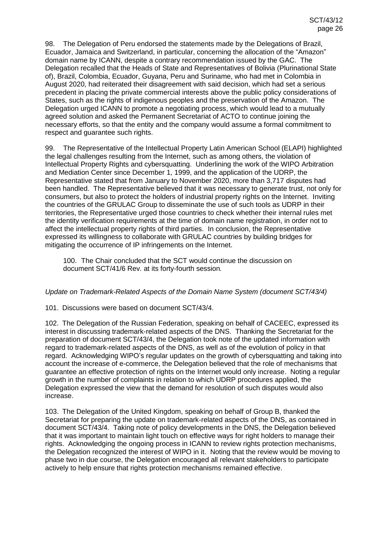98. The Delegation of Peru endorsed the statements made by the Delegations of Brazil, Ecuador, Jamaica and Switzerland, in particular, concerning the allocation of the "Amazon" domain name by ICANN, despite a contrary recommendation issued by the GAC. The Delegation recalled that the Heads of State and Representatives of Bolivia (Plurinational State of), Brazil, Colombia, Ecuador, Guyana, Peru and Suriname, who had met in Colombia in August 2020, had reiterated their disagreement with said decision, which had set a serious precedent in placing the private commercial interests above the public policy considerations of States, such as the rights of indigenous peoples and the preservation of the Amazon. The Delegation urged ICANN to promote a negotiating process, which would lead to a mutually agreed solution and asked the Permanent Secretariat of ACTO to continue joining the necessary efforts, so that the entity and the company would assume a formal commitment to respect and guarantee such rights.

99. The Representative of the Intellectual Property Latin American School (ELAPI) highlighted the legal challenges resulting from the Internet, such as among others, the violation of Intellectual Property Rights and cybersquatting. Underlining the work of the WIPO Arbitration and Mediation Center since December 1, 1999, and the application of the UDRP, the Representative stated that from January to November 2020, more than 3,717 disputes had been handled. The Representative believed that it was necessary to generate trust, not only for consumers, but also to protect the holders of industrial property rights on the Internet. Inviting the countries of the GRULAC Group to disseminate the use of such tools as UDRP in their territories, the Representative urged those countries to check whether their internal rules met the identity verification requirements at the time of domain name registration, in order not to affect the intellectual property rights of third parties. In conclusion, the Representative expressed its willingness to collaborate with GRULAC countries by building bridges for mitigating the occurrence of IP infringements on the Internet.

100. The Chair concluded that the SCT would continue the discussion on document SCT/41/6 Rev. at its forty-fourth session*.*

## *Update on Trademark-Related Aspects of the Domain Name System (document SCT/43/4)*

101. Discussions were based on document SCT/43/4.

102. The Delegation of the Russian Federation, speaking on behalf of CACEEC, expressed its interest in discussing trademark-related aspects of the DNS. Thanking the Secretariat for the preparation of document SCT/43/4, the Delegation took note of the updated information with regard to trademark-related aspects of the DNS, as well as of the evolution of policy in that regard. Acknowledging WIPO's regular updates on the growth of cybersquatting and taking into account the increase of e-commerce, the Delegation believed that the role of mechanisms that guarantee an effective protection of rights on the Internet would only increase. Noting a regular growth in the number of complaints in relation to which UDRP procedures applied, the Delegation expressed the view that the demand for resolution of such disputes would also increase.

103. The Delegation of the United Kingdom, speaking on behalf of Group B, thanked the Secretariat for preparing the update on trademark-related aspects of the DNS, as contained in document SCT/43/4. Taking note of policy developments in the DNS, the Delegation believed that it was important to maintain light touch on effective ways for right holders to manage their rights. Acknowledging the ongoing process in ICANN to review rights protection mechanisms, the Delegation recognized the interest of WIPO in it. Noting that the review would be moving to phase two in due course, the Delegation encouraged all relevant stakeholders to participate actively to help ensure that rights protection mechanisms remained effective.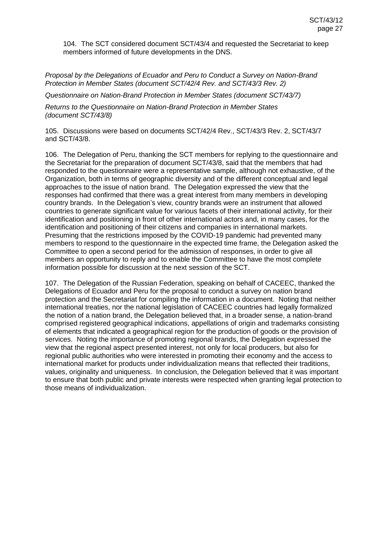104. The SCT considered document SCT/43/4 and requested the Secretariat to keep members informed of future developments in the DNS.

*Proposal by the Delegations of Ecuador and Peru to Conduct a Survey on Nation-Brand Protection in Member States (document SCT/42/4 Rev. and SCT/43/3 Rev. 2)*

*Questionnaire on Nation-Brand Protection in Member States (document SCT/43/7)*

*Returns to the Questionnaire on Nation-Brand Protection in Member States (document SCT/43/8)*

105. Discussions were based on documents SCT/42/4 Rev., SCT/43/3 Rev. 2, SCT/43/7 and SCT/43/8.

106. The Delegation of Peru, thanking the SCT members for replying to the questionnaire and the Secretariat for the preparation of document SCT/43/8, said that the members that had responded to the questionnaire were a representative sample, although not exhaustive, of the Organization, both in terms of geographic diversity and of the different conceptual and legal approaches to the issue of nation brand. The Delegation expressed the view that the responses had confirmed that there was a great interest from many members in developing country brands. In the Delegation's view, country brands were an instrument that allowed countries to generate significant value for various facets of their international activity, for their identification and positioning in front of other international actors and, in many cases, for the identification and positioning of their citizens and companies in international markets. Presuming that the restrictions imposed by the COVID-19 pandemic had prevented many members to respond to the questionnaire in the expected time frame, the Delegation asked the Committee to open a second period for the admission of responses, in order to give all members an opportunity to reply and to enable the Committee to have the most complete information possible for discussion at the next session of the SCT.

107. The Delegation of the Russian Federation, speaking on behalf of CACEEC, thanked the Delegations of Ecuador and Peru for the proposal to conduct a survey on nation brand protection and the Secretariat for compiling the information in a document. Noting that neither international treaties, nor the national legislation of CACEEC countries had legally formalized the notion of a nation brand, the Delegation believed that, in a broader sense, a nation-brand comprised registered geographical indications, appellations of origin and trademarks consisting of elements that indicated a geographical region for the production of goods or the provision of services. Noting the importance of promoting regional brands, the Delegation expressed the view that the regional aspect presented interest, not only for local producers, but also for regional public authorities who were interested in promoting their economy and the access to international market for products under individualization means that reflected their traditions, values, originality and uniqueness. In conclusion, the Delegation believed that it was important to ensure that both public and private interests were respected when granting legal protection to those means of individualization.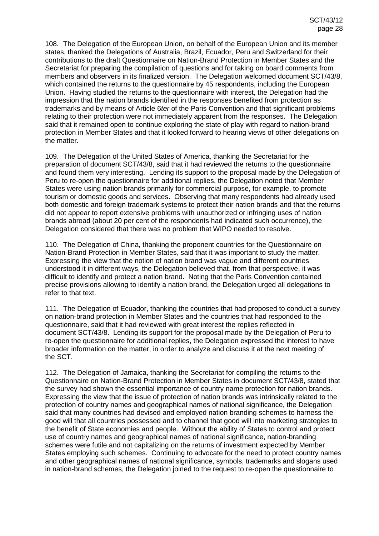108. The Delegation of the European Union, on behalf of the European Union and its member states, thanked the Delegations of Australia, Brazil, Ecuador, Peru and Switzerland for their contributions to the draft Questionnaire on Nation-Brand Protection in Member States and the Secretariat for preparing the compilation of questions and for taking on board comments from members and observers in its finalized version. The Delegation welcomed document SCT/43/8, which contained the returns to the questionnaire by 45 respondents, including the European Union. Having studied the returns to the questionnaire with interest, the Delegation had the impression that the nation brands identified in the responses benefited from protection as trademarks and by means of Article 6*ter* of the Paris Convention and that significant problems relating to their protection were not immediately apparent from the responses. The Delegation said that it remained open to continue exploring the state of play with regard to nation-brand protection in Member States and that it looked forward to hearing views of other delegations on the matter.

109. The Delegation of the United States of America, thanking the Secretariat for the preparation of document SCT/43/8, said that it had reviewed the returns to the questionnaire and found them very interesting. Lending its support to the proposal made by the Delegation of Peru to re-open the questionnaire for additional replies, the Delegation noted that Member States were using nation brands primarily for commercial purpose, for example, to promote tourism or domestic goods and services. Observing that many respondents had already used both domestic and foreign trademark systems to protect their nation brands and that the returns did not appear to report extensive problems with unauthorized or infringing uses of nation brands abroad (about 20 per cent of the respondents had indicated such occurrence), the Delegation considered that there was no problem that WIPO needed to resolve.

110. The Delegation of China, thanking the proponent countries for the Questionnaire on Nation-Brand Protection in Member States, said that it was important to study the matter. Expressing the view that the notion of nation brand was vague and different countries understood it in different ways, the Delegation believed that, from that perspective, it was difficult to identify and protect a nation brand. Noting that the Paris Convention contained precise provisions allowing to identify a nation brand, the Delegation urged all delegations to refer to that text.

111. The Delegation of Ecuador, thanking the countries that had proposed to conduct a survey on nation-brand protection in Member States and the countries that had responded to the questionnaire, said that it had reviewed with great interest the replies reflected in document SCT/43/8. Lending its support for the proposal made by the Delegation of Peru to re-open the questionnaire for additional replies, the Delegation expressed the interest to have broader information on the matter, in order to analyze and discuss it at the next meeting of the SCT.

112. The Delegation of Jamaica, thanking the Secretariat for compiling the returns to the Questionnaire on Nation-Brand Protection in Member States in document SCT/43/8, stated that the survey had shown the essential importance of country name protection for nation brands. Expressing the view that the issue of protection of nation brands was intrinsically related to the protection of country names and geographical names of national significance, the Delegation said that many countries had devised and employed nation branding schemes to harness the good will that all countries possessed and to channel that good will into marketing strategies to the benefit of State economies and people. Without the ability of States to control and protect use of country names and geographical names of national significance, nation-branding schemes were futile and not capitalizing on the returns of investment expected by Member States employing such schemes. Continuing to advocate for the need to protect country names and other geographical names of national significance, symbols, trademarks and slogans used in nation-brand schemes, the Delegation joined to the request to re-open the questionnaire to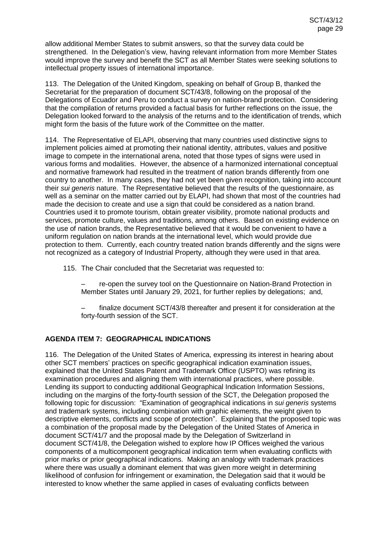allow additional Member States to submit answers, so that the survey data could be strengthened. In the Delegation's view, having relevant information from more Member States would improve the survey and benefit the SCT as all Member States were seeking solutions to intellectual property issues of international importance.

113. The Delegation of the United Kingdom, speaking on behalf of Group B, thanked the Secretariat for the preparation of document SCT/43/8, following on the proposal of the Delegations of Ecuador and Peru to conduct a survey on nation-brand protection. Considering that the compilation of returns provided a factual basis for further reflections on the issue, the Delegation looked forward to the analysis of the returns and to the identification of trends, which might form the basis of the future work of the Committee on the matter.

114. The Representative of ELAPI, observing that many countries used distinctive signs to implement policies aimed at promoting their national identity, attributes, values and positive image to compete in the international arena, noted that those types of signs were used in various forms and modalities. However, the absence of a harmonized international conceptual and normative framework had resulted in the treatment of nation brands differently from one country to another. In many cases, they had not yet been given recognition, taking into account their *sui generis* nature. The Representative believed that the results of the questionnaire, as well as a seminar on the matter carried out by ELAPI, had shown that most of the countries had made the decision to create and use a sign that could be considered as a nation brand. Countries used it to promote tourism, obtain greater visibility, promote national products and services, promote culture, values and traditions, among others. Based on existing evidence on the use of nation brands, the Representative believed that it would be convenient to have a uniform regulation on nation brands at the international level, which would provide due protection to them. Currently, each country treated nation brands differently and the signs were not recognized as a category of Industrial Property, although they were used in that area.

- 115. The Chair concluded that the Secretariat was requested to:
	- re-open the survey tool on the Questionnaire on Nation-Brand Protection in Member States until January 29, 2021, for further replies by delegations; and,
	- finalize document SCT/43/8 thereafter and present it for consideration at the forty-fourth session of the SCT.

## **AGENDA ITEM 7: GEOGRAPHICAL INDICATIONS**

116. The Delegation of the United States of America, expressing its interest in hearing about other SCT members' practices on specific geographical indication examination issues, explained that the United States Patent and Trademark Office (USPTO) was refining its examination procedures and aligning them with international practices, where possible. Lending its support to conducting additional Geographical Indication Information Sessions, including on the margins of the forty-fourth session of the SCT, the Delegation proposed the following topic for discussion: "Examination of geographical indications in *sui generis* systems and trademark systems, including combination with graphic elements, the weight given to descriptive elements, conflicts and scope of protection". Explaining that the proposed topic was a combination of the proposal made by the Delegation of the United States of America in document SCT/41/7 and the proposal made by the Delegation of Switzerland in document SCT/41/8, the Delegation wished to explore how IP Offices weighed the various components of a multicomponent geographical indication term when evaluating conflicts with prior marks or prior geographical indications. Making an analogy with trademark practices where there was usually a dominant element that was given more weight in determining likelihood of confusion for infringement or examination, the Delegation said that it would be interested to know whether the same applied in cases of evaluating conflicts between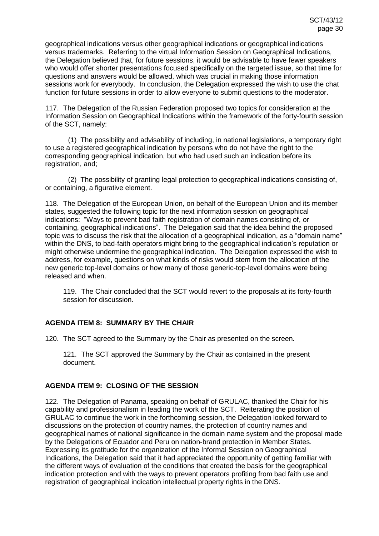geographical indications versus other geographical indications or geographical indications versus trademarks. Referring to the virtual Information Session on Geographical Indications, the Delegation believed that, for future sessions, it would be advisable to have fewer speakers who would offer shorter presentations focused specifically on the targeted issue, so that time for questions and answers would be allowed, which was crucial in making those information sessions work for everybody. In conclusion, the Delegation expressed the wish to use the chat function for future sessions in order to allow everyone to submit questions to the moderator.

117. The Delegation of the Russian Federation proposed two topics for consideration at the Information Session on Geographical Indications within the framework of the forty-fourth session of the SCT, namely:

(1) The possibility and advisability of including, in national legislations, a temporary right to use a registered geographical indication by persons who do not have the right to the corresponding geographical indication, but who had used such an indication before its registration, and;

(2) The possibility of granting legal protection to geographical indications consisting of, or containing, a figurative element.

118. The Delegation of the European Union, on behalf of the European Union and its member states, suggested the following topic for the next information session on geographical indications: "Ways to prevent bad faith registration of domain names consisting of, or containing, geographical indications". The Delegation said that the idea behind the proposed topic was to discuss the risk that the allocation of a geographical indication, as a "domain name" within the DNS, to bad-faith operators might bring to the geographical indication's reputation or might otherwise undermine the geographical indication. The Delegation expressed the wish to address, for example, questions on what kinds of risks would stem from the allocation of the new generic top-level domains or how many of those generic-top-level domains were being released and when.

119. The Chair concluded that the SCT would revert to the proposals at its forty-fourth session for discussion.

## **AGENDA ITEM 8: SUMMARY BY THE CHAIR**

120. The SCT agreed to the Summary by the Chair as presented on the screen.

121. The SCT approved the Summary by the Chair as contained in the present document.

## **AGENDA ITEM 9: CLOSING OF THE SESSION**

122. The Delegation of Panama, speaking on behalf of GRULAC, thanked the Chair for his capability and professionalism in leading the work of the SCT. Reiterating the position of GRULAC to continue the work in the forthcoming session, the Delegation looked forward to discussions on the protection of country names, the protection of country names and geographical names of national significance in the domain name system and the proposal made by the Delegations of Ecuador and Peru on nation-brand protection in Member States. Expressing its gratitude for the organization of the Informal Session on Geographical Indications, the Delegation said that it had appreciated the opportunity of getting familiar with the different ways of evaluation of the conditions that created the basis for the geographical indication protection and with the ways to prevent operators profiting from bad faith use and registration of geographical indication intellectual property rights in the DNS.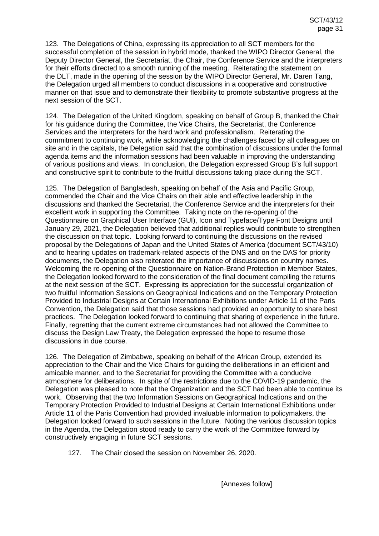123. The Delegations of China, expressing its appreciation to all SCT members for the successful completion of the session in hybrid mode, thanked the WIPO Director General, the Deputy Director General, the Secretariat, the Chair, the Conference Service and the interpreters for their efforts directed to a smooth running of the meeting. Reiterating the statement on the DLT, made in the opening of the session by the WIPO Director General, Mr. Daren Tang, the Delegation urged all members to conduct discussions in a cooperative and constructive manner on that issue and to demonstrate their flexibility to promote substantive progress at the next session of the SCT.

124. The Delegation of the United Kingdom, speaking on behalf of Group B, thanked the Chair for his guidance during the Committee, the Vice Chairs, the Secretariat, the Conference Services and the interpreters for the hard work and professionalism. Reiterating the commitment to continuing work, while acknowledging the challenges faced by all colleagues on site and in the capitals, the Delegation said that the combination of discussions under the formal agenda items and the information sessions had been valuable in improving the understanding of various positions and views. In conclusion, the Delegation expressed Group B's full support and constructive spirit to contribute to the fruitful discussions taking place during the SCT.

125. The Delegation of Bangladesh, speaking on behalf of the Asia and Pacific Group, commended the Chair and the Vice Chairs on their able and effective leadership in the discussions and thanked the Secretariat, the Conference Service and the interpreters for their excellent work in supporting the Committee. Taking note on the re-opening of the Questionnaire on Graphical User Interface (GUI), Icon and Typeface/Type Font Designs until January 29, 2021, the Delegation believed that additional replies would contribute to strengthen the discussion on that topic. Looking forward to continuing the discussions on the revised proposal by the Delegations of Japan and the United States of America (document SCT/43/10) and to hearing updates on trademark-related aspects of the DNS and on the DAS for priority documents, the Delegation also reiterated the importance of discussions on country names. Welcoming the re-opening of the Questionnaire on Nation-Brand Protection in Member States, the Delegation looked forward to the consideration of the final document compiling the returns at the next session of the SCT. Expressing its appreciation for the successful organization of two fruitful Information Sessions on Geographical Indications and on the Temporary Protection Provided to Industrial Designs at Certain International Exhibitions under Article 11 of the Paris Convention, the Delegation said that those sessions had provided an opportunity to share best practices. The Delegation looked forward to continuing that sharing of experience in the future. Finally, regretting that the current extreme circumstances had not allowed the Committee to discuss the Design Law Treaty, the Delegation expressed the hope to resume those discussions in due course.

126. The Delegation of Zimbabwe, speaking on behalf of the African Group, extended its appreciation to the Chair and the Vice Chairs for guiding the deliberations in an efficient and amicable manner, and to the Secretariat for providing the Committee with a conducive atmosphere for deliberations. In spite of the restrictions due to the COVID-19 pandemic, the Delegation was pleased to note that the Organization and the SCT had been able to continue its work. Observing that the two Information Sessions on Geographical Indications and on the Temporary Protection Provided to Industrial Designs at Certain International Exhibitions under Article 11 of the Paris Convention had provided invaluable information to policymakers, the Delegation looked forward to such sessions in the future. Noting the various discussion topics in the Agenda, the Delegation stood ready to carry the work of the Committee forward by constructively engaging in future SCT sessions.

127. The Chair closed the session on November 26, 2020.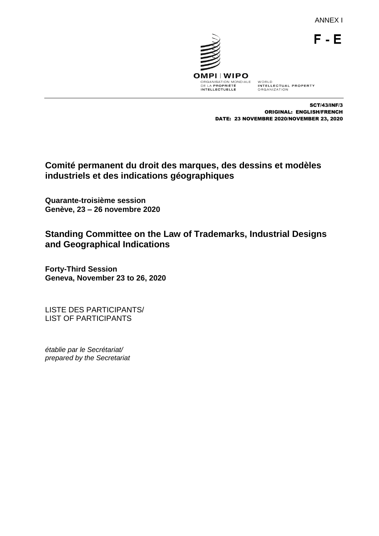ANNEX I

 $F - E$ 



SCT/43/INF/3 ORIGINAL: ENGLISH/FRENCH DATE: 23 NOVEMBRE 2020/NOVEMBER 23, 2020

# **Comité permanent du droit des marques, des dessins et modèles industriels et des indications géographiques**

**Quarante-troisième session Genève, 23 – 26 novembre 2020**

**Standing Committee on the Law of Trademarks, Industrial Designs and Geographical Indications**

**Forty-Third Session Geneva, November 23 to 26, 2020**

LISTE DES PARTICIPANTS/ LIST OF PARTICIPANTS

*établie par le Secrétariat/ prepared by the Secretariat*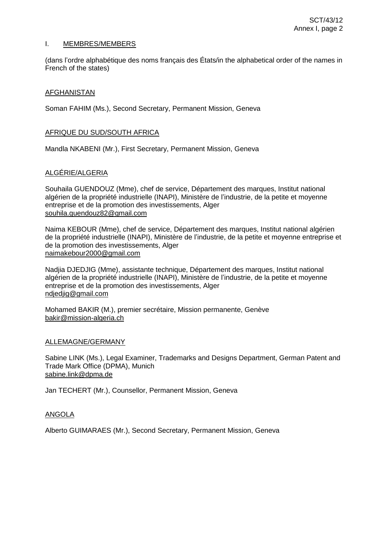#### I. MEMBRES/MEMBERS

(dans l'ordre alphabétique des noms français des États/in the alphabetical order of the names in French of the states)

#### AFGHANISTAN

Soman FAHIM (Ms.), Second Secretary, Permanent Mission, Geneva

#### AFRIQUE DU SUD/SOUTH AFRICA

Mandla NKABENI (Mr.), First Secretary, Permanent Mission, Geneva

## ALGÉRIE/ALGERIA

Souhaila GUENDOUZ (Mme), chef de service, Département des marques, Institut national algérien de la propriété industrielle (INAPI), Ministère de l'industrie, de la petite et moyenne entreprise et de la promotion des investissements, Alger souhila.guendouz82@gmail.com

Naima KEBOUR (Mme), chef de service, Département des marques, Institut national algérien de la propriété industrielle (INAPI), Ministère de l'industrie, de la petite et moyenne entreprise et de la promotion des investissements, Alger naimakebour2000@gmail.com

Nadjia DJEDJIG (Mme), assistante technique, Département des marques, Institut national algérien de la propriété industrielle (INAPI), Ministère de l'industrie, de la petite et moyenne entreprise et de la promotion des investissements, Alger ndjedjig@gmail.com

Mohamed BAKIR (M.), premier secrétaire, Mission permanente, Genève bakir@mission-algeria.ch

#### ALLEMAGNE/GERMANY

Sabine LINK (Ms.), Legal Examiner, Trademarks and Designs Department, German Patent and Trade Mark Office (DPMA), Munich sabine.link@dpma.de

Jan TECHERT (Mr.), Counsellor, Permanent Mission, Geneva

#### ANGOLA

Alberto GUIMARAES (Mr.), Second Secretary, Permanent Mission, Geneva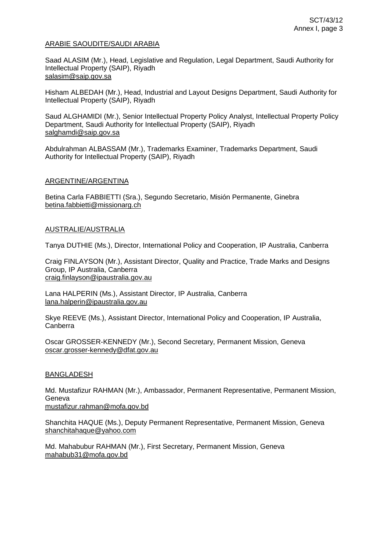#### ARABIE SAOUDITE/SAUDI ARABIA

Saad ALASIM (Mr.), Head, Legislative and Regulation, Legal Department, Saudi Authority for Intellectual Property (SAIP), Riyadh [salasim@saip.gov.sa](mailto:salasim@saip.gov.sa)

Hisham ALBEDAH (Mr.), Head, Industrial and Layout Designs Department, Saudi Authority for Intellectual Property (SAIP), Riyadh

Saud ALGHAMIDI (Mr.), Senior Intellectual Property Policy Analyst, Intellectual Property Policy Department, Saudi Authority for Intellectual Property (SAIP), Riyadh [salghamdi@saip.gov.sa](mailto:salghamdi@saip.gov.sa)

Abdulrahman ALBASSAM (Mr.), Trademarks Examiner, Trademarks Department, Saudi Authority for Intellectual Property (SAIP), Riyadh

### ARGENTINE/ARGENTINA

Betina Carla FABBIETTI (Sra.), Segundo Secretario, Misión Permanente, Ginebra [betina.fabbietti@missionarg.ch](mailto:betina.fabbietti@missionarg.ch)

### AUSTRALIE/AUSTRALIA

Tanya DUTHIE (Ms.), Director, International Policy and Cooperation, IP Australia, Canberra

Craig FINLAYSON (Mr.), Assistant Director, Quality and Practice, Trade Marks and Designs Group, IP Australia, Canberra [craig.finlayson@ipaustralia.gov.au](mailto:craig.finlayson@ipaustralia.gov.au)

Lana HALPERIN (Ms.), Assistant Director, IP Australia, Canberra lana.halperin@ipaustralia.gov.au

Skye REEVE (Ms.), Assistant Director, International Policy and Cooperation, IP Australia, Canberra

Oscar GROSSER-KENNEDY (Mr.), Second Secretary, Permanent Mission, Geneva [oscar.grosser-kennedy@dfat.gov.au](mailto:oscar.grosser-kennedy@dfat.gov.au)

#### BANGLADESH

Md. Mustafizur RAHMAN (Mr.), Ambassador, Permanent Representative, Permanent Mission, Geneva

mustafizur.rahman@mofa.gov.bd

Shanchita HAQUE (Ms.), Deputy Permanent Representative, Permanent Mission, Geneva [shanchitahaque@yahoo.com](mailto:shanchitahaque@yahoo.com)

Md. Mahabubur RAHMAN (Mr.), First Secretary, Permanent Mission, Geneva mahabub31@mofa.gov.bd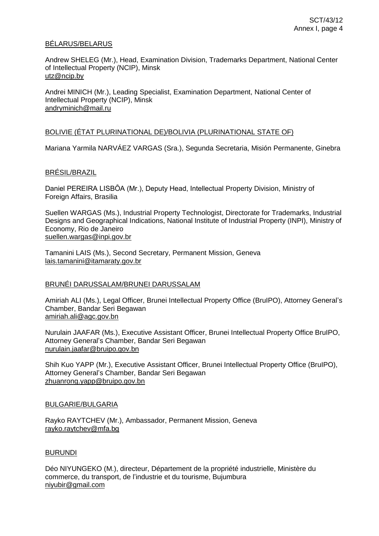#### BÉLARUS/BELARUS

Andrew SHELEG (Mr.), Head, Examination Division, Trademarks Department, National Center of Intellectual Property (NCIP), Minsk [utz@ncip.by](mailto:utz@ncip.by)

Andrei MINICH (Mr.), Leading Specialist, Examination Department, National Center of Intellectual Property (NCIP), Minsk [andryminich@mail.ru](mailto:andryminich@mail.ru)

### BOLIVIE (ÉTAT PLURINATIONAL DE)/BOLIVIA (PLURINATIONAL STATE OF)

Mariana Yarmila NARVÁEZ VARGAS (Sra.), Segunda Secretaria, Misión Permanente, Ginebra

#### BRÉSIL/BRAZIL

Daniel PEREIRA LISBÔA (Mr.), Deputy Head, Intellectual Property Division, Ministry of Foreign Affairs, Brasilia

Suellen WARGAS (Ms.), Industrial Property Technologist, Directorate for Trademarks, Industrial Designs and Geographical Indications, National Institute of Industrial Property (INPI), Ministry of Economy, Rio de Janeiro [suellen.wargas@inpi.gov.br](mailto:suellen.wargas@inpi.gov.br)

Tamanini LAIS (Ms.), Second Secretary, Permanent Mission, Geneva lais.tamanini@itamaraty.gov.br

#### BRUNÉI DARUSSALAM/BRUNEI DARUSSALAM

Amiriah ALI (Ms.), Legal Officer, Brunei Intellectual Property Office (BruIPO), Attorney General's Chamber, Bandar Seri Begawan amiriah.ali@agc.gov.bn

Nurulain JAAFAR (Ms.), Executive Assistant Officer, Brunei Intellectual Property Office BruIPO, Attorney General's Chamber, Bandar Seri Begawan nurulain.jaafar@bruipo.gov.bn

Shih Kuo YAPP (Mr.), Executive Assistant Officer, Brunei Intellectual Property Office (BruIPO), Attorney General's Chamber, Bandar Seri Begawan zhuanrong.yapp@bruipo.gov.bn

#### BULGARIE/BULGARIA

Rayko RAYTCHEV (Mr.), Ambassador, Permanent Mission, Geneva [rayko.raytchev@mfa.bg](mailto:rayko.raytchev@mfa.bg)

#### BURUNDI

Déo NIYUNGEKO (M.), directeur, Département de la propriété industrielle, Ministère du commerce, du transport, de l'industrie et du tourisme, Bujumbura [niyubir@gmail.com](mailto:niyubir@gmail.com)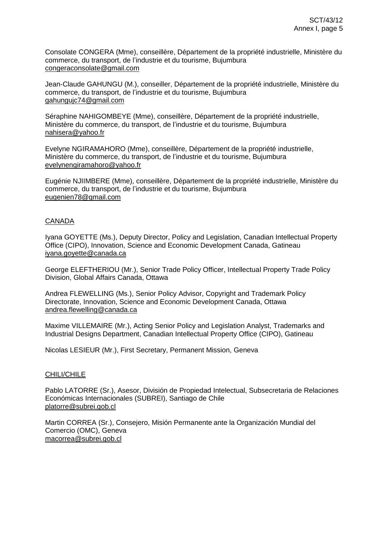Consolate CONGERA (Mme), conseillère, Département de la propriété industrielle, Ministère du commerce, du transport, de l'industrie et du tourisme, Bujumbura [congeraconsolate@gmail.com](mailto:congeraconsolate@gmail.com)

Jean-Claude GAHUNGU (M.), conseiller, Département de la propriété industrielle, Ministère du commerce, du transport, de l'industrie et du tourisme, Bujumbura [gahungujc74@gmail.com](mailto:gahungujc74@gmail.com)

Séraphine NAHIGOMBEYE (Mme), conseillère, Département de la propriété industrielle, Ministère du commerce, du transport, de l'industrie et du tourisme, Bujumbura [nahisera@yahoo.fr](mailto:nahisera@yahoo.fr)

Evelyne NGIRAMAHORO (Mme), conseillère, Département de la propriété industrielle, Ministère du commerce, du transport, de l'industrie et du tourisme, Bujumbura [evelynengiramahoro@yahoo.fr](mailto:evelynengiramahoro@yahoo.fr)

Eugénie NJIIMBERE (Mme), conseillère, Département de la propriété industrielle, Ministère du commerce, du transport, de l'industrie et du tourisme, Bujumbura [eugenien78@gmail.com](mailto:eugenien78@gmail.com)

## CANADA

Iyana GOYETTE (Ms.), Deputy Director, Policy and Legislation, Canadian Intellectual Property Office (CIPO), Innovation, Science and Economic Development Canada, Gatineau iyana.goyette@canada.ca

George ELEFTHERIOU (Mr.), Senior Trade Policy Officer, Intellectual Property Trade Policy Division, Global Affairs Canada, Ottawa

Andrea FLEWELLING (Ms.), Senior Policy Advisor, Copyright and Trademark Policy Directorate, Innovation, Science and Economic Development Canada, Ottawa andrea.flewelling@canada.ca

Maxime VILLEMAIRE (Mr.), Acting Senior Policy and Legislation Analyst, Trademarks and Industrial Designs Department, Canadian Intellectual Property Office (CIPO), Gatineau

Nicolas LESIEUR (Mr.), First Secretary, Permanent Mission, Geneva

## CHILI/CHILE

Pablo LATORRE (Sr.), Asesor, División de Propiedad Intelectual, Subsecretaria de Relaciones Económicas Internacionales (SUBREI), Santiago de Chile [platorre@subrei.gob.cl](mailto:platorre@subrei.gob.cl)

Martin CORREA (Sr.), Consejero, Misión Permanente ante la Organización Mundial del Comercio (OMC), Geneva [macorrea@subrei.gob.cl](mailto:macorrea@subrei.gob.cl)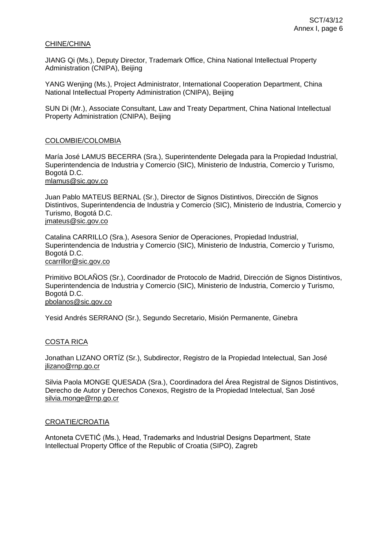#### CHINE/CHINA

JIANG Qi (Ms.), Deputy Director, Trademark Office, China National Intellectual Property Administration (CNIPA), Beijing

YANG Wenjing (Ms.), Project Administrator, International Cooperation Department, China National Intellectual Property Administration (CNIPA), Beijing

SUN Di (Mr.), Associate Consultant, Law and Treaty Department, China National Intellectual Property Administration (CNIPA), Beijing

### COLOMBIE/COLOMBIA

María José LAMUS BECERRA (Sra.), Superintendente Delegada para la Propiedad Industrial, Superintendencia de Industria y Comercio (SIC), Ministerio de Industria, Comercio y Turismo, Bogotá D.C.

## mlamus@sic.gov.co

Juan Pablo MATEUS BERNAL (Sr.), Director de Signos Distintivos, Dirección de Signos Distintivos, Superintendencia de Industria y Comercio (SIC), Ministerio de Industria, Comercio y Turismo, Bogotá D.C. jmateus@sic.gov.co

Catalina CARRILLO (Sra.), Asesora Senior de Operaciones, Propiedad Industrial, Superintendencia de Industria y Comercio (SIC), Ministerio de Industria, Comercio y Turismo, Bogotá D.C. ccarrillor@sic.gov.co

Primitivo BOLAÑOS (Sr.), Coordinador de Protocolo de Madrid, Dirección de Signos Distintivos, Superintendencia de Industria y Comercio (SIC), Ministerio de Industria, Comercio y Turismo, Bogotá D.C. pbolanos@sic.gov.co

Yesid Andrés SERRANO (Sr.), Segundo Secretario, Misión Permanente, Ginebra

## COSTA RICA

Jonathan LIZANO ORTÍZ (Sr.), Subdirector, Registro de la Propiedad Intelectual, San José [jlizano@rnp.go.cr](mailto:jlizano@rnp.go.cr)

Silvia Paola MONGE QUESADA (Sra.), Coordinadora del Área Registral de Signos Distintivos, Derecho de Autor y Derechos Conexos, Registro de la Propiedad Intelectual, San José silvia.monge@rnp.go.cr

#### CROATIE/CROATIA

Antoneta CVETIĆ (Ms.), Head, Trademarks and Industrial Designs Department, State Intellectual Property Office of the Republic of Croatia (SIPO), Zagreb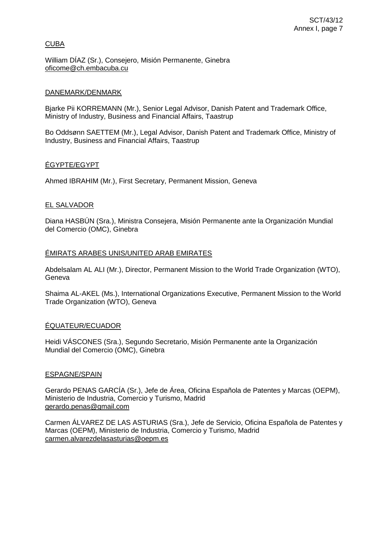### **CUBA**

William DÍAZ (Sr.), Consejero, Misión Permanente, Ginebra [oficome@ch.embacuba.cu](mailto:oficome@ch.embacuba.cu)

### DANEMARK/DENMARK

Bjarke Pii KORREMANN (Mr.), Senior Legal Advisor, Danish Patent and Trademark Office, Ministry of Industry, Business and Financial Affairs, Taastrup

Bo Oddsønn SAETTEM (Mr.), Legal Advisor, Danish Patent and Trademark Office, Ministry of Industry, Business and Financial Affairs, Taastrup

## ÉGYPTE/EGYPT

Ahmed IBRAHIM (Mr.), First Secretary, Permanent Mission, Geneva

### EL SALVADOR

Diana HASBÚN (Sra.), Ministra Consejera, Misión Permanente ante la Organización Mundial del Comercio (OMC), Ginebra

### ÉMIRATS ARABES UNIS/UNITED ARAB EMIRATES

Abdelsalam AL ALI (Mr.), Director, Permanent Mission to the World Trade Organization (WTO), Geneva

Shaima AL-AKEL (Ms.), International Organizations Executive, Permanent Mission to the World Trade Organization (WTO), Geneva

## ÉQUATEUR/ECUADOR

Heidi VÁSCONES (Sra.), Segundo Secretario, Misión Permanente ante la Organización Mundial del Comercio (OMC), Ginebra

#### ESPAGNE/SPAIN

Gerardo PENAS GARCÍA (Sr.), Jefe de Área, Oficina Española de Patentes y Marcas (OEPM), Ministerio de Industria, Comercio y Turismo, Madrid gerardo.penas@gmail.com

Carmen ÁLVAREZ DE LAS ASTURIAS (Sra.), Jefe de Servicio, Oficina Española de Patentes y Marcas (OEPM), Ministerio de Industria, Comercio y Turismo, Madrid carmen.alvarezdelasasturias@oepm.es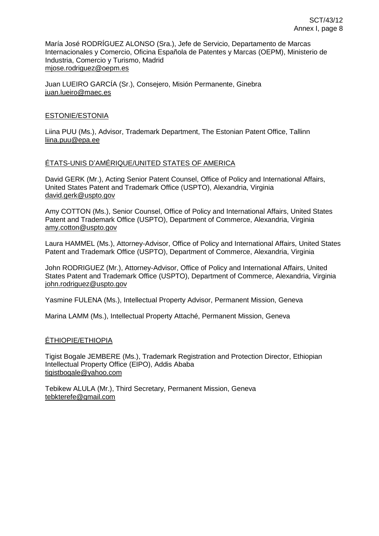María José RODRÍGUEZ ALONSO (Sra.), Jefe de Servicio, Departamento de Marcas Internacionales y Comercio, Oficina Española de Patentes y Marcas (OEPM), Ministerio de Industria, Comercio y Turismo, Madrid [mjose.rodriguez@oepm.es](mailto:mjose.rodriguez@oepm.es)

Juan LUEIRO GARCÍA (Sr.), Consejero, Misión Permanente, Ginebra juan.lueiro@maec.es

## ESTONIE/ESTONIA

Liina PUU (Ms.), Advisor, Trademark Department, The Estonian Patent Office, Tallinn liina.puu@epa.ee

### ÉTATS-UNIS D'AMÉRIQUE/UNITED STATES OF AMERICA

David GERK (Mr.), Acting Senior Patent Counsel, Office of Policy and International Affairs, United States Patent and Trademark Office (USPTO), Alexandria, Virginia [david.gerk@uspto.gov](mailto:david.gerk@uspto.gov)

Amy COTTON (Ms.), Senior Counsel, Office of Policy and International Affairs, United States Patent and Trademark Office (USPTO), Department of Commerce, Alexandria, Virginia [amy.cotton@uspto.gov](mailto:amy.cotton@uspto.gov)

Laura HAMMEL (Ms.), Attorney-Advisor, Office of Policy and International Affairs, United States Patent and Trademark Office (USPTO), Department of Commerce, Alexandria, Virginia

John RODRIGUEZ (Mr.), Attorney-Advisor, Office of Policy and International Affairs, United States Patent and Trademark Office (USPTO), Department of Commerce, Alexandria, Virginia john.rodriguez@uspto.gov

Yasmine FULENA (Ms.), Intellectual Property Advisor, Permanent Mission, Geneva

Marina LAMM (Ms.), Intellectual Property Attaché, Permanent Mission, Geneva

#### ÉTHIOPIE/ETHIOPIA

Tigist Bogale JEMBERE (Ms.), Trademark Registration and Protection Director, Ethiopian Intellectual Property Office (EIPO), Addis Ababa tigistbogale@yahoo.com

Tebikew ALULA (Mr.), Third Secretary, Permanent Mission, Geneva tebkterefe@gmail.com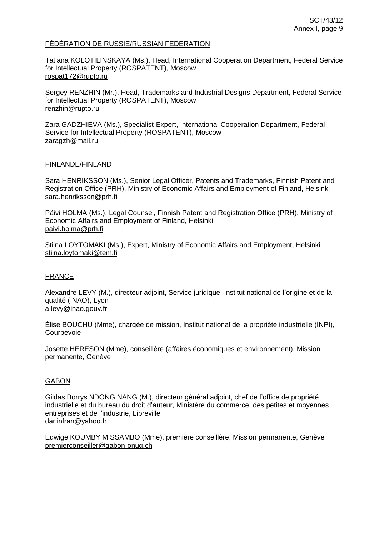#### FÉDÉRATION DE RUSSIE/RUSSIAN FEDERATION

Tatiana KOLOTILINSKAYA (Ms.), Head, International Cooperation Department, Federal Service for Intellectual Property (ROSPATENT), Moscow [rospat172@rupto.ru](mailto:rospat172@rupto.ru)

Sergey RENZHIN (Mr.), Head, Trademarks and Industrial Designs Department, Federal Service for Intellectual Property (ROSPATENT), Moscow [renzhin@rupto.ru](mailto:renzhin@rupto.ru)

Zara GADZHIEVA (Ms.), Specialist-Expert, International Cooperation Department, Federal Service for Intellectual Property (ROSPATENT), Moscow zaragzh@mail.ru

## FINLANDE/FINLAND

Sara HENRIKSSON (Ms.), Senior Legal Officer, Patents and Trademarks, Finnish Patent and Registration Office (PRH), Ministry of Economic Affairs and Employment of Finland, Helsinki sara.henriksson@prh.fi

Päivi HOLMA (Ms.), Legal Counsel, Finnish Patent and Registration Office (PRH), Ministry of Economic Affairs and Employment of Finland, Helsinki paivi.holma@prh.fi

Stiina LOYTOMAKI (Ms.), Expert, Ministry of Economic Affairs and Employment, Helsinki stiina.loytomaki@tem.fi

## FRANCE

Alexandre LEVY (M.), directeur adjoint, Service juridique, Institut national de l'origine et de la qualité (INAO), Lyon [a.levy@inao.gouv.fr](mailto:a.levy@inao.gouv.fr)

Élise BOUCHU (Mme), chargée de mission, Institut national de la propriété industrielle (INPI), Courbevoie

Josette HERESON (Mme), conseillère (affaires économiques et environnement), Mission permanente, Genève

#### GABON

Gildas Borrys NDONG NANG (M.), directeur général adjoint, chef de l'office de propriété industrielle et du bureau du droit d'auteur, Ministère du commerce, des petites et moyennes entreprises et de l'industrie, Libreville [darlinfran@yahoo.fr](mailto:darlinfran@yahoo.fr)

Edwige KOUMBY MISSAMBO (Mme), première conseillère, Mission permanente, Genève [premierconseiller@gabon-onug.ch](mailto:premierconseiller@gabon-onug.ch)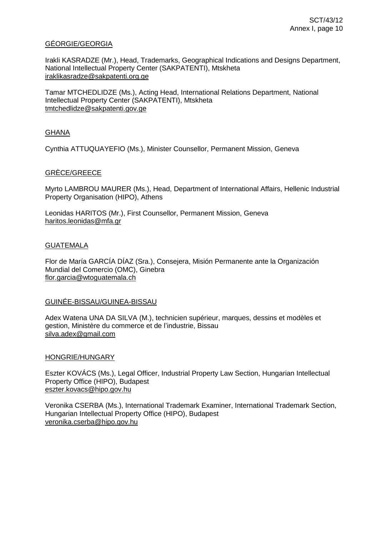#### GÉORGIE/GEORGIA

Irakli KASRADZE (Mr.), Head, Trademarks, Geographical Indications and Designs Department, National Intellectual Property Center (SAKPATENTI), Mtskheta iraklikasradze@sakpatenti.org.ge

Tamar MTCHEDLIDZE (Ms.), Acting Head, International Relations Department, National Intellectual Property Center (SAKPATENTI), Mtskheta [tmtchedlidze@sakpatenti.gov.ge](mailto:tmtchedlidze@sakpatenti.gov.ge)

### **GHANA**

Cynthia ATTUQUAYEFIO (Ms.), Minister Counsellor, Permanent Mission, Geneva

### GRÈCE/GREECE

Myrto LAMBROU MAURER (Ms.), Head, Department of International Affairs, Hellenic Industrial Property Organisation (HIPO), Athens

Leonidas HARITOS (Mr.), First Counsellor, Permanent Mission, Geneva [haritos.leonidas@mfa.gr](mailto:haritos.leonidas@mfa.gr)

#### GUATEMALA

Flor de María GARCÍA DÍAZ (Sra.), Consejera, Misión Permanente ante la Organización Mundial del Comercio (OMC), Ginebra flor.garcia@wtoguatemala.ch

#### GUINÉE-BISSAU/GUINEA-BISSAU

Adex Watena UNA DA SILVA (M.), technicien supérieur, marques, dessins et modèles et gestion, Ministère du commerce et de l'industrie, Bissau silva.adex@gmail.com

#### HONGRIE/HUNGARY

Eszter KOVÁCS (Ms.), Legal Officer, Industrial Property Law Section, Hungarian Intellectual Property Office (HIPO), Budapest eszter.kovacs@hipo.gov.hu

Veronika CSERBA (Ms.), International Trademark Examiner, International Trademark Section, Hungarian Intellectual Property Office (HIPO), Budapest veronika.cserba@hipo.gov.hu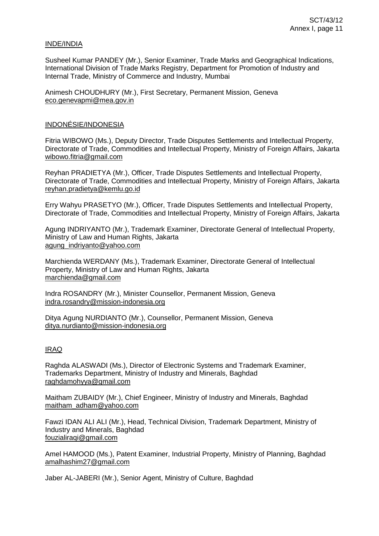#### INDE/INDIA

Susheel Kumar PANDEY (Mr.), Senior Examiner, Trade Marks and Geographical Indications, International Division of Trade Marks Registry, Department for Promotion of Industry and Internal Trade, Ministry of Commerce and Industry, Mumbai

Animesh CHOUDHURY (Mr.), First Secretary, Permanent Mission, Geneva [eco.genevapmi@mea.gov.in](mailto:eco.genevapmi@mea.gov.in)

#### INDONÉSIE/INDONESIA

Fitria WIBOWO (Ms.), Deputy Director, Trade Disputes Settlements and Intellectual Property, Directorate of Trade, Commodities and Intellectual Property, Ministry of Foreign Affairs, Jakarta [wibowo.fitria@gmail.com](mailto:wibowo.fitria@gmail.com)

Reyhan PRADIETYA (Mr.), Officer, Trade Disputes Settlements and Intellectual Property, Directorate of Trade, Commodities and Intellectual Property, Ministry of Foreign Affairs, Jakarta [reyhan.pradietya@kemlu.go.id](mailto:reyhan.pradietya@kemlu.go.id)

Erry Wahyu PRASETYO (Mr.), Officer, Trade Disputes Settlements and Intellectual Property, Directorate of Trade, Commodities and Intellectual Property, Ministry of Foreign Affairs, Jakarta

Agung INDRIYANTO (Mr.), Trademark Examiner, Directorate General of Intellectual Property, Ministry of Law and Human Rights, Jakarta [agung\\_indriyanto@yahoo.com](mailto:agung_indriyanto@yahoo.com)

Marchienda WERDANY (Ms.), Trademark Examiner, Directorate General of Intellectual Property, Ministry of Law and Human Rights, Jakarta [marchienda@gmail.com](mailto:marchienda@gmail.com)

Indra ROSANDRY (Mr.), Minister Counsellor, Permanent Mission, Geneva indra.rosandry@mission-indonesia.org

Ditya Agung NURDIANTO (Mr.), Counsellor, Permanent Mission, Geneva ditya.nurdianto@mission-indonesia.org

## IRAQ

Raghda ALASWADI (Ms.), Director of Electronic Systems and Trademark Examiner, Trademarks Department, Ministry of Industry and Minerals, Baghdad raghdamohyya@gmail.com

Maitham ZUBAIDY (Mr.), Chief Engineer, Ministry of Industry and Minerals, Baghdad maitham\_adham@yahoo.com

Fawzi IDAN ALI ALI (Mr.), Head, Technical Division, Trademark Department, Ministry of Industry and Minerals, Baghdad fouzialiraqi@gmail.com

Amel HAMOOD (Ms.), Patent Examiner, Industrial Property, Ministry of Planning, Baghdad amalhashim27@gmail.com

Jaber AL-JABERI (Mr.), Senior Agent, Ministry of Culture, Baghdad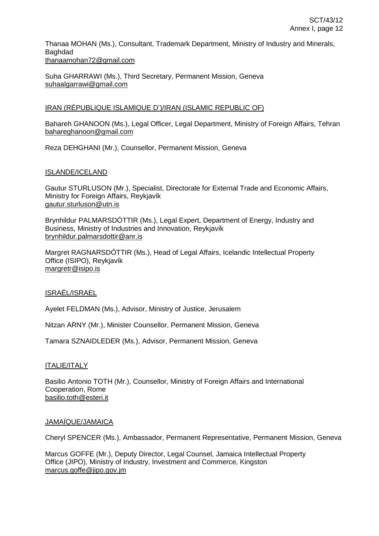Thanaa MOHAN (Ms.), Consultant, Trademark Department, Ministry of Industry and Minerals, Baghdad [thanaamohan72@gmail.com](mailto:thanaamohan72@gmail.com)

Suha GHARRAWI (Ms.), Third Secretary, Permanent Mission, Geneva suhaalgarrawi@gmail.com

## IRAN (RÉPUBLIQUE ISLAMIQUE D')/IRAN (ISLAMIC REPUBLIC OF)

Bahareh GHANOON (Ms.), Legal Officer, Legal Department, Ministry of Foreign Affairs, Tehran bahareghanoon@gmail.com

Reza DEHGHANI (Mr.), Counsellor, Permanent Mission, Geneva

## ISLANDE/ICELAND

Gautur STURLUSON (Mr.), Specialist, Directorate for External Trade and Economic Affairs, Ministry for Foreign Affairs, Reykjavík gautur.sturluson@utn.is

Brynhildur PALMARSDÓTTIR (Ms.), Legal Expert, Department of Energy, Industry and Business, Ministry of Industries and Innovation, Reykjavík brynhildur.palmarsdottir@anr.is

Margret RAGNARSDÓTTIR (Ms.), Head of Legal Affairs, Icelandic Intellectual Property Office (ISIPO), Reykjavík margretr@isipo.is

## ISRAËL/ISRAEL

Ayelet FELDMAN (Ms.), Advisor, Ministry of Justice, Jerusalem

Nitzan ARNY (Mr.), Minister Counsellor, Permanent Mission, Geneva

Tamara SZNAIDLEDER (Ms.), Advisor, Permanent Mission, Geneva

## ITALIE/ITALY

Basilio Antonio TOTH (Mr.), Counsellor, Ministry of Foreign Affairs and International Cooperation, Rome [basilio.toth@esteri.it](mailto:basilio.toth@esteri.it)

## JAMAÏQUE/JAMAICA

Cheryl SPENCER (Ms.), Ambassador, Permanent Representative, Permanent Mission, Geneva

Marcus GOFFE (Mr.), Deputy Director, Legal Counsel, Jamaica Intellectual Property Office (JIPO), Ministry of Industry, Investment and Commerce, Kingston marcus.goffe@jipo.gov.jm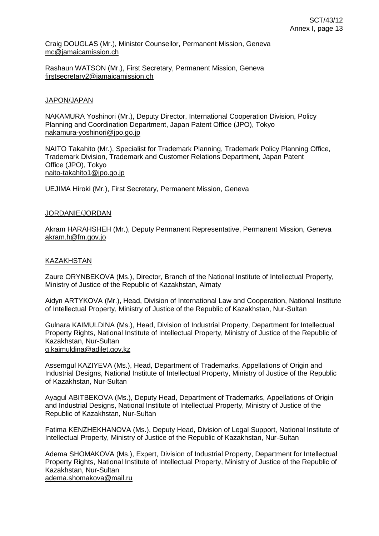Craig DOUGLAS (Mr.), Minister Counsellor, Permanent Mission, Geneva [mc@jamaicamission.ch](mailto:mc@jamaicamission.ch)

Rashaun WATSON (Mr.), First Secretary, Permanent Mission, Geneva [firstsecretary2@jamaicamission.ch](mailto:firstsecretary2@jamaicamission.ch)

#### JAPON/JAPAN

NAKAMURA Yoshinori (Mr.), Deputy Director, International Cooperation Division, Policy Planning and Coordination Department, Japan Patent Office (JPO), Tokyo nakamura-yoshinori@jpo.go.jp

NAITO Takahito (Mr.), Specialist for Trademark Planning, Trademark Policy Planning Office, Trademark Division, Trademark and Customer Relations Department, Japan Patent Office (JPO), Tokyo naito-takahito1@jpo.go.jp

UEJIMA Hiroki (Mr.), First Secretary, Permanent Mission, Geneva

#### JORDANIE/JORDAN

Akram HARAHSHEH (Mr.), Deputy Permanent Representative, Permanent Mission, Geneva akram.h@fm.gov.jo

#### KAZAKHSTAN

Zaure ORYNBEKOVA (Ms.), Director, Branch of the National Institute of Intellectual Property, Ministry of Justice of the Republic of Kazakhstan, Almaty

Aidyn ARTYKOVA (Mr.), Head, Division of International Law and Cooperation, National Institute of Intellectual Property, Ministry of Justice of the Republic of Kazakhstan, Nur-Sultan

Gulnara KAIMULDINA (Ms.), Head, Division of Industrial Property, Department for Intellectual Property Rights, National Institute of Intellectual Property, Ministry of Justice of the Republic of Kazakhstan, Nur-Sultan [g.kaimuldina@adilet.gov.kz](mailto:g.kaimuldina@adilet.gov.kz)

Assemgul KAZIYEVA (Ms.), Head, Department of Trademarks, Appellations of Origin and Industrial Designs, National Institute of Intellectual Property, Ministry of Justice of the Republic of Kazakhstan, Nur-Sultan

Ayagul ABITBEKOVA (Ms.), Deputy Head, Department of Trademarks, Appellations of Origin and Industrial Designs, National Institute of Intellectual Property, Ministry of Justice of the Republic of Kazakhstan, Nur-Sultan

Fatima KENZHEKHANOVA (Ms.), Deputy Head, Division of Legal Support, National Institute of Intellectual Property, Ministry of Justice of the Republic of Kazakhstan, Nur-Sultan

Adema SHOMAKOVA (Ms.), Expert, Division of Industrial Property, Department for Intellectual Property Rights, National Institute of Intellectual Property, Ministry of Justice of the Republic of Kazakhstan, Nur-Sultan [adema.shomakova@mail.ru](mailto:adema.shomakova@mail.ru)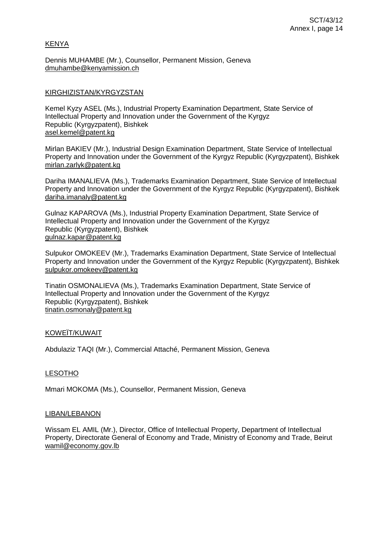### KENYA

Dennis MUHAMBE (Mr.), Counsellor, Permanent Mission, Geneva [dmuhambe@kenyamission.ch](mailto:dmuhambe@kenyamission.ch)

### KIRGHIZISTAN/KYRGYZSTAN

Kemel Kyzy ASEL (Ms.), Industrial Property Examination Department, State Service of Intellectual Property and Innovation under the Government of the Kyrgyz Republic (Kyrgyzpatent), Bishkek asel.kemel@patent.kg

Mirlan BAKIEV (Mr.), Industrial Design Examination Department, State Service of Intellectual Property and Innovation under the Government of the Kyrgyz Republic (Kyrgyzpatent), Bishkek mirlan.zarlyk@patent.kg

Dariha IMANALIEVA (Ms.), Trademarks Examination Department, State Service of Intellectual Property and Innovation under the Government of the Kyrgyz Republic (Kyrgyzpatent), Bishkek [dariha.imanaly@patent.kg](mailto:dariha.imanaly@patent.kg)

Gulnaz KAPAROVA (Ms.), Industrial Property Examination Department, State Service of Intellectual Property and Innovation under the Government of the Kyrgyz Republic (Kyrgyzpatent), Bishkek [gulnaz.kapar@patent.kg](mailto:gulnaz.kapar@patent.kg)

Sulpukor OMOKEEV (Mr.), Trademarks Examination Department, State Service of Intellectual Property and Innovation under the Government of the Kyrgyz Republic (Kyrgyzpatent), Bishkek sulpukor.omokeev@patent.kg

Tinatin OSMONALIEVA (Ms.), Trademarks Examination Department, State Service of Intellectual Property and Innovation under the Government of the Kyrgyz Republic (Kyrgyzpatent), Bishkek [tinatin.osmonaly@patent.kg](mailto:tinatin.osmonaly@patent.kg)

#### KOWEÏT/KUWAIT

Abdulaziz TAQI (Mr.), Commercial Attaché, Permanent Mission, Geneva

#### LESOTHO

Mmari MOKOMA (Ms.), Counsellor, Permanent Mission, Geneva

#### LIBAN/LEBANON

Wissam EL AMIL (Mr.), Director, Office of Intellectual Property, Department of Intellectual Property, Directorate General of Economy and Trade, Ministry of Economy and Trade, Beirut wamil@economy.gov.lb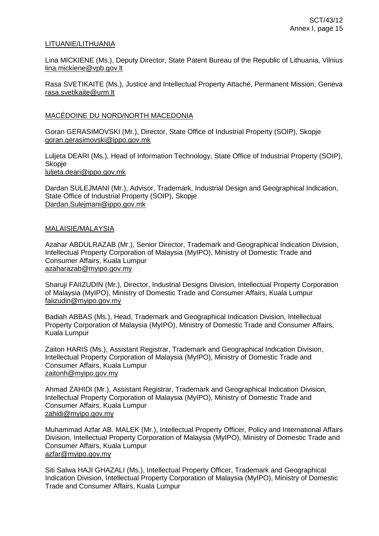#### LITUANIE/LITHUANIA

Lina MICKIENE (Ms.), Deputy Director, State Patent Bureau of the Republic of Lithuania, Vilnius lina.mickiene@vpb.gov.lt

Rasa SVETIKAITE (Ms.), Justice and Intellectual Property Attaché, Permanent Mission, Geneva rasa.svetikaite@urm.lt

#### MACÉDOINE DU NORD/NORTH MACEDONIA

Goran GERASIMOVSKI (Mr.), Director, State Office of Industrial Property (SOIP), Skopje goran.gerasimovski@ippo.gov.mk

Luljeta DEARI (Ms.), Head of Information Technology, State Office of Industrial Property (SOIP), Skopje luljeta.deari@ippo.gov.mk

Dardan SULEJMANI (Mr.), Advisor, Trademark, Industrial Design and Geographical Indication, State Office of Industrial Property (SOIP), Skopje [Dardan.Sulejmani@ippo.gov.mk](mailto:Dardan.Sulejmani@ippo.gov.mk)

#### MALAISIE/MALAYSIA

Azahar ABDULRAZAB (Mr.), Senior Director, Trademark and Geographical Indication Division, Intellectual Property Corporation of Malaysia (MyIPO), Ministry of Domestic Trade and Consumer Affairs, Kuala Lumpur [azaharazab@myipo.gov.my](mailto:azaharazab@myipo.gov.my)

Sharuji FAIIZUDIN (Mr.), Director, Industrial Designs Division, Intellectual Property Corporation of Malaysia (MyIPO), Ministry of Domestic Trade and Consumer Affairs, Kuala Lumpur [faiizudin@myipo.gov.my](mailto:faiizudin@myipo.gov.my)

Badiah ABBAS (Ms.), Head, Trademark and Geographical Indication Division, Intellectual Property Corporation of Malaysia (MyIPO), Ministry of Domestic Trade and Consumer Affairs, Kuala Lumpur

Zaiton HARIS (Ms.), Assistant Registrar, Trademark and Geographical Indication Division, Intellectual Property Corporation of Malaysia (MyIPO), Ministry of Domestic Trade and Consumer Affairs, Kuala Lumpur [zaitonh@myipo.gov.my](mailto:zaitonh@myipo.gov.my)

Ahmad ZAHIDI (Mr.), Assistant Registrar, Trademark and Geographical Indication Division, Intellectual Property Corporation of Malaysia (MyIPO), Ministry of Domestic Trade and Consumer Affairs, Kuala Lumpur [zahidi@myipo.gov.my](mailto:zahidi@myipo.gov.my)

Muhammad Azfar AB. MALEK (Mr.), Intellectual Property Officer, Policy and International Affairs Division, Intellectual Property Corporation of Malaysia (MyIPO), Ministry of Domestic Trade and Consumer Affairs, Kuala Lumpur [azfar@myipo.gov.my](mailto:azfar@myipo.gov.my)

Siti Salwa HAJI GHAZALI (Ms.), Intellectual Property Officer, Trademark and Geographical Indication Division, Intellectual Property Corporation of Malaysia (MyIPO), Ministry of Domestic Trade and Consumer Affairs, Kuala Lumpur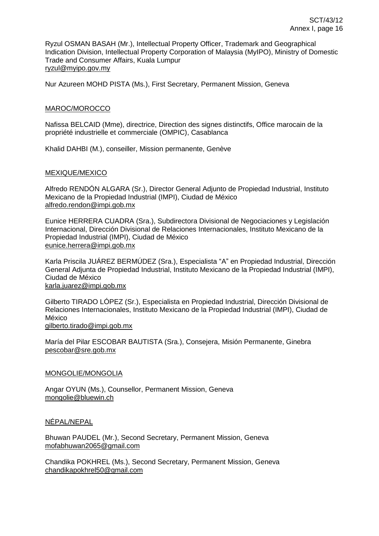Ryzul OSMAN BASAH (Mr.), Intellectual Property Officer, Trademark and Geographical Indication Division, Intellectual Property Corporation of Malaysia (MyIPO), Ministry of Domestic Trade and Consumer Affairs, Kuala Lumpur [ryzul@myipo.gov.my](mailto:ryzul@myipo.gov.my)

Nur Azureen MOHD PISTA (Ms.), First Secretary, Permanent Mission, Geneva

## MAROC/MOROCCO

Nafissa BELCAID (Mme), directrice, Direction des signes distinctifs, Office marocain de la propriété industrielle et commerciale (OMPIC), Casablanca

Khalid DAHBI (M.), conseiller, Mission permanente, Genève

## MEXIQUE/MEXICO

Alfredo RENDÓN ALGARA (Sr.), Director General Adjunto de Propiedad Industrial, Instituto Mexicano de la Propiedad Industrial (IMPI), Ciudad de México alfredo.rendon@impi.gob.mx

Eunice HERRERA CUADRA (Sra.), Subdirectora Divisional de Negociaciones y Legislación Internacional, Dirección Divisional de Relaciones Internacionales, Instituto Mexicano de la Propiedad Industrial (IMPI), Ciudad de México eunice.herrera@impi.gob.mx

Karla Priscila JUÁREZ BERMÚDEZ (Sra.), Especialista "A" en Propiedad Industrial, Dirección General Adjunta de Propiedad Industrial, Instituto Mexicano de la Propiedad Industrial (IMPI), Ciudad de México karla.juarez@impi.gob.mx

Gilberto TIRADO LÓPEZ (Sr.), Especialista en Propiedad Industrial, Dirección Divisional de Relaciones Internacionales, Instituto Mexicano de la Propiedad Industrial (IMPI), Ciudad de México

gilberto.tirado@impi.gob.mx

María del Pilar ESCOBAR BAUTISTA (Sra.), Consejera, Misión Permanente, Ginebra pescobar@sre.gob.mx

#### MONGOLIE/MONGOLIA

Angar OYUN (Ms.), Counsellor, Permanent Mission, Geneva [mongolie@bluewin.ch](mailto:mongolie@bluewin.ch)

## NÉPAL/NEPAL

Bhuwan PAUDEL (Mr.), Second Secretary, Permanent Mission, Geneva [mofabhuwan2065@gmail.com](mailto:mofabhuwan2065@gmail.com)

Chandika POKHREL (Ms.), Second Secretary, Permanent Mission, Geneva [chandikapokhrel50@gmail.com](mailto:chandikapokhrel50@gmail.com)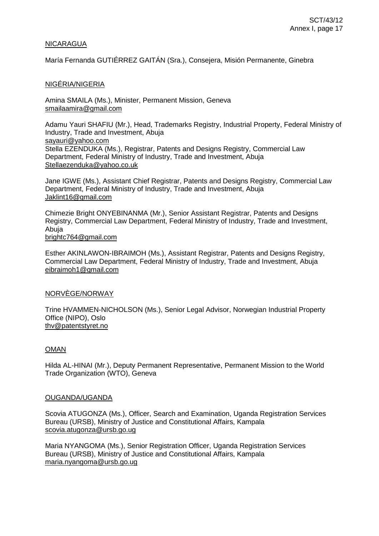#### NICARAGUA

María Fernanda GUTIÉRREZ GAITÁN (Sra.), Consejera, Misión Permanente, Ginebra

#### NIGÉRIA/NIGERIA

Amina SMAILA (Ms.), Minister, Permanent Mission, Geneva [smailaamira@gmail.com](mailto:smailaamira@gmail.com)

Adamu Yauri SHAFIU (Mr.), Head, Trademarks Registry, Industrial Property, Federal Ministry of Industry, Trade and Investment, Abuja [sayauri@yahoo.com](mailto:sayauri@yahoo.com) Stella EZENDUKA (Ms.), Registrar, Patents and Designs Registry, Commercial Law Department, Federal Ministry of Industry, Trade and Investment, Abuja [Stellaezenduka@yahoo.co.uk](mailto:Stellaezenduka@yahoo.co.uk)

Jane IGWE (Ms.), Assistant Chief Registrar, Patents and Designs Registry, Commercial Law Department, Federal Ministry of Industry, Trade and Investment, Abuja [Jaklint16@gmail.com](mailto:Jaklint16@gmail.com)

Chimezie Bright ONYEBINANMA (Mr.), Senior Assistant Registrar, Patents and Designs Registry, Commercial Law Department, Federal Ministry of Industry, Trade and Investment, Abuja [brightc764@gmail.com](mailto:brightc764@gmail.com)

Esther AKINLAWON-IBRAIMOH (Ms.), Assistant Registrar, Patents and Designs Registry, Commercial Law Department, Federal Ministry of Industry, Trade and Investment, Abuja [eibraimoh1@gmail.com](mailto:eibraimoh1@gmail.com)

#### NORVÈGE/NORWAY

Trine HVAMMEN-NICHOLSON (Ms.), Senior Legal Advisor, Norwegian Industrial Property Office (NIPO), Oslo thv@patentstyret.no

#### OMAN

Hilda AL-HINAI (Mr.), Deputy Permanent Representative, Permanent Mission to the World Trade Organization (WTO), Geneva

#### OUGANDA/UGANDA

Scovia ATUGONZA (Ms.), Officer, Search and Examination, Uganda Registration Services Bureau (URSB), Ministry of Justice and Constitutional Affairs, Kampala [scovia.atugonza@ursb.go.ug](mailto:scovia.atugonza@ursb.go.ug)

Maria NYANGOMA (Ms.), Senior Registration Officer, Uganda Registration Services Bureau (URSB), Ministry of Justice and Constitutional Affairs, Kampala [maria.nyangoma@ursb.go.ug](mailto:maria.nyangoma@ursb.go.ug)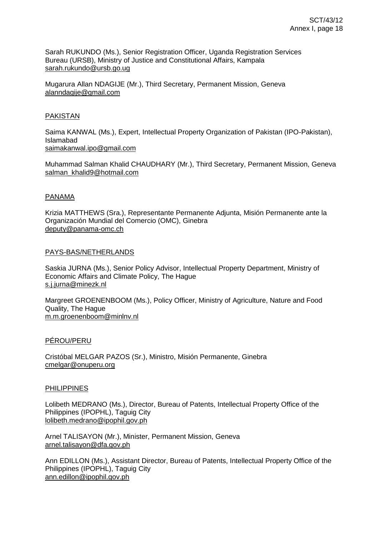Sarah RUKUNDO (Ms.), Senior Registration Officer, Uganda Registration Services Bureau (URSB), Ministry of Justice and Constitutional Affairs, Kampala [sarah.rukundo@ursb.go.ug](mailto:sarah.rukundo@ursb.go.ug)

Mugarura Allan NDAGIJE (Mr.), Third Secretary, Permanent Mission, Geneva alanndagije@gmail.com

### PAKISTAN

Saima KANWAL (Ms.), Expert, Intellectual Property Organization of Pakistan (IPO-Pakistan), Islamabad [saimakanwal.ipo@gmail.com](mailto:saimakanwal.ipo@gmail.com)

Muhammad Salman Khalid CHAUDHARY (Mr.), Third Secretary, Permanent Mission, Geneva [salman\\_khalid9@hotmail.com](mailto:salman_khalid9@hotmail.com)

### PANAMA

Krizia MATTHEWS (Sra.), Representante Permanente Adjunta, Misión Permanente ante la Organización Mundial del Comercio (OMC), Ginebra deputy@panama-omc.ch

### PAYS-BAS/NETHERLANDS

Saskia JURNA (Ms.), Senior Policy Advisor, Intellectual Property Department, Ministry of Economic Affairs and Climate Policy, The Hague [s.j.jurna@minezk.nl](mailto:s.j.jurna@minezk.nl)

Margreet GROENENBOOM (Ms.), Policy Officer, Ministry of Agriculture, Nature and Food Quality, The Hague [m.m.groenenboom@minlnv.nl](mailto:m.m.groenenboom@minlnv.nl)

## PÉROU/PERU

Cristóbal MELGAR PAZOS (Sr.), Ministro, Misión Permanente, Ginebra cmelgar@onuperu.org

#### PHILIPPINES

Lolibeth MEDRANO (Ms.), Director, Bureau of Patents, Intellectual Property Office of the Philippines (IPOPHL), Taguig City lolibeth.medrano@ipophil.gov.ph

Arnel TALISAYON (Mr.), Minister, Permanent Mission, Geneva arnel.talisayon@dfa.gov.ph

Ann EDILLON (Ms.), Assistant Director, Bureau of Patents, Intellectual Property Office of the Philippines (IPOPHL), Taguig City ann.edillon@ipophil.gov.ph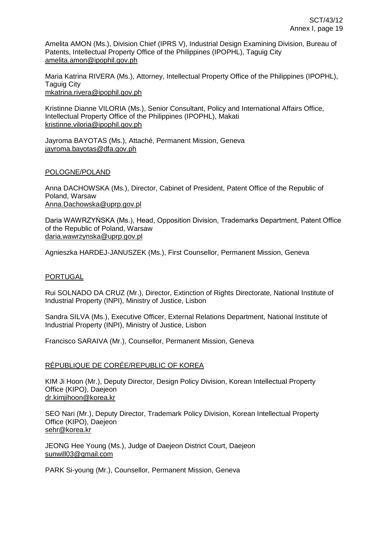Amelita AMON (Ms.), Division Chief (IPRS V), Industrial Design Examining Division, Bureau of Patents, Intellectual Property Office of the Philippines (IPOPHL), Taguig City amelita.amon@ipophil.gov.ph

Maria Katrina RIVERA (Ms.), Attorney, Intellectual Property Office of the Philippines (IPOPHL), Taguig City mkatrina.rivera@ipophil.gov.ph

Kristinne Dianne VILORIA (Ms.), Senior Consultant, Policy and International Affairs Office, Intellectual Property Office of the Philippines (IPOPHL), Makati kristinne.viloria@ipophil.gov.ph

Jayroma BAYOTAS (Ms.), Attaché, Permanent Mission, Geneva jayroma.bayotas@dfa.gov.ph

### POLOGNE/POLAND

Anna DACHOWSKA (Ms.), Director, Cabinet of President, Patent Office of the Republic of Poland, Warsaw [Anna.Dachowska@uprp.gov.pl](mailto:Anna.Dachowska@uprp.gov.pl)

Daria WAWRZYŃSKA (Ms.), Head, Opposition Division, Trademarks Department, Patent Office of the Republic of Poland, Warsaw daria.wawrzynska@uprp.gov.pl

Agnieszka HARDEJ-JANUSZEK (Ms.), First Counsellor, Permanent Mission, Geneva

#### **PORTUGAL**

Rui SOLNADO DA CRUZ (Mr.), Director, Extinction of Rights Directorate, National Institute of Industrial Property (INPI), Ministry of Justice, Lisbon

Sandra SILVA (Ms.), Executive Officer, External Relations Department, National Institute of Industrial Property (INPI), Ministry of Justice, Lisbon

Francisco SARAIVA (Mr.), Counsellor, Permanent Mission, Geneva

## RÉPUBLIQUE DE CORÉE/REPUBLIC OF KOREA

KIM Ji Hoon (Mr.), Deputy Director, Design Policy Division, Korean Intellectual Property Office (KIPO), Daejeon dr.kimjihoon@korea.kr

SEO Nari (Mr.), Deputy Director, Trademark Policy Division, Korean Intellectual Property Office (KIPO), Daejeon sehr@korea.kr

JEONG Hee Young (Ms.), Judge of Daejeon District Court, Daejeon [sunwill03@gmail.com](mailto:sunwill03@gmail.com)

PARK Si-young (Mr.), Counsellor, Permanent Mission, Geneva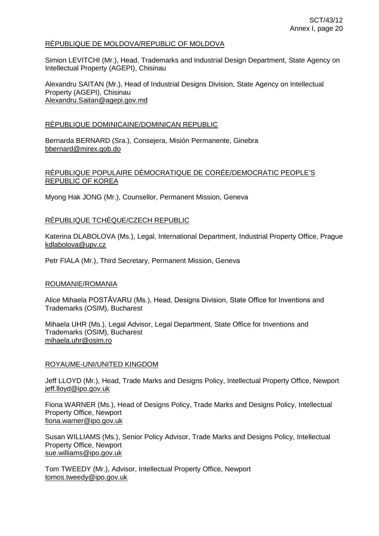#### RÉPUBLIQUE DE MOLDOVA/REPUBLIC OF MOLDOVA

Simion LEVITCHI (Mr.), Head, Trademarks and Industrial Design Department, State Agency on Intellectual Property (AGEPI), Chisinau

Alexandru SAITAN (Mr.), Head of Industrial Designs Division, State Agency on Intellectual Property (AGEPI), Chisinau [Alexandru.Saitan@agepi.gov.md](mailto:Alexandru.Saitan@agepi.gov.md)

### RÉPUBLIQUE DOMINICAINE/DOMINICAN REPUBLIC

Bernarda BERNARD (Sra.), Consejera, Misión Permanente, Ginebra [bbernard@mirex.gob.do](mailto:bbernard@mirex.gob.do)

## RÉPUBLIQUE POPULAIRE DÉMOCRATIQUE DE CORÉE/DEMOCRATIC PEOPLE'S REPUBLIC OF KOREA

Myong Hak JONG (Mr.), Counsellor, Permanent Mission, Geneva

## RÉPUBLIQUE TCHÈQUE/CZECH REPUBLIC

Katerina DLABOLOVA (Ms.), Legal, International Department, Industrial Property Office, Prague [kdlabolova@upv.cz](mailto:kdlabolova@upv.cz)

Petr FIALA (Mr.), Third Secretary, Permanent Mission, Geneva

#### ROUMANIE/ROMANIA

Alice Mihaela POSTĂVARU (Ms.), Head, Designs Division, State Office for Inventions and Trademarks (OSIM), Bucharest

Mihaela UHR (Ms.), Legal Advisor, Legal Department, State Office for Inventions and Trademarks (OSIM), Bucharest [mihaela.uhr@osim.ro](mailto:mihaela.uhr@osim.ro)

#### ROYAUME-UNI/UNITED KINGDOM

Jeff LLOYD (Mr.), Head, Trade Marks and Designs Policy, Intellectual Property Office, Newport jeff.lloyd@ipo.gov.uk

Fiona WARNER (Ms.), Head of Designs Policy, Trade Marks and Designs Policy, Intellectual Property Office, Newport [fiona.warner@ipo.gov.uk](mailto:fiona.warner@ipo.gov.uk)

Susan WILLIAMS (Ms.), Senior Policy Advisor, Trade Marks and Designs Policy, Intellectual Property Office, Newport [sue.williams@ipo.gov.uk](mailto:sue.williams@ipo.gov.uk)

Tom TWEEDY (Mr.), Advisor, Intellectual Property Office, Newport [tomos.tweedy@ipo.gov.uk](mailto:tomos.tweedy@ipo.gov.uk)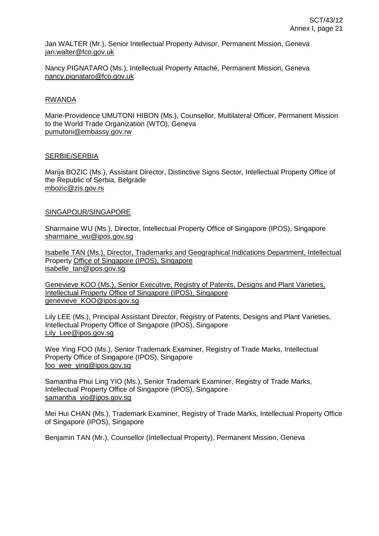Jan WALTER (Mr.), Senior Intellectual Property Advisor, Permanent Mission, Geneva jan.walter@fco.gov.uk

Nancy PIGNATARO (Ms.), Intellectual Property Attaché, Permanent Mission, Geneva nancy.pignataro@fco.gov.uk

#### RWANDA

Marie-Providence UMUTONI HIBON (Ms.), Counsellor, Multilateral Officer, Permanent Mission to the World Trade Organization (WTO), Geneva [pumutoni@embassy.gov.rw](mailto:pumutoni@embassy.gov.rw)

### SERBIE/SERBIA

Marija BOZIC (Ms.), Assistant Director, Distinctive Signs Sector, Intellectual Property Office of the Republic of Serbia, Belgrade [mbozic@zis.gov.rs](mailto:mbozic@zis.gov.rs)

### SINGAPOUR/SINGAPORE

Sharmaine WU (Ms.), Director, Intellectual Property Office of Singapore (IPOS), Singapore sharmaine\_wu@ipos.gov.sg

Isabelle TAN (Ms.), Director, Trademarks and Geographical Indications Department, Intellectual Property Office of Singapore (IPOS), Singapore [isabelle\\_tan@ipos.gov.sg](mailto:isabelle_tan@ipos.gov.sg)

Genevieve KOO (Ms.), Senior Executive, Registry of Patents, Designs and Plant Varieties, Intellectual Property Office of Singapore (IPOS), Singapore [genevieve\\_KOO@ipos.gov.sg](mailto:genevieve_KOO@ipos.gov.sg)

Lily LEE (Ms.), Principal Assistant Director, Registry of Patents, Designs and Plant Varieties, Intellectual Property Office of Singapore (IPOS), Singapore [Lily\\_Lee@ipos.gov.sg](mailto:Lily_Lee@ipos.gov.sg)

Wee Ying FOO (Ms.), Senior Trademark Examiner, Registry of Trade Marks, Intellectual Property Office of Singapore (IPOS), Singapore foo\_wee\_ying@ipos.gov.sg

Samantha Phui Ling YIO (Ms.), Senior Trademark Examiner, Registry of Trade Marks, Intellectual Property Office of Singapore (IPOS), Singapore samantha\_yio@ipos.gov.sg

Mei Hui CHAN (Ms.), Trademark Examiner, Registry of Trade Marks, Intellectual Property Office of Singapore (IPOS), Singapore

Benjamin TAN (Mr.), Counsellor (Intellectual Property), Permanent Mission, Geneva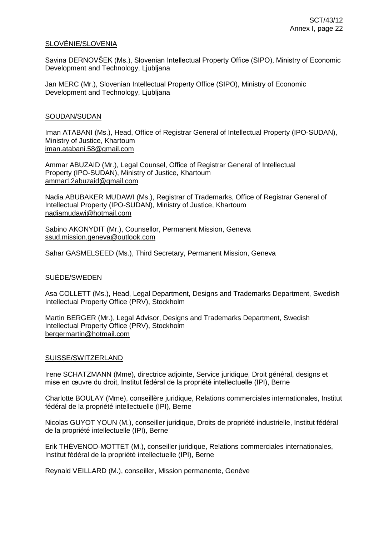#### SLOVÉNIE/SLOVENIA

Savina DERNOVŠEK (Ms.), Slovenian Intellectual Property Office (SIPO), Ministry of Economic Development and Technology, Ljubljana

Jan MERC (Mr.), Slovenian Intellectual Property Office (SIPO), Ministry of Economic Development and Technology, Ljubljana

#### SOUDAN/SUDAN

Iman ATABANI (Ms.), Head, Office of Registrar General of Intellectual Property (IPO-SUDAN), Ministry of Justice, Khartoum iman.atabani.58@gmail.com

Ammar ABUZAID (Mr.), Legal Counsel, Office of Registrar General of Intellectual Property (IPO-SUDAN), Ministry of Justice, Khartoum ammar12abuzaid@gmail.com

Nadia ABUBAKER MUDAWI (Ms.), Registrar of Trademarks, Office of Registrar General of Intellectual Property (IPO-SUDAN), Ministry of Justice, Khartoum nadiamudawi@hotmail.com

Sabino AKONYDIT (Mr.), Counsellor, Permanent Mission, Geneva ssud.mission.geneva@outlook.com

Sahar GASMELSEED (Ms.), Third Secretary, Permanent Mission, Geneva

#### SUÈDE/SWEDEN

Asa COLLETT (Ms.), Head, Legal Department, Designs and Trademarks Department, Swedish Intellectual Property Office (PRV), Stockholm

Martin BERGER (Mr.), Legal Advisor, Designs and Trademarks Department, Swedish Intellectual Property Office (PRV), Stockholm [bergermartin@hotmail.com](mailto:bergermartin@hotmail.com)

#### SUISSE/SWITZERLAND

Irene SCHATZMANN (Mme), directrice adjointe, Service juridique, Droit général, designs et mise en œuvre du droit, Institut fédéral de la propriété intellectuelle (IPI), Berne

Charlotte BOULAY (Mme), conseillère juridique, Relations commerciales internationales, Institut fédéral de la propriété intellectuelle (IPI), Berne

Nicolas GUYOT YOUN (M.), conseiller juridique, Droits de propriété industrielle, Institut fédéral de la propriété intellectuelle (IPI), Berne

Erik THÉVENOD-MOTTET (M.), conseiller juridique, Relations commerciales internationales, Institut fédéral de la propriété intellectuelle (IPI), Berne

Reynald VEILLARD (M.), conseiller, Mission permanente, Genève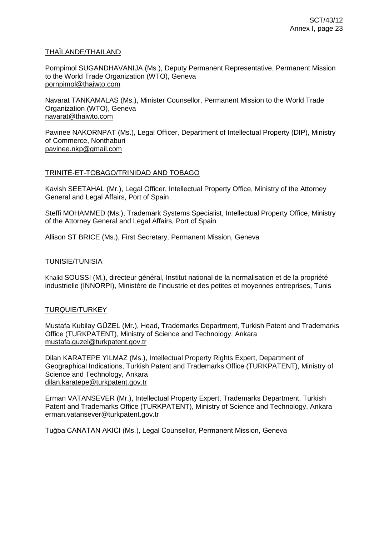#### THAÏLANDE/THAILAND

Pornpimol SUGANDHAVANIJA (Ms.), Deputy Permanent Representative, Permanent Mission to the World Trade Organization (WTO), Geneva [pornpimol@thaiwto.com](mailto:pornpimol@thaiwto.com)

Navarat TANKAMALAS (Ms.), Minister Counsellor, Permanent Mission to the World Trade Organization (WTO), Geneva [navarat@thaiwto.com](mailto:navarat@thaiwto.com)

Pavinee NAKORNPAT (Ms.), Legal Officer, Department of Intellectual Property (DIP), Ministry of Commerce, Nonthaburi [pavinee.nkp@gmail.com](mailto:pavinee.nkp@gmail.com)

## TRINITÉ-ET-TOBAGO/TRINIDAD AND TOBAGO

Kavish SEETAHAL (Mr.), Legal Officer, Intellectual Property Office, Ministry of the Attorney General and Legal Affairs, Port of Spain

Steffi MOHAMMED (Ms.), Trademark Systems Specialist, Intellectual Property Office, Ministry of the Attorney General and Legal Affairs, Port of Spain

Allison ST BRICE (Ms.), First Secretary, Permanent Mission, Geneva

#### TUNISIE/TUNISIA

Khalid SOUSSI (M.), directeur général, Institut national de la normalisation et de la propriété industrielle (INNORPI), Ministère de l'industrie et des petites et moyennes entreprises, Tunis

#### TURQUIE/TURKEY

Mustafa Kubilay GÜZEL (Mr.), Head, Trademarks Department, Turkish Patent and Trademarks Office (TURKPATENT), Ministry of Science and Technology, Ankara [mustafa.guzel@turkpatent.gov.tr](mailto:mustafa.guzel@turkpatent.gov.tr)

Dilan KARATEPE YILMAZ (Ms.), Intellectual Property Rights Expert, Department of Geographical Indications, Turkish Patent and Trademarks Office (TURKPATENT), Ministry of Science and Technology, Ankara [dilan.karatepe@turkpatent.gov.tr](mailto:dilan.karatepe@turkpatent.gov.tr)

Erman VATANSEVER (Mr.), Intellectual Property Expert, Trademarks Department, Turkish Patent and Trademarks Office (TURKPATENT), Ministry of Science and Technology, Ankara [erman.vatansever@turkpatent.gov.tr](mailto:erman.vatansever@turkpatent.gov.tr)

Tuğba CANATAN AKICI (Ms.), Legal Counsellor, Permanent Mission, Geneva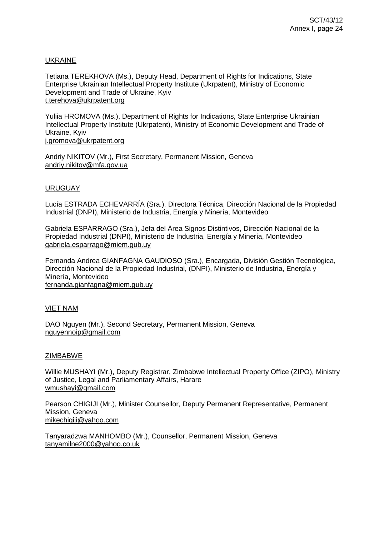## UKRAINE

Tetiana TEREKHOVA (Ms.), Deputy Head, Department of Rights for Indications, State Enterprise Ukrainian Intellectual Property Institute (Ukrpatent), Ministry of Economic Development and Trade of Ukraine, Kyiv [t.terehova@ukrpatent.org](mailto:t.terehova@ukrpatent.org)

Yuliia HROMOVA (Ms.), Department of Rights for Indications, State Enterprise Ukrainian Intellectual Property Institute (Ukrpatent), Ministry of Economic Development and Trade of Ukraine, Kyiv

[j.gromova@ukrpatent.org](mailto:j.gromova@ukrpatent.org)

Andriy NIKITOV (Mr.), First Secretary, Permanent Mission, Geneva andriy.nikitov@mfa.gov.ua

### URUGUAY

Lucía ESTRADA ECHEVARRÍA (Sra.), Directora Técnica, Dirección Nacional de la Propiedad Industrial (DNPI), Ministerio de Industria, Energía y Minería, Montevideo

Gabriela ESPÁRRAGO (Sra.), Jefa del Área Signos Distintivos, Dirección Nacional de la Propiedad Industrial (DNPI), Ministerio de Industria, Energía y Minería, Montevideo [gabriela.esparrago@miem.gub.uy](mailto:gabriela.esparrago@miem.gub.uy)

Fernanda Andrea GIANFAGNA GAUDIOSO (Sra.), Encargada, División Gestión Tecnológica, Dirección Nacional de la Propiedad Industrial, (DNPI), Ministerio de Industria, Energía y Minería, Montevideo

fernanda.gianfagna@miem.gub.uy

#### VIET NAM

DAO Nguyen (Mr.), Second Secretary, Permanent Mission, Geneva nguyennoip@gmail.com

#### **ZIMBABWE**

Willie MUSHAYI (Mr.), Deputy Registrar, Zimbabwe Intellectual Property Office (ZIPO), Ministry of Justice, Legal and Parliamentary Affairs, Harare wmushayi@gmail.com

Pearson CHIGIJI (Mr.), Minister Counsellor, Deputy Permanent Representative, Permanent Mission, Geneva [mikechigiji@yahoo.com](mailto:mikechigiji@yahoo.com)

Tanyaradzwa MANHOMBO (Mr.), Counsellor, Permanent Mission, Geneva tanyamilne2000@yahoo.co.uk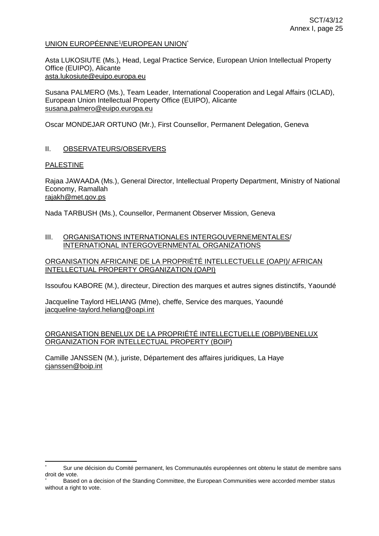## <u>UNION EUROPÉENNE<sup>1</sup>/EUROPEAN UNION</u>`

Asta LUKOSIUTE (Ms.), Head, Legal Practice Service, European Union Intellectual Property Office (EUIPO), Alicante asta.lukosiute@euipo.europa.eu

Susana PALMERO (Ms.), Team Leader, International Cooperation and Legal Affairs (ICLAD), European Union Intellectual Property Office (EUIPO), Alicante [susana.palmero@euipo.europa.eu](mailto:susana.palmero@euipo.europa.eu)

Oscar MONDEJAR ORTUNO (Mr.), First Counsellor, Permanent Delegation, Geneva

## II. OBSERVATEURS/OBSERVERS

## PALESTINE

Rajaa JAWAADA (Ms.), General Director, Intellectual Property Department, Ministry of National Economy, Ramallah rajakh@met.gov.ps

Nada TARBUSH (Ms.), Counsellor, Permanent Observer Mission, Geneva

### III. ORGANISATIONS INTERNATIONALES INTERGOUVERNEMENTALES/ INTERNATIONAL INTERGOVERNMENTAL ORGANIZATIONS

## ORGANISATION AFRICAINE DE LA PROPRIÉTÉ INTELLECTUELLE (OAPI)/ AFRICAN INTELLECTUAL PROPERTY ORGANIZATION (OAPI)

Issoufou KABORE (M.), directeur, Direction des marques et autres signes distinctifs, Yaoundé

Jacqueline Taylord HELIANG (Mme), cheffe, Service des marques, Yaoundé [jacqueline-taylord.heliang@oapi.int](mailto:jacqueline-taylord.heliang@oapi.int)

## ORGANISATION BENELUX DE LA PROPRIÉTÉ INTELLECTUELLE (OBPI)/BENELUX ORGANIZATION FOR INTELLECTUAL PROPERTY (BOIP)

Camille JANSSEN (M.), juriste, Département des affaires juridiques, La Haye cjanssen@boip.int

Sur une décision du Comité permanent, les Communautés européennes ont obtenu le statut de membre sans droit de vote.

Based on a decision of the Standing Committee, the European Communities were accorded member status without a right to vote.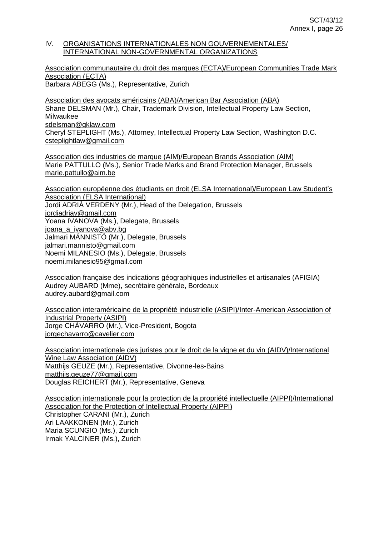#### IV. ORGANISATIONS INTERNATIONALES NON GOUVERNEMENTALES/ INTERNATIONAL NON-GOVERNMENTAL ORGANIZATIONS

Association communautaire du droit des marques (ECTA)/European Communities Trade Mark Association (ECTA) Barbara ABEGG (Ms.), Representative, Zurich

Association des avocats américains (ABA)/American Bar Association (ABA) Shane DELSMAN (Mr.), Chair, Trademark Division, Intellectual Property Law Section, Milwaukee sdelsman@gklaw.com Cheryl STEPLIGHT (Ms.), Attorney, Intellectual Property Law Section, Washington D.C. [csteplightlaw@gmail.com](mailto:csteplightlaw@gmail.com)

Association des industries de marque (AIM)/European Brands Association (AIM) Marie PATTULLO (Ms.), Senior Trade Marks and Brand Protection Manager, Brussels [marie.pattullo@aim.be](mailto:marie.pattullo@aim.be)

Association européenne des étudiants en droit (ELSA International)/European Law Student's Association (ELSA International) Jordi ADRIÀ VERDENY (Mr.), Head of the Delegation, Brussels [jordiadriav@gmail.com](mailto:jordiadriav@gmail.com) Yoana IVANOVA (Ms.), Delegate, Brussels [joana\\_a\\_ivanova@abv.bg](mailto:joana_a_ivanova@abv.bg) Jalmari MÄNNISTÖ (Mr.), Delegate, Brussels [jalmari.mannisto@gmail.com](mailto:jalmari.mannisto@gmail.com) Noemi MILANESIO (Ms.), Delegate, Brussels [noemi.milanesio95@gmail.com](mailto:noemi.milanesio95@gmail.com)

Association française des indications géographiques industrielles et artisanales (AFIGIA) Audrey AUBARD (Mme), secrétaire générale, Bordeaux audrey.aubard@gmail.com

Association interaméricaine de la propriété industrielle (ASIPI)/Inter-American Association of Industrial Property (ASIPI) Jorge CHÁVARRO (Mr.), Vice-President, Bogota jorgechavarro@cavelier.com

Association internationale des juristes pour le droit de la vigne et du vin (AIDV)/International Wine Law Association (AIDV) Matthijs GEUZE (Mr.), Representative, Divonne-les-Bains [matthijs.geuze77@gmail.com](mailto:matthijs.geuze77@gmail.com) Douglas REICHERT (Mr.), Representative, Geneva

Association internationale pour la protection de la propriété intellectuelle (AIPPI)/International Association for the Protection of Intellectual Property (AIPPI) Christopher CARANI (Mr.), Zurich Ari LAAKKONEN (Mr.), Zurich Maria SCUNGIO (Ms.), Zurich Irmak YALCINER (Ms.), Zurich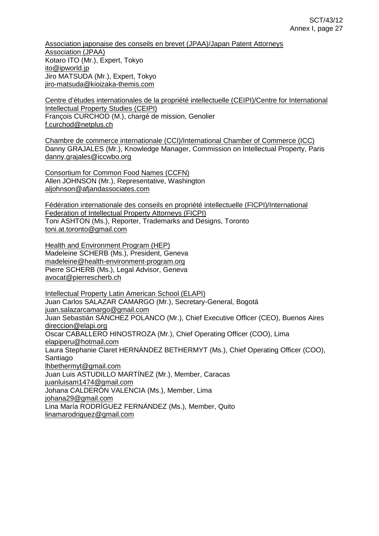Association japonaise des conseils en brevet (JPAA)/Japan Patent Attorneys Association (JPAA) Kotaro ITO (Mr.), Expert, Tokyo [ito@ipworld.jp](mailto:ito@ipworld.jp) Jiro MATSUDA (Mr.), Expert, Tokyo [jiro-matsuda@kioizaka-themis.com](mailto:jiro-matsuda@kioizaka-themis.com)

Centre d'études internationales de la propriété intellectuelle (CEIPI)/Centre for International Intellectual Property Studies (CEIPI) François CURCHOD (M.), chargé de mission, Genolier f.curchod@netplus.ch

Chambre de commerce internationale (CCI)/International Chamber of Commerce (ICC) Danny GRAJALES (Mr.), Knowledge Manager, Commission on Intellectual Property, Paris danny.grajales@iccwbo.org

Consortium for Common Food Names (CCFN) Allen JOHNSON (Mr.), Representative, Washington aljohnson@afjandassociates.com

Fédération internationale des conseils en propriété intellectuelle (FICPI)/International Federation of Intellectual Property Attorneys (FICPI) Toni ASHTON (Ms.), Reporter, Trademarks and Designs, Toronto toni.at.toronto@gmail.com

Health and Environment Program (HEP) Madeleine SCHERB (Ms.), President, Geneva [madeleine@health-environment-program.org](mailto:madeleine@health-environment-program.org) Pierre SCHERB (Ms.), Legal Advisor, Geneva [avocat@pierrescherb.ch](mailto:avocat@pierrescherb.ch)

Intellectual Property Latin American School (ELAPI) Juan Carlos SALAZAR CAMARGO (Mr.), Secretary-General, Bogotá [juan.salazarcamargo@gmail.com](mailto:juan.salazarcamargo@gmail.com) Juan Sebastián SÁNCHEZ POLANCO (Mr.), Chief Executive Officer (CEO), Buenos Aires [direccion@elapi.org](mailto:direccion@elapi.org) Oscar CABALLERO HINOSTROZA (Mr.), Chief Operating Officer (COO), Lima [elapiperu@hotmail.com](mailto:elapiperu@hotmail.com) Laura Stephanie Claret HERNÁNDEZ BETHERMYT (Ms.), Chief Operating Officer (COO), Santiago [lhbethermyt@gmail.com](mailto:lhbethermyt@gmail.com) Juan Luis ASTUDILLO MARTÍNEZ (Mr.), Member, Caracas [juanluisam1474@gmail.com](mailto:juanluisam1474@gmail.com) Johana CALDERÓN VALENCIA (Ms.), Member, Lima [johana29@gmail.com](mailto:johana29@gmail.com) Lina María RODRÍGUEZ FERNÁNDEZ (Ms.), Member, Quito [linamarodriguez@gmail.com](mailto:linamarodriguez@gmail.com)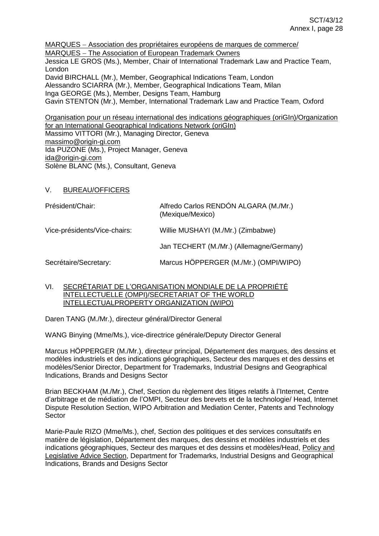MARQUES Association des propriétaires européens de marques de commerce/ MARQUES - The Association of European Trademark Owners Jessica LE GROS (Ms.), Member, Chair of International Trademark Law and Practice Team, London David BIRCHALL (Mr.), Member, Geographical Indications Team, London Alessandro SCIARRA (Mr.), Member, Geographical Indications Team, Milan Inga GEORGE (Ms.), Member, Designs Team, Hamburg Gavin STENTON (Mr.), Member, International Trademark Law and Practice Team, Oxford

Organisation pour un réseau international des indications géographiques (oriGIn)/Organization for an International Geographical Indications Network (oriGIn) Massimo VITTORI (Mr.), Managing Director, Geneva [massimo@origin-gi.com](mailto:massimo@origin-gi.com) Ida PUZONE (Ms.), Project Manager, Geneva ida@origin-gi.com Solène BLANC (Ms.), Consultant, Geneva

V. BUREAU/OFFICERS

| Président/Chair:             | Alfredo Carlos RENDÓN ALGARA (M./Mr.)<br>(Mexique/Mexico) |
|------------------------------|-----------------------------------------------------------|
| Vice-présidents/Vice-chairs: | Willie MUSHAYI (M./Mr.) (Zimbabwe)                        |
|                              | Jan TECHERT (M./Mr.) (Allemagne/Germany)                  |
| Secrétaire/Secretary:        | Marcus HÖPPERGER (M./Mr.) (OMPI/WIPO)                     |

VI. SECRÉTARIAT DE L'ORGANISATION MONDIALE DE LA PROPRIÉTÉ INTELLECTUELLE (OMPI)/SECRETARIAT OF THE WORLD INTELLECTUALPROPERTY ORGANIZATION (WIPO)

Daren TANG (M./Mr.), directeur général/Director General

WANG Binying (Mme/Ms.), vice-directrice générale/Deputy Director General

Marcus HÖPPERGER (M./Mr.), directeur principal, Département des marques, des dessins et modèles industriels et des indications géographiques, Secteur des marques et des dessins et modèles/Senior Director, Department for Trademarks, Industrial Designs and Geographical Indications, Brands and Designs Sector

Brian BECKHAM (M./Mr.), Chef, Section du règlement des litiges relatifs à l'Internet, Centre d'arbitrage et de médiation de l'OMPI, Secteur des brevets et de la technologie/ Head, Internet Dispute Resolution Section, WIPO Arbitration and Mediation Center, Patents and Technology **Sector** 

Marie-Paule RIZO (Mme/Ms.), chef, Section des politiques et des services consultatifs en matière de législation, Département des marques, des dessins et modèles industriels et des indications géographiques, Secteur des marques et des dessins et modèles/Head, Policy and [Legislative Advice Section,](http://intranet.wipo.int/people_finder/en/unit_pages/unit.jsp?unit_code=00000784) Department for Trademarks, Industrial Designs and Geographical Indications, Brands and Designs Sector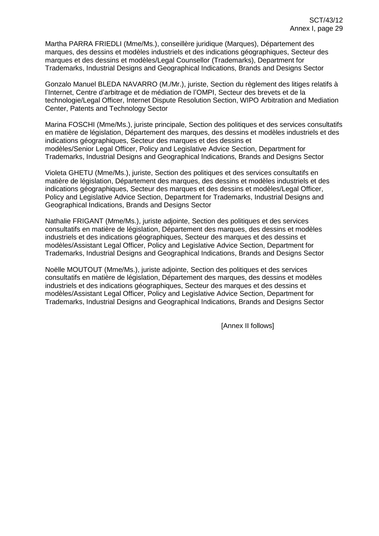Martha PARRA FRIEDLI (Mme/Ms.), conseillère juridique (Marques), Département des marques, des dessins et modèles industriels et des indications géographiques, Secteur des marques et des dessins et modèles/Legal Counsellor (Trademarks), Department for Trademarks, Industrial Designs and Geographical Indications, Brands and Designs Sector

Gonzalo Manuel BLEDA NAVARRO (M./Mr.), juriste, Section du règlement des litiges relatifs à l'Internet, Centre d'arbitrage et de médiation de l'OMPI, Secteur des brevets et de la technologie/Legal Officer, Internet Dispute Resolution Section, WIPO Arbitration and Mediation Center, [Patents and Technology Sector](http://intranet.wipo.int/intranet_apps/people_finder/unit.jsp?unit_code=0167&lang=en)

Marina FOSCHI (Mme/Ms.), juriste principale, Section des politiques et des services consultatifs en matière de législation, Département des marques, des dessins et modèles industriels et des indications géographiques, Secteur des marques et des dessins et modèles/Senior Legal Officer, Policy and Legislative Advice Section, Department for Trademarks, Industrial Designs and Geographical Indications, Brands and Designs Sector

Violeta GHETU (Mme/Ms.), juriste, Section des politiques et des services consultatifs en matière de législation, Département des marques, des dessins et modèles industriels et des indications géographiques, Secteur des marques et des dessins et modèles/Legal Officer, Policy and Legislative Advice Section, Department for Trademarks, Industrial Designs and Geographical Indications, Brands and Designs Sector

Nathalie FRIGANT (Mme/Ms.), juriste adjointe, Section des politiques et des services consultatifs en matière de législation, Département des marques, des dessins et modèles industriels et des indications géographiques, Secteur des marques et des dessins et modèles/Assistant Legal Officer, Policy and Legislative Advice Section, Department for Trademarks, Industrial Designs and Geographical Indications, Brands and Designs Sector

Noëlle MOUTOUT (Mme/Ms.), juriste adjointe, Section des politiques et des services consultatifs en matière de législation, Département des marques, des dessins et modèles industriels et des indications géographiques, Secteur des marques et des dessins et modèles/Assistant Legal Officer, Policy and Legislative Advice Section, Department for Trademarks, Industrial Designs and Geographical Indications, Brands and Designs Sector

[Annex II follows]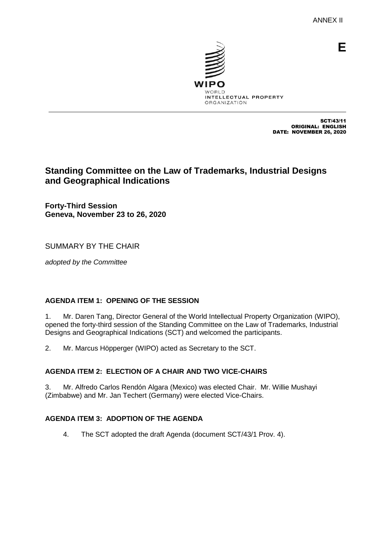**E**



SCT/43/11 ORIGINAL: ENGLISH DATE: NOVEMBER 26, 2020

# **Standing Committee on the Law of Trademarks, Industrial Designs and Geographical Indications**

**Forty-Third Session Geneva, November 23 to 26, 2020**

SUMMARY BY THE CHAIR

*adopted by the Committee*

## **AGENDA ITEM 1: OPENING OF THE SESSION**

1. Mr. Daren Tang, Director General of the World Intellectual Property Organization (WIPO), opened the forty-third session of the Standing Committee on the Law of Trademarks, Industrial Designs and Geographical Indications (SCT) and welcomed the participants.

2. Mr. Marcus Höpperger (WIPO) acted as Secretary to the SCT.

## **AGENDA ITEM 2: ELECTION OF A CHAIR AND TWO VICE-CHAIRS**

3. Mr. Alfredo Carlos Rendón Algara (Mexico) was elected Chair. Mr. Willie Mushayi (Zimbabwe) and Mr. Jan Techert (Germany) were elected Vice-Chairs.

## **AGENDA ITEM 3: ADOPTION OF THE AGENDA**

4. The SCT adopted the draft Agenda (document SCT/43/1 Prov. 4).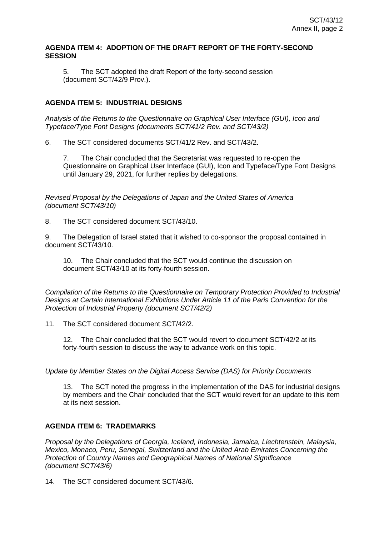### **AGENDA ITEM 4: ADOPTION OF THE DRAFT REPORT OF THE FORTY-SECOND SESSION**

5. The SCT adopted the draft Report of the forty-second session (document SCT/42/9 Prov.).

## **AGENDA ITEM 5: INDUSTRIAL DESIGNS**

*Analysis of the Returns to the Questionnaire on Graphical User Interface (GUI), Icon and Typeface/Type Font Designs (documents SCT/41/2 Rev. and SCT/43/2)*

6. The SCT considered documents SCT/41/2 Rev. and SCT/43/2.

7. The Chair concluded that the Secretariat was requested to re-open the Questionnaire on Graphical User Interface (GUI), Icon and Typeface/Type Font Designs until January 29, 2021, for further replies by delegations.

*Revised Proposal by the Delegations of Japan and the United States of America (document SCT/43/10)*

8. The SCT considered document SCT/43/10.

9. The Delegation of Israel stated that it wished to co-sponsor the proposal contained in document SCT/43/10.

10. The Chair concluded that the SCT would continue the discussion on document SCT/43/10 at its forty-fourth session.

*Compilation of the Returns to the Questionnaire on Temporary Protection Provided to Industrial Designs at Certain International Exhibitions Under Article 11 of the Paris Convention for the Protection of Industrial Property (document SCT/42/2)*

11. The SCT considered document SCT/42/2.

12. The Chair concluded that the SCT would revert to document SCT/42/2 at its forty-fourth session to discuss the way to advance work on this topic.

*Update by Member States on the Digital Access Service (DAS) for Priority Documents*

13. The SCT noted the progress in the implementation of the DAS for industrial designs by members and the Chair concluded that the SCT would revert for an update to this item at its next session.

## **AGENDA ITEM 6: TRADEMARKS**

*Proposal by the Delegations of Georgia, Iceland, Indonesia, Jamaica, Liechtenstein, Malaysia, Mexico, Monaco, Peru, Senegal, Switzerland and the United Arab Emirates Concerning the Protection of Country Names and Geographical Names of National Significance (document SCT/43/6)*

14. The SCT considered document SCT/43/6.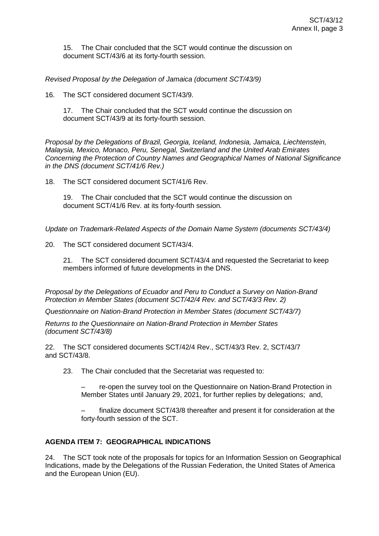15. The Chair concluded that the SCT would continue the discussion on document SCT/43/6 at its forty-fourth session.

*Revised Proposal by the Delegation of Jamaica (document SCT/43/9)*

16. The SCT considered document SCT/43/9.

17. The Chair concluded that the SCT would continue the discussion on document SCT/43/9 at its forty-fourth session.

*Proposal by the Delegations of Brazil, Georgia, Iceland, Indonesia, Jamaica, Liechtenstein, Malaysia, Mexico, Monaco, Peru, Senegal, Switzerland and the United Arab Emirates Concerning the Protection of Country Names and Geographical Names of National Significance in the DNS (document SCT/41/6 Rev.)*

18. The SCT considered document SCT/41/6 Rev.

19. The Chair concluded that the SCT would continue the discussion on document SCT/41/6 Rev. at its forty-fourth session*.*

*Update on Trademark-Related Aspects of the Domain Name System (documents SCT/43/4)*

20. The SCT considered document SCT/43/4.

21. The SCT considered document SCT/43/4 and requested the Secretariat to keep members informed of future developments in the DNS.

*Proposal by the Delegations of Ecuador and Peru to Conduct a Survey on Nation-Brand Protection in Member States (document SCT/42/4 Rev. and SCT/43/3 Rev. 2)*

*Questionnaire on Nation-Brand Protection in Member States (document SCT/43/7)*

*Returns to the Questionnaire on Nation-Brand Protection in Member States (document SCT/43/8)*

22. The SCT considered documents SCT/42/4 Rev., SCT/43/3 Rev. 2, SCT/43/7 and SCT/43/8.

23. The Chair concluded that the Secretariat was requested to:

– re-open the survey tool on the Questionnaire on Nation-Brand Protection in Member States until January 29, 2021, for further replies by delegations; and,

finalize document SCT/43/8 thereafter and present it for consideration at the forty-fourth session of the SCT.

## **AGENDA ITEM 7: GEOGRAPHICAL INDICATIONS**

24. The SCT took note of the proposals for topics for an Information Session on Geographical Indications, made by the Delegations of the Russian Federation, the United States of America and the European Union (EU).